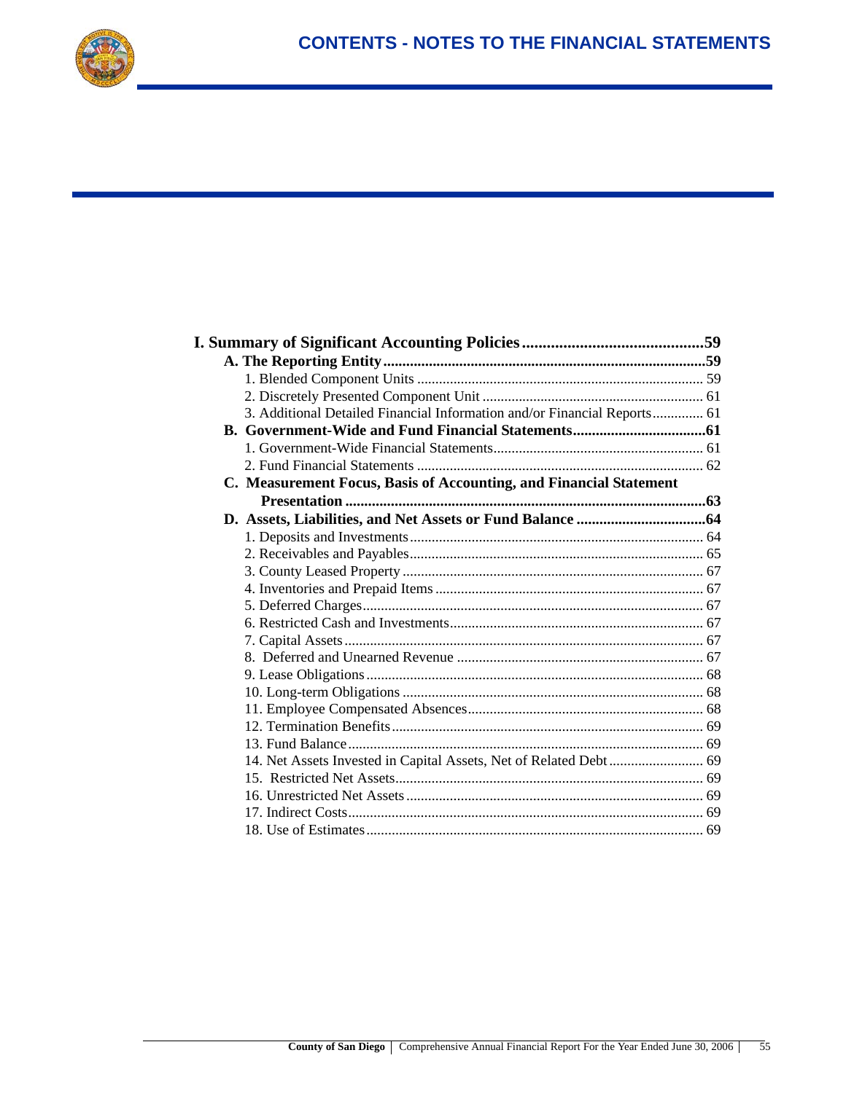

| 3. Additional Detailed Financial Information and/or Financial Reports 61 |  |
|--------------------------------------------------------------------------|--|
|                                                                          |  |
|                                                                          |  |
|                                                                          |  |
| C. Measurement Focus, Basis of Accounting, and Financial Statement       |  |
|                                                                          |  |
|                                                                          |  |
|                                                                          |  |
|                                                                          |  |
|                                                                          |  |
|                                                                          |  |
|                                                                          |  |
|                                                                          |  |
|                                                                          |  |
|                                                                          |  |
|                                                                          |  |
|                                                                          |  |
|                                                                          |  |
|                                                                          |  |
|                                                                          |  |
|                                                                          |  |
|                                                                          |  |
|                                                                          |  |
|                                                                          |  |
|                                                                          |  |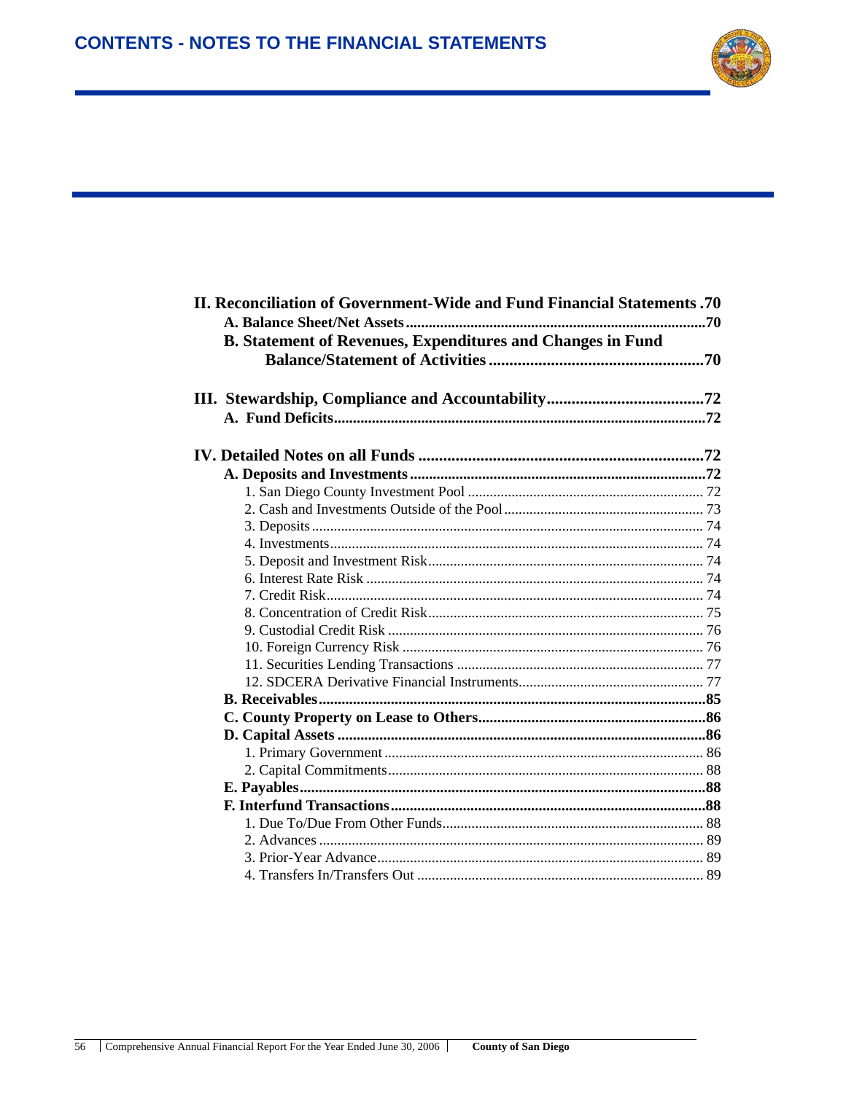

| <b>II. Reconciliation of Government-Wide and Fund Financial Statements .70</b>                                 |  |  |  |  |  |
|----------------------------------------------------------------------------------------------------------------|--|--|--|--|--|
|                                                                                                                |  |  |  |  |  |
| <b>B. Statement of Revenues, Expenditures and Changes in Fund</b>                                              |  |  |  |  |  |
|                                                                                                                |  |  |  |  |  |
|                                                                                                                |  |  |  |  |  |
|                                                                                                                |  |  |  |  |  |
|                                                                                                                |  |  |  |  |  |
|                                                                                                                |  |  |  |  |  |
|                                                                                                                |  |  |  |  |  |
|                                                                                                                |  |  |  |  |  |
|                                                                                                                |  |  |  |  |  |
|                                                                                                                |  |  |  |  |  |
|                                                                                                                |  |  |  |  |  |
|                                                                                                                |  |  |  |  |  |
|                                                                                                                |  |  |  |  |  |
|                                                                                                                |  |  |  |  |  |
|                                                                                                                |  |  |  |  |  |
|                                                                                                                |  |  |  |  |  |
|                                                                                                                |  |  |  |  |  |
|                                                                                                                |  |  |  |  |  |
|                                                                                                                |  |  |  |  |  |
|                                                                                                                |  |  |  |  |  |
|                                                                                                                |  |  |  |  |  |
|                                                                                                                |  |  |  |  |  |
|                                                                                                                |  |  |  |  |  |
|                                                                                                                |  |  |  |  |  |
|                                                                                                                |  |  |  |  |  |
|                                                                                                                |  |  |  |  |  |
|                                                                                                                |  |  |  |  |  |
|                                                                                                                |  |  |  |  |  |
|                                                                                                                |  |  |  |  |  |
| 4 Transfers In/Transfers Out 2018 12:00 12:00 12:00 12:00 12:00 12:00 12:00 12:00 12:00 12:00 12:00 12:00 12:0 |  |  |  |  |  |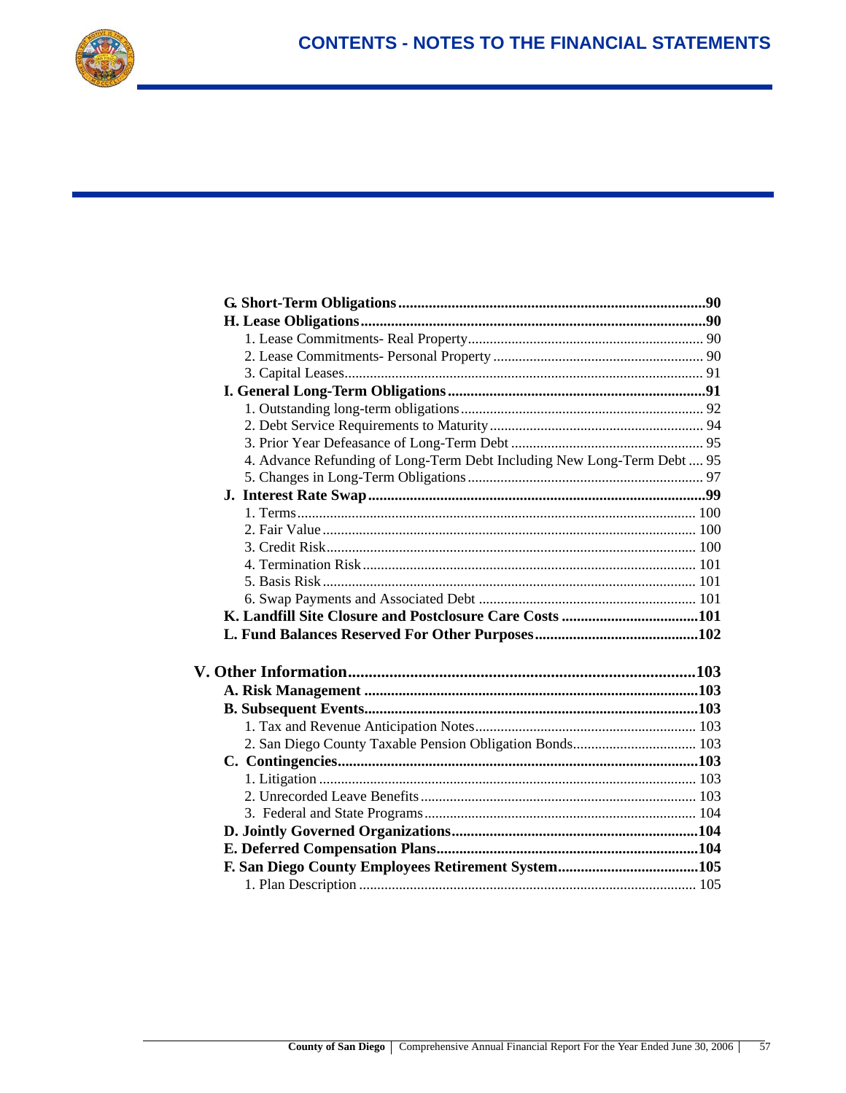

| 4. Advance Refunding of Long-Term Debt Including New Long-Term Debt  95 |  |
|-------------------------------------------------------------------------|--|
|                                                                         |  |
|                                                                         |  |
|                                                                         |  |
|                                                                         |  |
|                                                                         |  |
|                                                                         |  |
|                                                                         |  |
|                                                                         |  |
|                                                                         |  |
|                                                                         |  |
|                                                                         |  |
|                                                                         |  |
|                                                                         |  |
|                                                                         |  |
|                                                                         |  |
|                                                                         |  |
|                                                                         |  |
|                                                                         |  |
|                                                                         |  |
|                                                                         |  |
|                                                                         |  |
|                                                                         |  |
|                                                                         |  |
|                                                                         |  |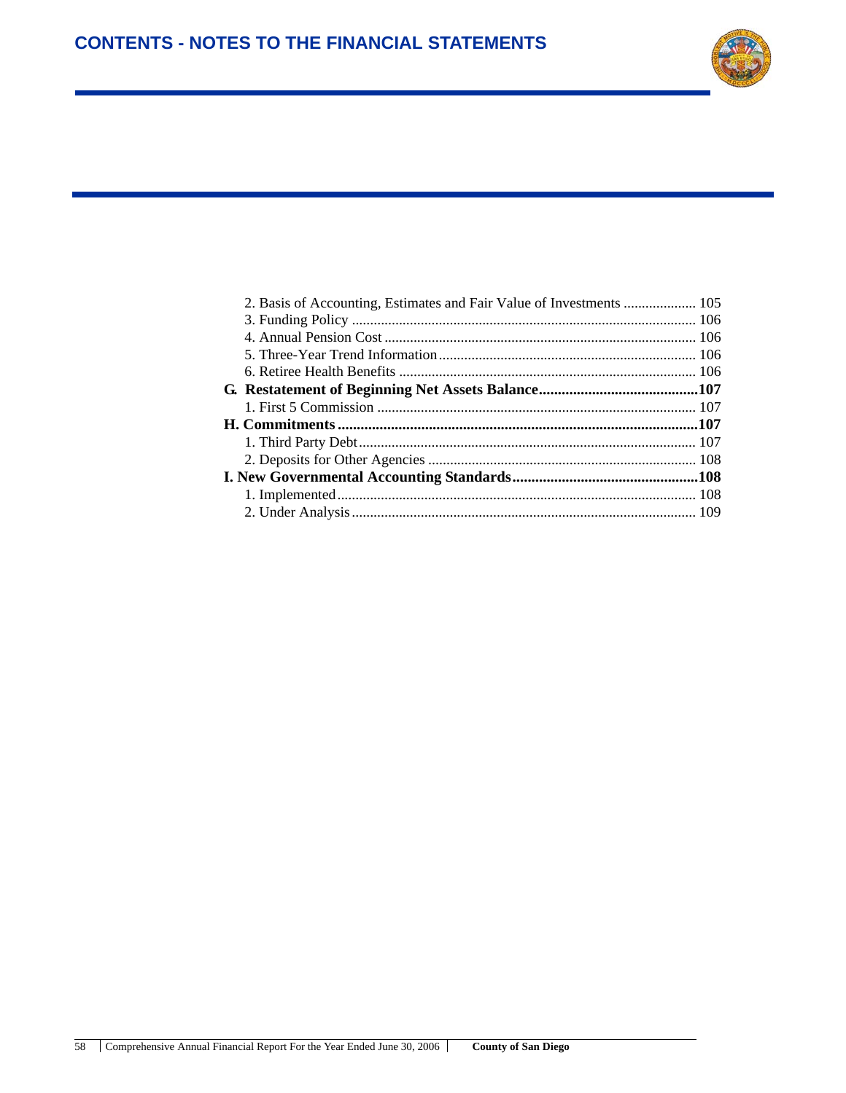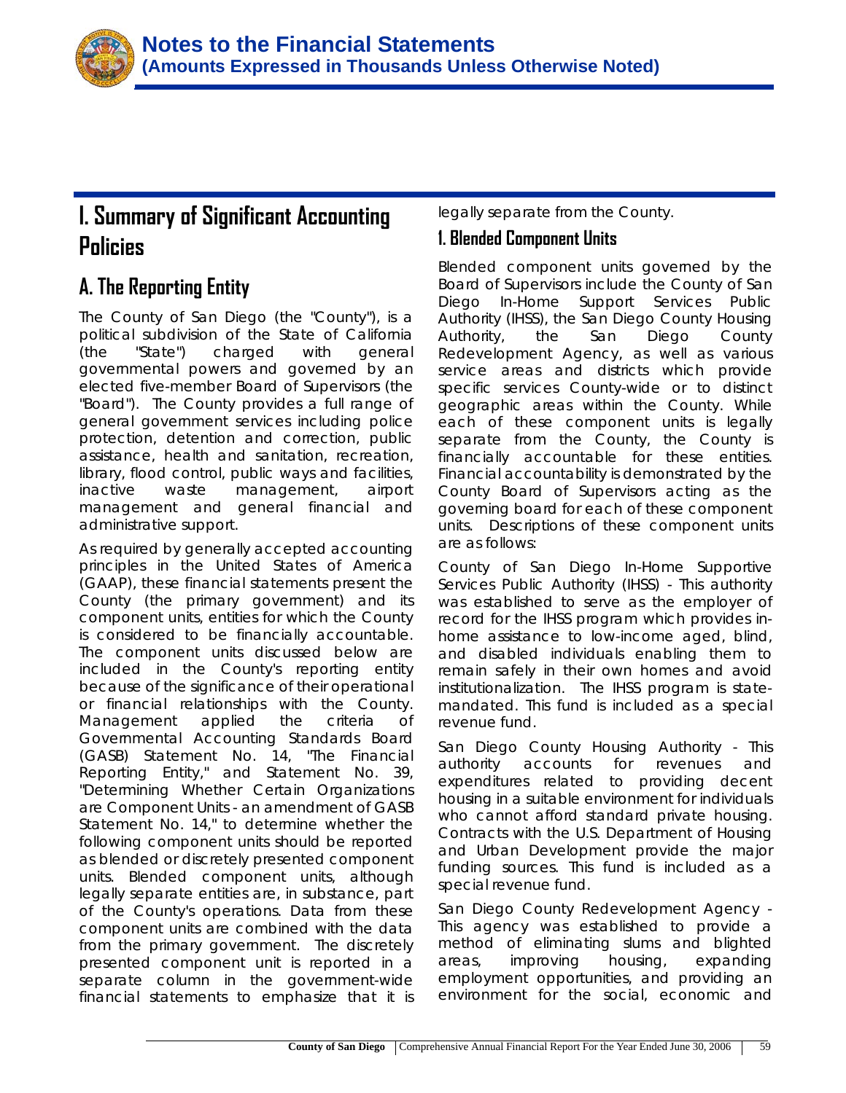

# **I. Summary of Significant Accounting Policies**

# **A. The Reporting Entity**

The County of San Diego (the "County"), is a political subdivision of the State of California (the "State") charged with general governmental powers and governed by an elected five-member Board of Supervisors (the "Board"). The County provides a full range of general government services including police protection, detention and correction, public assistance, health and sanitation, recreation, library, flood control, public ways and facilities, inactive waste management, airport management and general financial and administrative support.

As required by generally accepted accounting principles in the United States of America (GAAP), these financial statements present the County (the primary government) and its component units, entities for which the County is considered to be financially accountable. The component units discussed below are included in the County's reporting entity because of the significance of their operational or financial relationships with the County. Management applied the criteria of Governmental Accounting Standards Board (GASB) Statement No. 14, "The Financial Reporting Entity," and Statement No. 39, "Determining Whether Certain Organizations are Component Units - an amendment of GASB Statement No. 14," to determine whether the following component units should be reported as blended or discretely presented component units. Blended component units, although legally separate entities are, in substance, part of the County's operations. Data from these component units are combined with the data from the primary government. The discretely presented component unit is reported in a separate column in the government-wide financial statements to emphasize that it is

legally separate from the County.

### **1. Blended Component Units**

Blended component units governed by the Board of Supervisors include the County of San Diego In-Home Support Services Public Authority (IHSS), the San Diego County Housing Authority, the San Diego County Redevelopment Agency, as well as various service areas and districts which provide specific services County-wide or to distinct geographic areas within the County. While each of these component units is legally separate from the County, the County is financially accountable for these entities. Financial accountability is demonstrated by the County Board of Supervisors acting as the governing board for each of these component units. Descriptions of these component units are as follows:

*County of San Diego In-Home Supportive Services Public Authority (IHSS)* - This authority was established to serve as the employer of record for the IHSS program which provides inhome assistance to low-income aged, blind, and disabled individuals enabling them to remain safely in their own homes and avoid institutionalization. The IHSS program is statemandated. This fund is included as a *special revenue fund.* 

*San Diego County Housing Authority* - This authority accounts for revenues and expenditures related to providing decent housing in a suitable environment for individuals who cannot afford standard private housing. Contracts with the U.S. Department of Housing and Urban Development provide the major funding sources. This fund is included as a *special revenue fund*.

*San Diego County Redevelopment Agency* - This agency was established to provide a method of eliminating slums and blighted areas, improving housing, expanding employment opportunities, and providing an environment for the social, economic and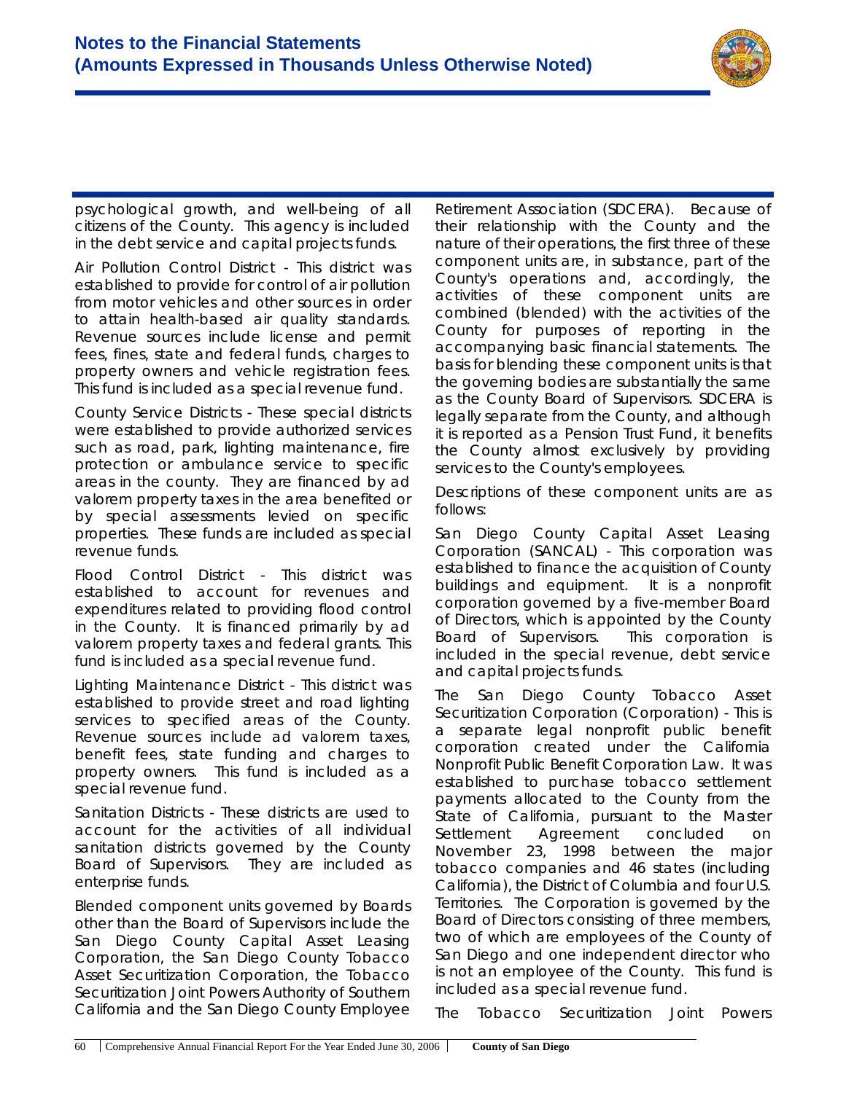

psychological growth, and well-being of all citizens of the County. This agency is included in the *debt service and capital projects funds*.

*Air Pollution Control District* - This district was established to provide for control of air pollution from motor vehicles and other sources in order to attain health-based air quality standards. Revenue sources include license and permit fees, fines, state and federal funds, charges to property owners and vehicle registration fees. This fund is included as a *special revenue fund*.

*County Service Districts* - These special districts were established to provide authorized services such as road, park, lighting maintenance, fire protection or ambulance service to specific areas in the county. They are financed by ad valorem property taxes in the area benefited or by special assessments levied on specific properties. These funds are included as *special revenue funds*.

*Flood Control District* - This district was established to account for revenues and expenditures related to providing flood control in the County. It is financed primarily by ad valorem property taxes and federal grants. This fund is included as a *special revenue fund*.

*Lighting Maintenance District* - This district was established to provide street and road lighting services to specified areas of the County. Revenue sources include ad valorem taxes, benefit fees, state funding and charges to property owners. This fund is included as a *special revenue fund*.

*Sanitation Districts* - These districts are used to account for the activities of all individual sanitation districts governed by the County Board of Supervisors. They are included as *enterprise funds*.

Blended component units governed by Boards other than the Board of Supervisors include the San Diego County Capital Asset Leasing Corporation, the San Diego County Tobacco Asset Securitization Corporation, the Tobacco Securitization Joint Powers Authority of Southern California and the San Diego County Employee

Retirement Association (SDCERA). Because of their relationship with the County and the nature of their operations, the first three of these component units are, in substance, part of the County's operations and, accordingly, the activities of these component units are combined (blended) with the activities of the County for purposes of reporting in the accompanying basic financial statements. The basis for blending these component units is that the governing bodies are substantially the same as the County Board of Supervisors. SDCERA is legally separate from the County, and although it is reported as a Pension Trust Fund, it benefits the County almost exclusively by providing services to the County's employees.

Descriptions of these component units are as follows:

*San Diego County Capital Asset Leasing Corporation (SANCAL)* - This corporation was established to finance the acquisition of County buildings and equipment. It is a nonprofit corporation governed by a five-member Board of Directors, which is appointed by the County Board of Supervisors. This corporation is included in the *special revenue, debt service* and *capital projects funds*.

*The San Diego County Tobacco Asset Securitization Corporation (Corporation)* - This is a separate legal nonprofit public benefit corporation created under the California Nonprofit Public Benefit Corporation Law. It was established to purchase tobacco settlement payments allocated to the County from the State of California, pursuant to the Master Settlement Agreement concluded on November 23, 1998 between the major tobacco companies and 46 states (including California), the District of Columbia and four U.S. Territories. The Corporation is governed by the Board of Directors consisting of three members, two of which are employees of the County of San Diego and one independent director who is not an employee of the County. This fund is included as a *special revenue fund*.

*The Tobacco Securitization Joint Powers*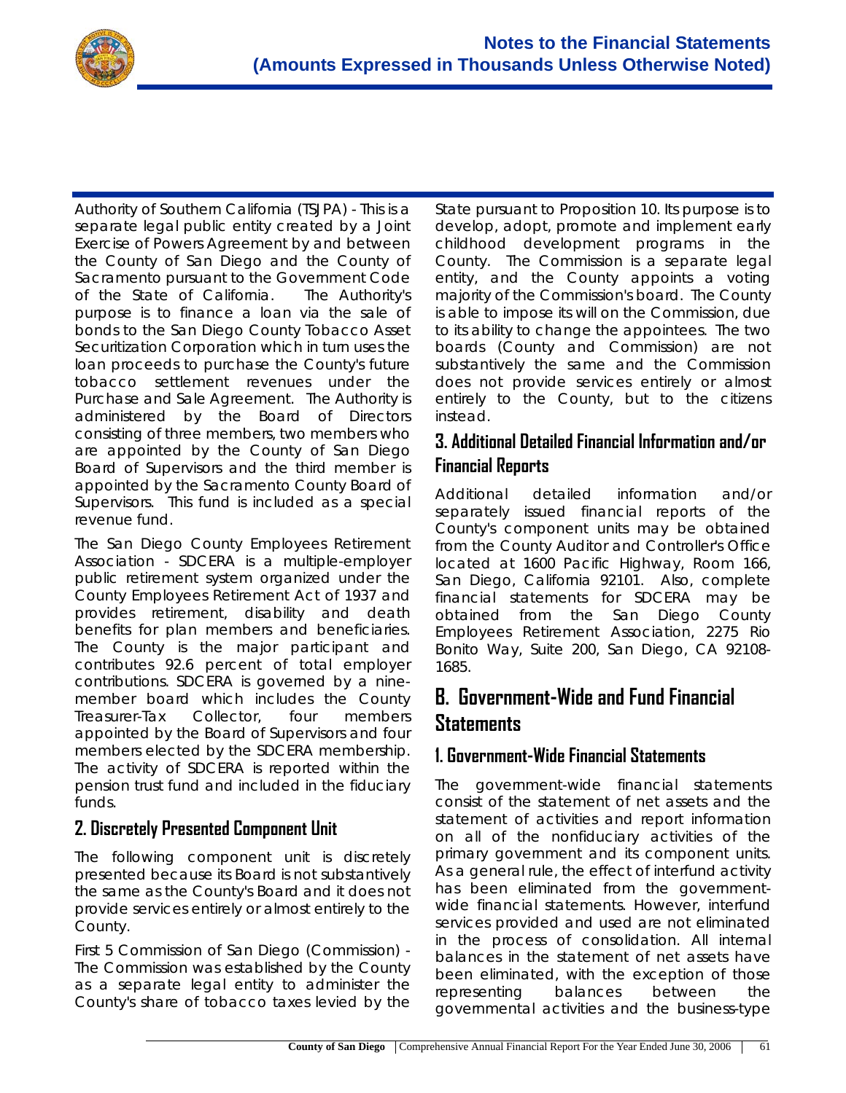

*Authority of Southern California (TSJPA)* - This is a separate legal public entity created by a Joint Exercise of Powers Agreement by and between the County of San Diego and the County of Sacramento pursuant to the Government Code of the State of California. The Authority's purpose is to finance a loan via the sale of bonds to the San Diego County Tobacco Asset Securitization Corporation which in turn uses the loan proceeds to purchase the County's future tobacco settlement revenues under the Purchase and Sale Agreement. The Authority is administered by the Board of Directors consisting of three members, two members who are appointed by the County of San Diego Board of Supervisors and the third member is appointed by the Sacramento County Board of Supervisors. This fund is included as a *special revenue fund*.

*The San Diego County Employees Retirement Association* - SDCERA is a multiple-employer public retirement system organized under the County Employees Retirement Act of 1937 and provides retirement, disability and death benefits for plan members and beneficiaries. The County is the major participant and contributes 92.6 percent of total employer contributions. SDCERA is governed by a ninemember board which includes the County Treasurer-Tax Collector, four members appointed by the Board of Supervisors and four members elected by the SDCERA membership. The activity of SDCERA is reported within the *pension trust fund* and included in the *fiduciary funds*.

### **2. Discretely Presented Component Unit**

The following component unit is discretely presented because its Board is not substantively the same as the County's Board and it does not provide services entirely or almost entirely to the County.

*First 5 Commission of San Diego (Commission)* - The Commission was established by the County as a separate legal entity to administer the County's share of tobacco taxes levied by the

State pursuant to Proposition 10. Its purpose is to develop, adopt, promote and implement early childhood development programs in the County. The Commission is a separate legal entity, and the County appoints a voting majority of the Commission's board. The County is able to impose its will on the Commission, due to its ability to change the appointees. The two boards (County and Commission) are not substantively the same and the Commission does not provide services entirely or almost entirely to the County, but to the citizens instead.

#### **3. Additional Detailed Financial Information and/or Financial Reports**

Additional detailed information and/or separately issued financial reports of the County's component units may be obtained from the County Auditor and Controller's Office located at 1600 Pacific Highway, Room 166, San Diego, California 92101. Also, complete financial statements for SDCERA may be obtained from the San Diego County Employees Retirement Association, 2275 Rio Bonito Way, Suite 200, San Diego, CA 92108- 1685.

# **B. Government-Wide and Fund Financial Statements**

### **1. Government-Wide Financial Statements**

The government-wide financial statements consist of the statement of net assets and the statement of activities and report information on all of the nonfiduciary activities of the primary government and its component units. As a general rule, the effect of interfund activity has been eliminated from the governmentwide financial statements. However, interfund services provided and used are not eliminated in the process of consolidation. All internal balances in the statement of net assets have been eliminated, with the exception of those representing balances between the governmental activities and the business-type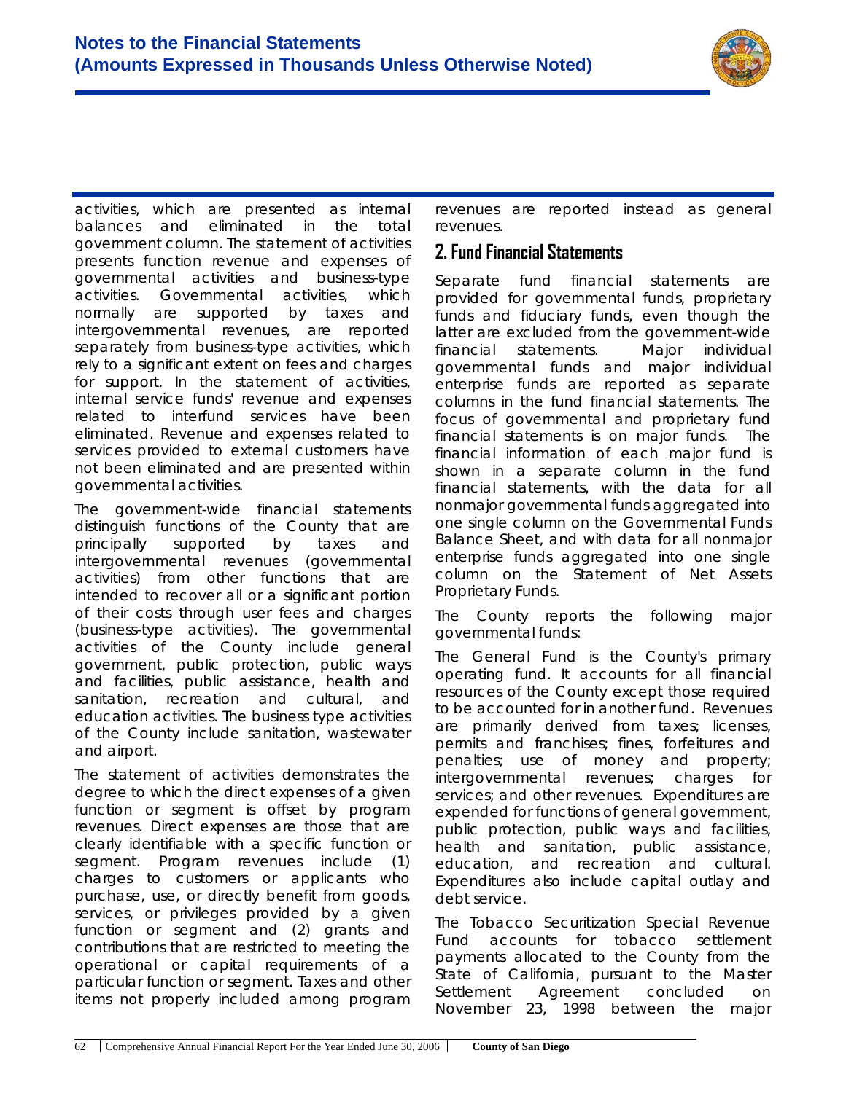

activities, which are presented as internal balances and eliminated in the total government column. The statement of activities presents function revenue and expenses of governmental activities and business-type activities. Governmental activities, which normally are supported by taxes and intergovernmental revenues, are reported separately from business-type activities, which rely to a significant extent on fees and charges for support. In the statement of activities, internal service funds' revenue and expenses related to interfund services have been eliminated. Revenue and expenses related to services provided to external customers have not been eliminated and are presented within governmental activities.

The government-wide financial statements distinguish functions of the County that are principally supported by taxes and intergovernmental revenues (governmental activities) from other functions that are intended to recover all or a significant portion of their costs through user fees and charges (business-type activities). The governmental activities of the County include general government, public protection, public ways and facilities, public assistance, health and sanitation, recreation and cultural, and education activities. The business type activities of the County include sanitation, wastewater and airport.

The statement of activities demonstrates the degree to which the direct expenses of a given function or segment is offset by program revenues. Direct expenses are those that are clearly identifiable with a specific function or segment. Program revenues include (1) charges to customers or applicants who purchase, use, or directly benefit from goods, services, or privileges provided by a given function or segment and (2) grants and contributions that are restricted to meeting the operational or capital requirements of a particular function or segment. Taxes and other items not properly included among program

revenues are reported instead as general revenues.

#### **2. Fund Financial Statements**

Separate fund financial statements are provided for governmental funds, proprietary funds and fiduciary funds, even though the latter are excluded from the government-wide financial statements. Major individual governmental funds and major individual enterprise funds are reported as separate columns in the fund financial statements. The focus of governmental and proprietary fund financial statements is on major funds. The financial information of each major fund is shown in a separate column in the fund financial statements, with the data for all nonmajor governmental funds aggregated into one single column on the Governmental Funds Balance Sheet, and with data for all nonmajor enterprise funds aggregated into one single column on the Statement of Net Assets Proprietary Funds.

The County reports the following major governmental funds:

The *General Fund* is the County's primary operating fund. It accounts for all financial resources of the County except those required to be accounted for in another fund. Revenues are primarily derived from taxes; licenses, permits and franchises; fines, forfeitures and penalties; use of money and property; intergovernmental revenues; charges for services; and other revenues. Expenditures are expended for functions of general government, public protection, public ways and facilities, health and sanitation, public assistance, education, and recreation and cultural. Expenditures also include capital outlay and debt service.

The *Tobacco Securitization Special Revenue Fund* accounts for tobacco settlement payments allocated to the County from the State of California, pursuant to the Master Settlement Agreement concluded on November 23, 1998 between the major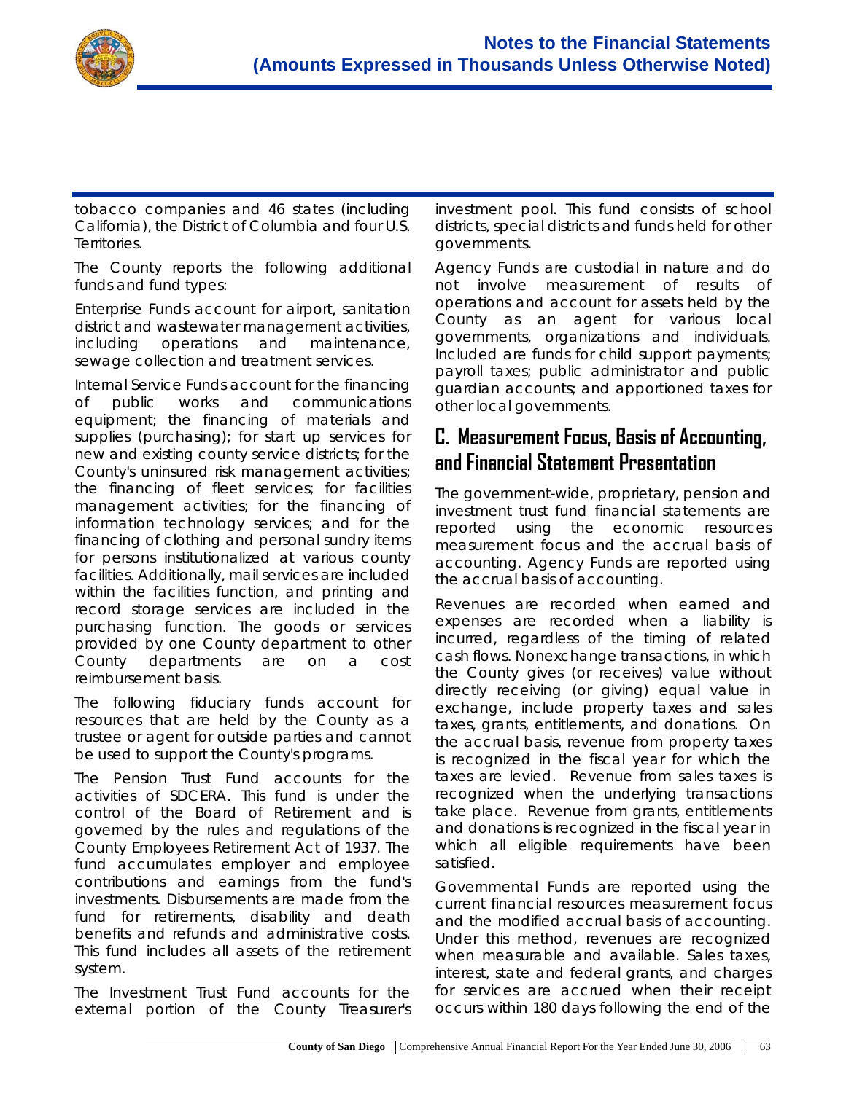

tobacco companies and 46 states (including California), the District of Columbia and four U.S. Territories.

The County reports the following additional funds and fund types:

*Enterprise Funds* account for airport, sanitation district and wastewater management activities, including operations and maintenance, sewage collection and treatment services.

*Internal Service Funds* account for the financing of public works and communications equipment; the financing of materials and supplies (purchasing); for start up services for new and existing county service districts; for the County's uninsured risk management activities; the financing of fleet services; for facilities management activities; for the financing of information technology services; and for the financing of clothing and personal sundry items for persons institutionalized at various county facilities. Additionally, mail services are included within the facilities function, and printing and record storage services are included in the purchasing function. The goods or services provided by one County department to other County departments are on a cost reimbursement basis.

The following *fiduciary funds* account for resources that are held by the County as a trustee or agent for outside parties and cannot be used to support the County's programs.

The *Pension Trust Fund* accounts for the activities of SDCERA. This fund is under the control of the Board of Retirement and is governed by the rules and regulations of the County Employees Retirement Act of 1937. The fund accumulates employer and employee contributions and earnings from the fund's investments. Disbursements are made from the fund for retirements, disability and death benefits and refunds and administrative costs. This fund includes all assets of the retirement system.

The *Investment Trust Fund* accounts for the external portion of the County Treasurer's investment pool. This fund consists of school districts, special districts and funds held for other governments.

*Agency Funds* are custodial in nature and do not involve measurement of results of operations and account for assets held by the County as an agent for various local governments, organizations and individuals. Included are funds for child support payments; payroll taxes; public administrator and public guardian accounts; and apportioned taxes for other local governments.

# **C. Measurement Focus, Basis of Accounting, and Financial Statement Presentation**

The government-wide, proprietary, pension and investment trust fund financial statements are reported using the economic resources measurement focus and the accrual basis of accounting. Agency Funds are reported using the accrual basis of accounting.

Revenues are recorded when earned and expenses are recorded when a liability is incurred, regardless of the timing of related cash flows. Nonexchange transactions, in which the County gives (or receives) value without directly receiving (or giving) equal value in exchange, include property taxes and sales taxes, grants, entitlements, and donations. On the accrual basis, revenue from property taxes is recognized in the fiscal year for which the taxes are levied. Revenue from sales taxes is recognized when the underlying transactions take place. Revenue from grants, entitlements and donations is recognized in the fiscal year in which all eligible requirements have been satisfied.

*Governmental Funds* are reported using the current financial resources measurement focus and the modified accrual basis of accounting. Under this method, revenues are recognized when measurable and available. Sales taxes, interest, state and federal grants, and charges for services are accrued when their receipt occurs within 180 days following the end of the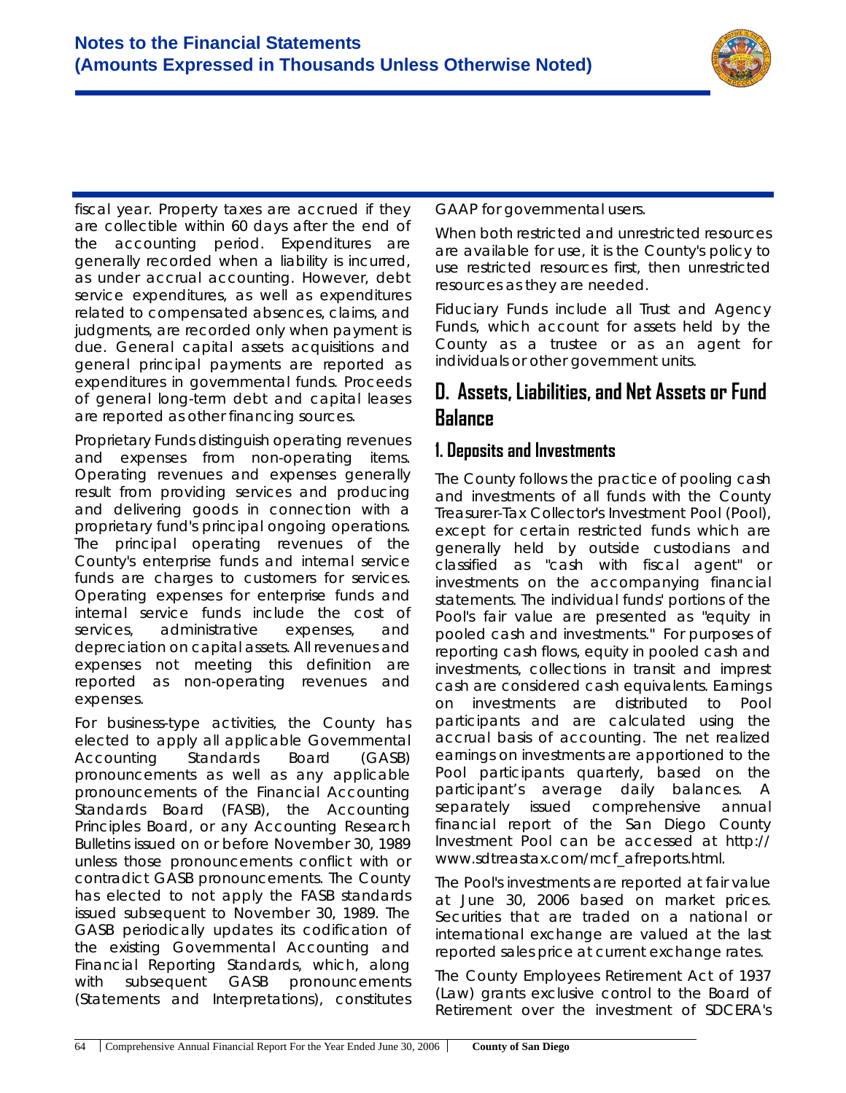

fiscal year. Property taxes are accrued if they are collectible within 60 days after the end of the accounting period. Expenditures are generally recorded when a liability is incurred, as under accrual accounting. However, debt service expenditures, as well as expenditures related to compensated absences, claims, and judgments, are recorded only when payment is due. General capital assets acquisitions and general principal payments are reported as expenditures in governmental funds. Proceeds of general long-term debt and capital leases are reported as other financing sources.

*Proprietary Funds* distinguish operating revenues and expenses from non-operating items. Operating revenues and expenses generally result from providing services and producing and delivering goods in connection with a proprietary fund's principal ongoing operations. The principal operating revenues of the County's enterprise funds and internal service funds are charges to customers for services. Operating expenses for enterprise funds and internal service funds include the cost of services, administrative expenses, and depreciation on capital assets. All revenues and expenses not meeting this definition are reported as non-operating revenues and expenses.

For *business-type activities*, the County has elected to apply all applicable Governmental Accounting Standards Board (GASB) pronouncements as well as any applicable pronouncements of the Financial Accounting Standards Board (FASB), the Accounting Principles Board, or any Accounting Research Bulletins issued on or before November 30, 1989 unless those pronouncements conflict with or contradict GASB pronouncements. The County has elected to not apply the FASB standards issued subsequent to November 30, 1989. The GASB periodically updates its codification of the existing Governmental Accounting and Financial Reporting Standards, which, along with subsequent GASB pronouncements (Statements and Interpretations), constitutes

GAAP for governmental users.

When both *restricted and unrestricted resources* are available for use, it is the County's policy to use restricted resources first, then unrestricted resources as they are needed.

*Fiduciary Funds* include all *Trust and Agency Funds*, which account for assets held by the County as a trustee or as an agent for individuals or other government units.

# **D. Assets, Liabilities, and Net Assets or Fund Balance**

### **1. Deposits and Investments**

The County follows the practice of pooling cash and investments of all funds with the County Treasurer-Tax Collector's *Investment Pool (Pool)*, except for certain restricted funds which are generally held by outside custodians and classified as "cash with fiscal agent" or investments on the accompanying financial statements. The individual funds' portions of the Pool's fair value are presented as "equity in pooled cash and investments." For purposes of reporting cash flows, equity in pooled cash and investments, collections in transit and imprest cash are considered cash equivalents. Earnings on investments are distributed to Pool participants and are calculated using the accrual basis of accounting. The net realized earnings on investments are apportioned to the Pool participants quarterly, based on the participant's average daily balances. A separately issued comprehensive annual financial report of the San Diego County Investment Pool can be accessed at http:// www.sdtreastax.com/mcf\_afreports.html.

The *Pool's* investments are reported at fair value at June 30, 2006 based on market prices. Securities that are traded on a national or international exchange are valued at the last reported sales price at current exchange rates.

The County Employees Retirement Act of 1937 (Law) grants exclusive control to the Board of Retirement over the investment of SDCERA's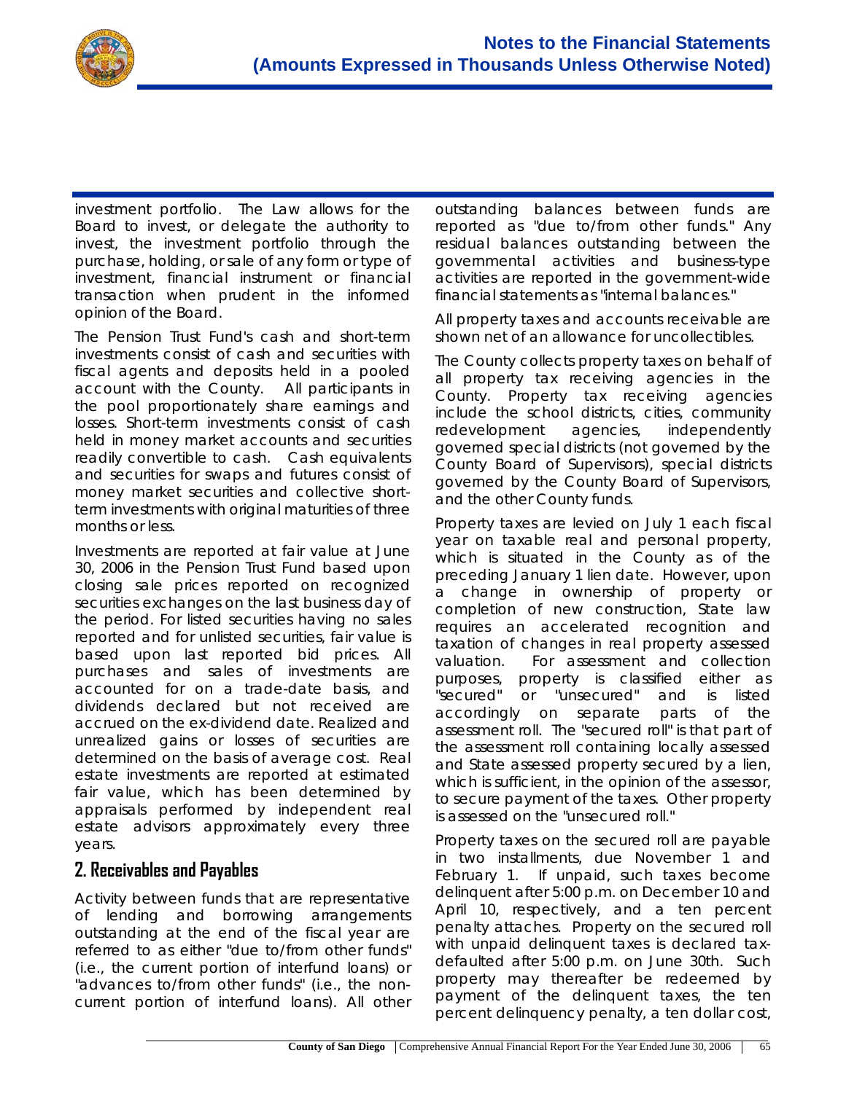

investment portfolio. The Law allows for the Board to invest, or delegate the authority to invest, the investment portfolio through the purchase, holding, or sale of any form or type of investment, financial instrument or financial transaction when prudent in the informed opinion of the Board.

The *Pension Trust Fund's* cash and short-term investments consist of cash and securities with fiscal agents and deposits held in a pooled account with the County. All participants in the pool proportionately share earnings and losses. Short-term investments consist of cash held in money market accounts and securities readily convertible to cash. Cash equivalents and securities for swaps and futures consist of money market securities and collective shortterm investments with original maturities of three months or less.

Investments are reported at fair value at June 30, 2006 in the Pension Trust Fund based upon closing sale prices reported on recognized securities exchanges on the last business day of the period. For listed securities having no sales reported and for unlisted securities, fair value is based upon last reported bid prices. All purchases and sales of investments are accounted for on a trade-date basis, and dividends declared but not received are accrued on the ex-dividend date. Realized and unrealized gains or losses of securities are determined on the basis of average cost. Real estate investments are reported at estimated fair value, which has been determined by appraisals performed by independent real estate advisors approximately every three years.

#### **2. Receivables and Payables**

Activity between funds that are representative of lending and borrowing arrangements outstanding at the end of the fiscal year are referred to as either "due to/from other funds" (i.e., the current portion of interfund loans) or "advances to/from other funds" (i.e., the noncurrent portion of interfund loans). All other outstanding balances between funds are reported as "due to/from other funds." Any residual balances outstanding between the governmental activities and business-type activities are reported in the government-wide financial statements as "internal balances."

All property taxes and accounts receivable are shown net of an allowance for uncollectibles.

The County collects property taxes on behalf of all property tax receiving agencies in the County. Property tax receiving agencies include the school districts, cities, community redevelopment agencies, independently governed special districts (not governed by the County Board of Supervisors), special districts governed by the County Board of Supervisors, and the other County funds.

Property taxes are levied on July 1 each fiscal year on taxable real and personal property, which is situated in the County as of the preceding January 1 lien date. However, upon a change in ownership of property or completion of new construction, State law requires an accelerated recognition and taxation of changes in real property assessed valuation. For assessment and collection purposes, property is classified either as "secured" or "unsecured" and is listed accordingly on separate parts of the assessment roll. The "secured roll" is that part of the assessment roll containing locally assessed and State assessed property secured by a lien, which is sufficient, in the opinion of the assessor, to secure payment of the taxes. Other property is assessed on the "unsecured roll."

Property taxes on the secured roll are payable in two installments, due November 1 and February 1. If unpaid, such taxes become delinquent after 5:00 p.m. on December 10 and April 10, respectively, and a ten percent penalty attaches. Property on the secured roll with unpaid delinquent taxes is declared taxdefaulted after 5:00 p.m. on June 30th. Such property may thereafter be redeemed by payment of the delinquent taxes, the ten percent delinquency penalty, a ten dollar cost,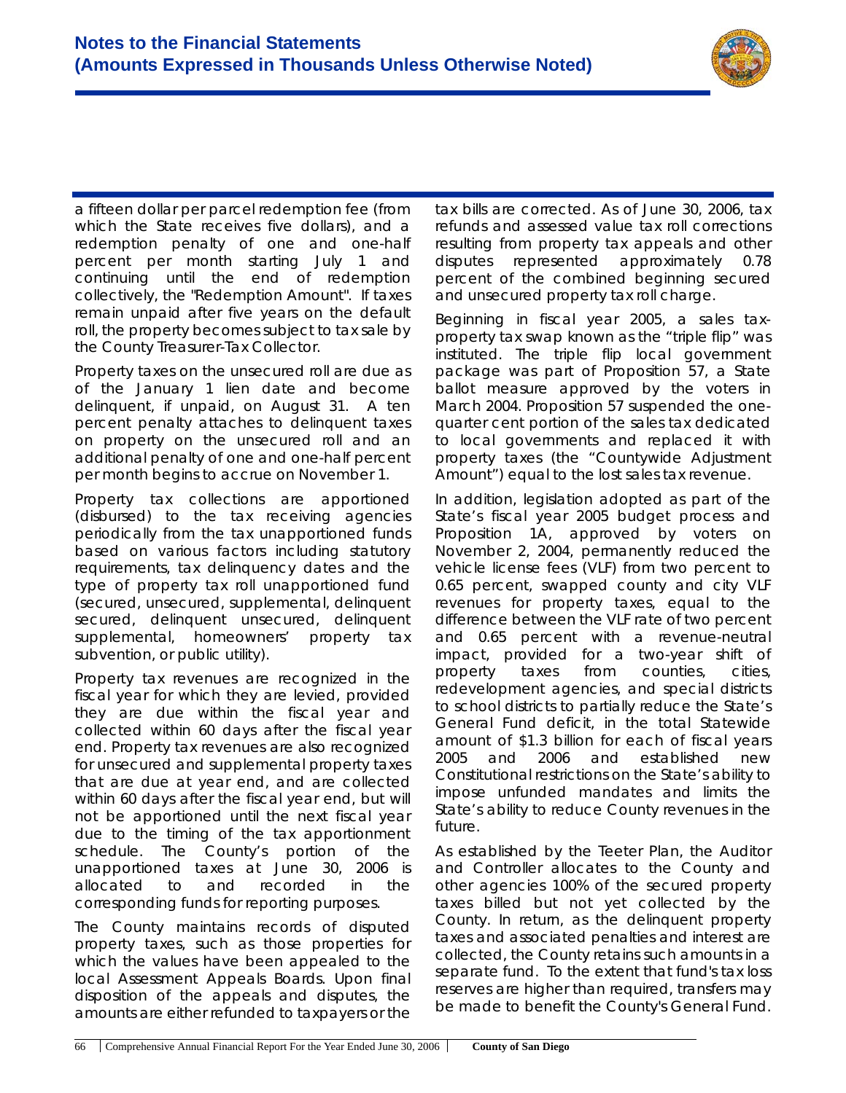

a fifteen dollar per parcel redemption fee (from which the State receives five dollars), and a redemption penalty of one and one-half percent per month starting July 1 and continuing until the end of redemption collectively, the "Redemption Amount". If taxes remain unpaid after five years on the default roll, the property becomes subject to tax sale by the County Treasurer-Tax Collector.

Property taxes on the unsecured roll are due as of the January 1 lien date and become delinquent, if unpaid, on August 31. A ten percent penalty attaches to delinquent taxes on property on the unsecured roll and an additional penalty of one and one-half percent per month begins to accrue on November 1.

Property tax collections are apportioned (disbursed) to the tax receiving agencies periodically from the tax unapportioned funds based on various factors including statutory requirements, tax delinquency dates and the type of property tax roll unapportioned fund (secured, unsecured, supplemental, delinquent secured, delinquent unsecured, delinquent supplemental, homeowners' property tax subvention, or public utility).

Property tax revenues are recognized in the fiscal year for which they are levied, provided they are due within the fiscal year and collected within 60 days after the fiscal year end. Property tax revenues are also recognized for unsecured and supplemental property taxes that are due at year end, and are collected within 60 days after the fiscal year end, but will not be apportioned until the next fiscal year due to the timing of the tax apportionment schedule. The County's portion of the unapportioned taxes at June 30, 2006 is allocated to and recorded in the corresponding funds for reporting purposes.

The County maintains records of disputed property taxes, such as those properties for which the values have been appealed to the local Assessment Appeals Boards. Upon final disposition of the appeals and disputes, the amounts are either refunded to taxpayers or the tax bills are corrected. As of June 30, 2006, tax refunds and assessed value tax roll corrections resulting from property tax appeals and other disputes represented approximately 0.78 percent of the combined beginning secured and unsecured property tax roll charge.

Beginning in fiscal year 2005, a sales taxproperty tax swap known as the "triple flip" was instituted. The triple flip local government package was part of Proposition 57, a State ballot measure approved by the voters in March 2004. Proposition 57 suspended the onequarter cent portion of the sales tax dedicated to local governments and replaced it with property taxes (the "Countywide Adjustment Amount") equal to the lost sales tax revenue.

In addition, legislation adopted as part of the State's fiscal year 2005 budget process and Proposition 1A, approved by voters on November 2, 2004, permanently reduced the vehicle license fees (VLF) from two percent to 0.65 percent, swapped county and city VLF revenues for property taxes, equal to the difference between the VLF rate of two percent and 0.65 percent with a revenue-neutral impact, provided for a two-year shift of property taxes from counties, cities, redevelopment agencies, and special districts to school districts to partially reduce the State's General Fund deficit, in the total Statewide amount of \$1.3 billion for each of fiscal years 2005 and 2006 and established new Constitutional restrictions on the State's ability to impose unfunded mandates and limits the State's ability to reduce County revenues in the future.

As established by the *Teeter Plan*, the Auditor and Controller allocates to the County and other agencies 100% of the secured property taxes billed but not yet collected by the County. In return, as the delinquent property taxes and associated penalties and interest are collected, the County retains such amounts in a separate fund. To the extent that fund's tax loss reserves are higher than required, transfers may be made to benefit the County's General Fund.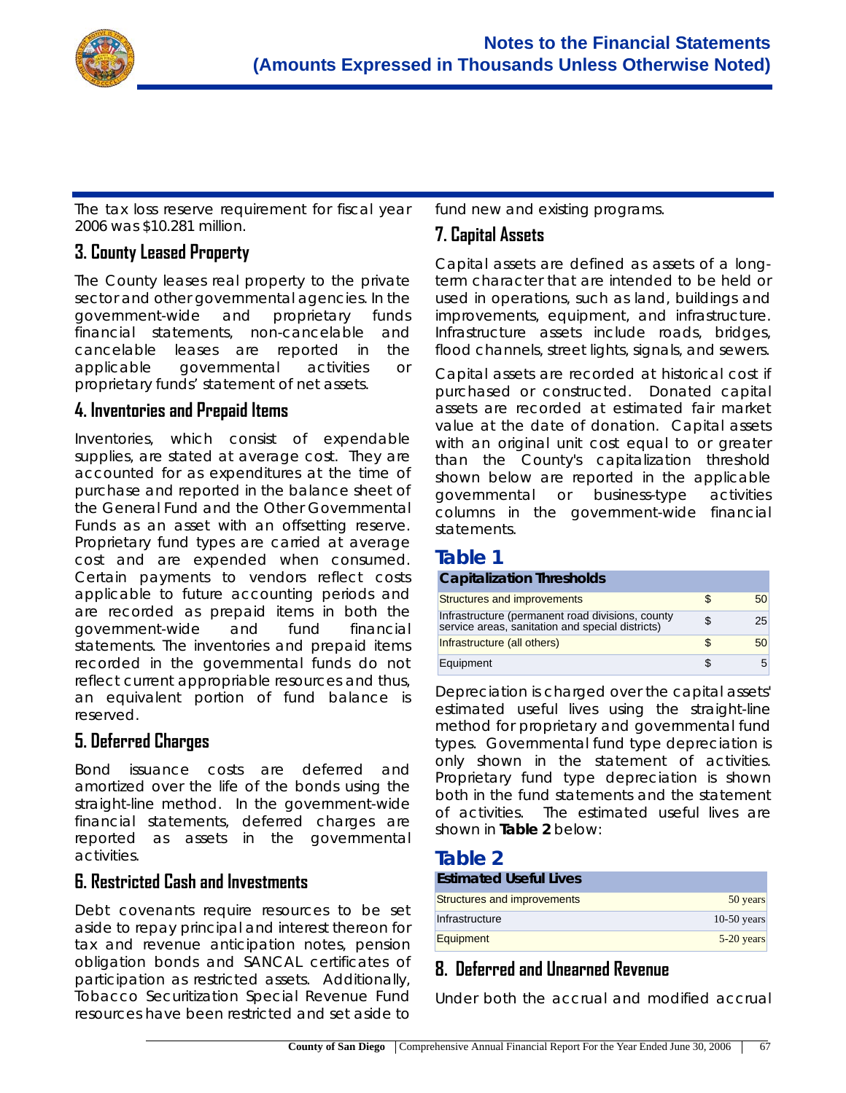

The tax loss reserve requirement for fiscal year 2006 was \$10.281 million.

### **3. County Leased Property**

The County leases real property to the private sector and other governmental agencies. In the government-wide and proprietary funds financial statements, non-cancelable and cancelable leases are reported in the applicable governmental activities or proprietary funds' statement of net assets.

#### **4. Inventories and Prepaid Items**

Inventories, which consist of expendable supplies, are stated at average cost. They are accounted for as expenditures at the time of purchase and reported in the balance sheet of the General Fund and the Other Governmental Funds as an asset with an offsetting reserve. Proprietary fund types are carried at average cost and are expended when consumed. Certain payments to vendors reflect costs applicable to future accounting periods and are recorded as prepaid items in both the government-wide and fund financial statements. The inventories and prepaid items recorded in the governmental funds do not reflect current appropriable resources and thus, an equivalent portion of fund balance is reserved.

#### **5. Deferred Charges**

Bond issuance costs are deferred and amortized over the life of the bonds using the straight-line method. In the government-wide financial statements, deferred charges are reported as assets in the governmental activities.

#### **6. Restricted Cash and Investments**

*Debt covenants* require resources to be set aside to repay principal and interest thereon for tax and revenue anticipation notes, pension obligation bonds and SANCAL certificates of participation as restricted assets. Additionally, Tobacco Securitization Special Revenue Fund resources have been restricted and set aside to

fund new and existing programs.

#### **7. Capital Assets**

Capital assets are defined as assets of a longterm character that are intended to be held or used in operations, such as land, buildings and improvements, equipment, and infrastructure. Infrastructure assets include roads, bridges, flood channels, street lights, signals, and sewers.

Capital assets are recorded at *historical cost* if purchased or constructed. Donated capital assets are recorded at *estimated fair market value* at the date of donation. Capital assets with an original unit cost equal to or greater than the County's *capitalization threshold* shown below are reported in the applicable *governmental* or *business-type activities* columns in the government-wide financial statements.

#### **Table 1**

#### **Capitalization Thresholds**

| Structures and improvements                                                                          | 50 |
|------------------------------------------------------------------------------------------------------|----|
| Infrastructure (permanent road divisions, county<br>service areas, sanitation and special districts) | 25 |
| Infrastructure (all others)                                                                          | 50 |
| Equipment                                                                                            |    |

*Depreciation* is charged over the capital assets' estimated useful lives using the *straight-line method* for proprietary and governmental fund types. Governmental fund type depreciation is only shown in the statement of activities. Proprietary fund type depreciation is shown both in the fund statements and the statement of activities. The estimated useful lives are shown in **Table 2** below:

#### **Table 2**

| <b>Estimated Useful Lives</b> |               |
|-------------------------------|---------------|
| Structures and improvements   | 50 years      |
| Infrastructure                | $10-50$ years |
| Equipment                     | $5-20$ years  |

#### **8. Deferred and Unearned Revenue**

Under both the accrual and modified accrual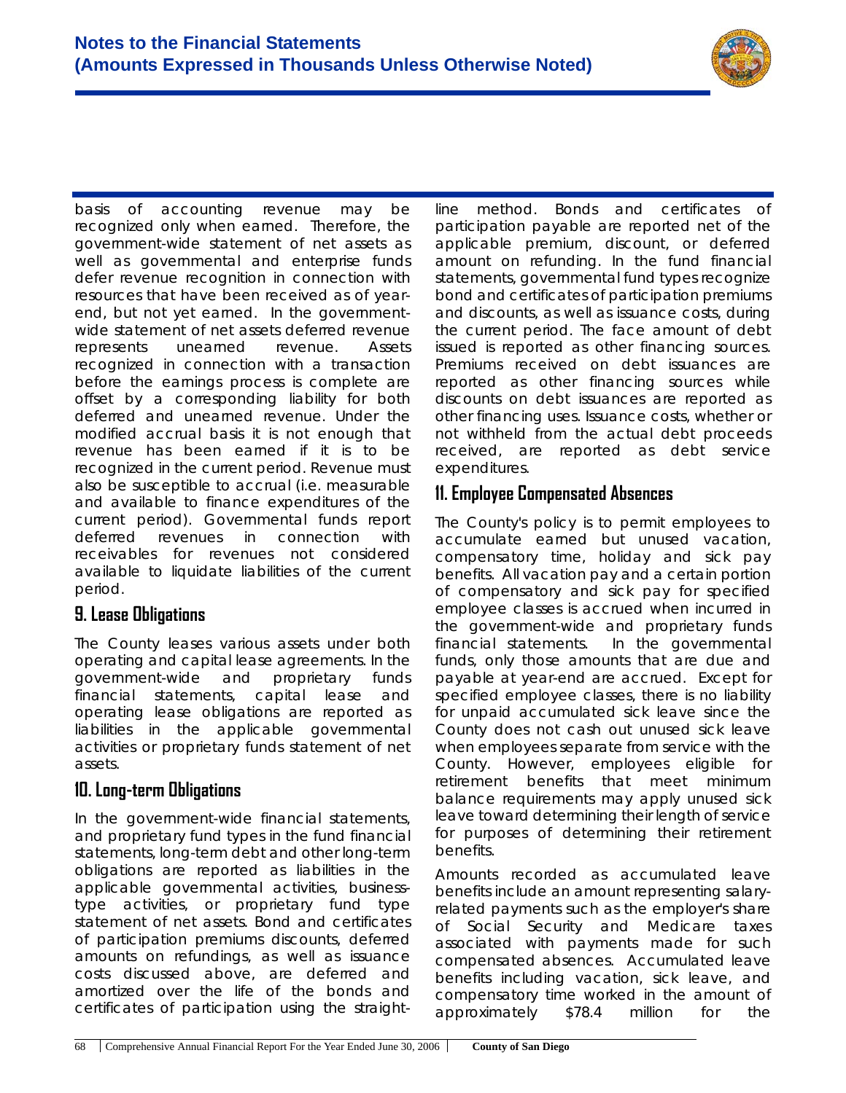

basis of accounting revenue may be recognized only when earned. Therefore, the government-wide statement of net assets as well as governmental and enterprise funds defer revenue recognition in connection with resources that have been received as of yearend, but not yet earned. In the governmentwide statement of net assets deferred revenue represents unearned revenue. Assets recognized in connection with a transaction before the earnings process is complete are offset by a corresponding liability for both deferred and unearned revenue. Under the modified accrual basis it is not enough that revenue has been earned if it is to be recognized in the current period. Revenue must also be susceptible to accrual (i.e. measurable and available to finance expenditures of the current period). Governmental funds report deferred revenues in connection with receivables for revenues not considered available to liquidate liabilities of the current period.

#### **9. Lease Obligations**

The County leases various assets under both *operating* and *capita*l lease agreements. In the government-wide and proprietary funds financial statements, capital lease and operating lease obligations are reported as liabilities in the applicable governmental activities or proprietary funds statement of net assets.

#### **10. Long-term Obligations**

In the government-wide financial statements, and proprietary fund types in the fund financial statements, long-term debt and other long-term obligations are reported as liabilities in the applicable governmental activities, businesstype activities, or proprietary fund type statement of net assets. Bond and certificates of participation premiums discounts, deferred amounts on refundings, as well as issuance costs discussed above, are *deferred* and *amortized* over the life of the bonds and certificates of participation using the *straight-*

*line method*. Bonds and certificates of participation payable are reported net of the applicable premium, discount, or deferred amount on refunding. In the fund financial statements, governmental fund types recognize bond and certificates of participation premiums and discounts, as well as issuance costs, during the current period. The face amount of debt issued is reported as other financing sources. Premiums received on debt issuances are reported as other financing sources while discounts on debt issuances are reported as other financing uses. Issuance costs, whether or not withheld from the actual debt proceeds received, are reported as debt service expenditures.

### **11. Employee Compensated Absences**

The County's policy is to permit employees to accumulate *earned* but *unused* vacation, compensatory time, holiday and sick pay benefits. All vacation pay and a certain portion of compensatory and sick pay for specified employee classes is accrued when incurred in the government-wide and proprietary funds financial statements. In the governmental funds, only those amounts that are due and payable at year-end are accrued. Except for specified employee classes, there is no liability for *unpaid accumulated* sick leave since the County does not cash out unused sick leave when employees separate from service with the County. However, employees eligible for retirement benefits that meet minimum balance requirements may apply unused sick leave toward determining their length of service for purposes of determining their retirement benefits.

Amounts recorded as accumulated leave benefits include an amount representing salaryrelated payments such as the employer's share of Social Security and Medicare taxes associated with payments made for such compensated absences. Accumulated leave benefits including vacation, sick leave, and compensatory time worked in the amount of approximately \$78.4 million for the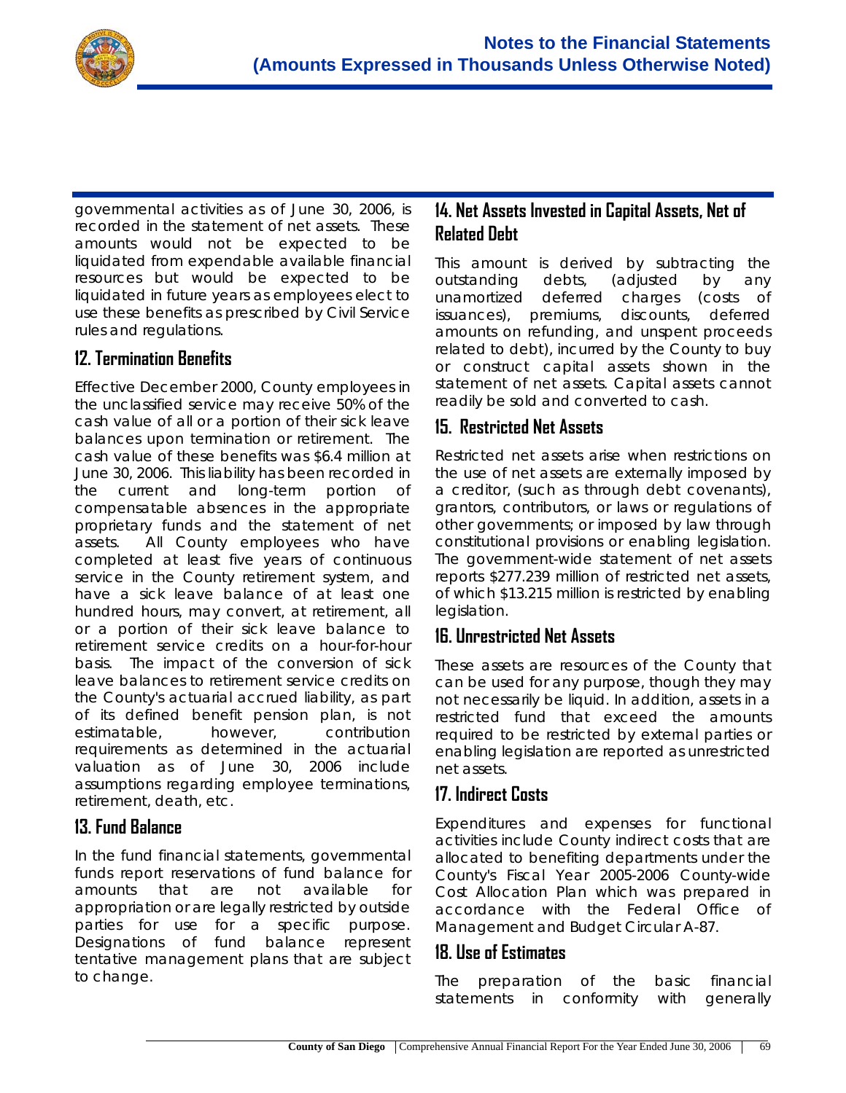

governmental activities as of June 30, 2006, is recorded in the statement of net assets. These amounts would not be expected to be liquidated from expendable available financial resources but would be expected to be liquidated in future years as employees elect to use these benefits as prescribed by Civil Service rules and regulations.

### **12. Termination Benefits**

Effective December 2000, County employees in the unclassified service may receive 50% of the cash value of all or a portion of their sick leave balances upon termination or retirement. The cash value of these benefits was \$6.4 million at June 30, 2006. This liability has been recorded in the current and long-term portion of compensatable absences in the appropriate proprietary funds and the statement of net assets. All County employees who have completed at least five years of continuous service in the County retirement system, and have a sick leave balance of at least one hundred hours, may convert, at retirement, all or a portion of their sick leave balance to retirement service credits on a hour-for-hour basis. The impact of the conversion of sick leave balances to retirement service credits on the County's actuarial accrued liability, as part of its defined benefit pension plan, is not estimatable, however, contribution requirements as determined in the actuarial valuation as of June 30, 2006 include assumptions regarding employee terminations, retirement, death, etc.

#### **13. Fund Balance**

In the fund financial statements, governmental funds report reservations of fund balance for amounts that are not available for appropriation or are legally restricted by outside parties for use for a specific purpose. Designations of fund balance represent tentative management plans that are subject to change.

### **14. Net Assets Invested in Capital Assets, Net of Related Debt**

This amount is derived by subtracting the outstanding debts, (adjusted by any unamortized deferred charges (costs of issuances), premiums, discounts, deferred amounts on refunding, and unspent proceeds related to debt), incurred by the County to buy or construct capital assets shown in the statement of net assets. Capital assets cannot readily be sold and converted to cash.

### **15. Restricted Net Assets**

Restricted net assets arise when restrictions on the use of net assets are externally imposed by a creditor, (such as through debt covenants), grantors, contributors, or laws or regulations of other governments; or imposed by law through constitutional provisions or enabling legislation. The government-wide statement of net assets reports \$277.239 million of restricted net assets, of which \$13.215 million is restricted by enabling legislation.

#### **16. Unrestricted Net Assets**

These assets are resources of the County that can be used for any purpose, though they may not necessarily be liquid. In addition, assets in a restricted fund that exceed the amounts required to be restricted by external parties or enabling legislation are reported as unrestricted net assets.

### **17. Indirect Costs**

Expenditures and expenses for functional activities include County indirect costs that are allocated to benefiting departments under the County's Fiscal Year 2005-2006 *County-wide Cost Allocation Plan* which was prepared in accordance with the Federal Office of Management and Budget Circular A-87.

#### **18. Use of Estimates**

The preparation of the basic financial statements in conformity with generally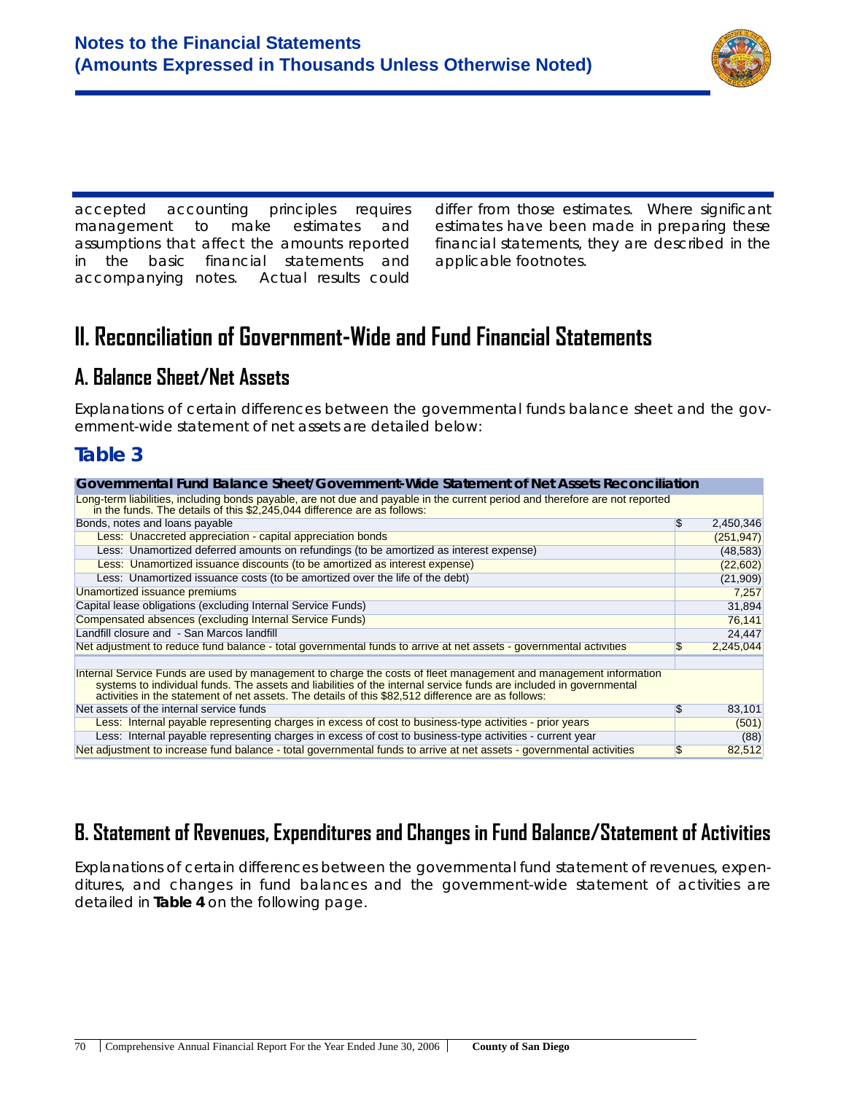

accepted accounting principles requires management to make estimates and assumptions that affect the amounts reported in the basic financial statements and accompanying notes. Actual results could

differ from those estimates. Where significant estimates have been made in preparing these financial statements, they are described in the applicable footnotes.

# **II. Reconciliation of Government-Wide and Fund Financial Statements**

## **A. Balance Sheet/Net Assets**

Explanations of certain differences between the governmental funds balance sheet and the government-wide statement of net assets are detailed below:

### **Table 3**

| Governmental Fund Balance Sheet/Government-Wide Statement of Net Assets Reconciliation                                                                                                                                                                                                                                                       |    |            |
|----------------------------------------------------------------------------------------------------------------------------------------------------------------------------------------------------------------------------------------------------------------------------------------------------------------------------------------------|----|------------|
| Long-term liabilities, including bonds payable, are not due and payable in the current period and therefore are not reported<br>in the funds. The details of this \$2,245,044 difference are as follows:                                                                                                                                     |    |            |
| Bonds, notes and loans payable                                                                                                                                                                                                                                                                                                               | \$ | 2,450,346  |
| Less: Unaccreted appreciation - capital appreciation bonds                                                                                                                                                                                                                                                                                   |    | (251, 947) |
| Less: Unamortized deferred amounts on refundings (to be amortized as interest expense)                                                                                                                                                                                                                                                       |    | (48, 583)  |
| Less: Unamortized issuance discounts (to be amortized as interest expense)                                                                                                                                                                                                                                                                   |    | (22, 602)  |
| Less: Unamortized issuance costs (to be amortized over the life of the debt)                                                                                                                                                                                                                                                                 |    | (21, 909)  |
| Unamortized issuance premiums                                                                                                                                                                                                                                                                                                                |    | 7,257      |
| Capital lease obligations (excluding Internal Service Funds)                                                                                                                                                                                                                                                                                 |    | 31,894     |
| Compensated absences (excluding Internal Service Funds)                                                                                                                                                                                                                                                                                      |    | 76,141     |
| Landfill closure and - San Marcos landfill                                                                                                                                                                                                                                                                                                   |    | 24,447     |
| Net adjustment to reduce fund balance - total governmental funds to arrive at net assets - governmental activities                                                                                                                                                                                                                           | £. | 2,245,044  |
| Internal Service Funds are used by management to charge the costs of fleet management and management information<br>systems to individual funds. The assets and liabilities of the internal service funds are included in governmental<br>activities in the statement of net assets. The details of this \$82,512 difference are as follows: |    |            |
| Net assets of the internal service funds                                                                                                                                                                                                                                                                                                     | \$ | 83,101     |
| Less: Internal payable representing charges in excess of cost to business-type activities - prior years                                                                                                                                                                                                                                      |    | (501)      |
| Less: Internal payable representing charges in excess of cost to business-type activities - current year                                                                                                                                                                                                                                     |    | (88)       |
| Net adjustment to increase fund balance - total governmental funds to arrive at net assets - governmental activities                                                                                                                                                                                                                         | \$ | 82,512     |

# **B. Statement of Revenues, Expenditures and Changes in Fund Balance/Statement of Activities**

Explanations of certain differences between the governmental fund statement of revenues, expenditures, and changes in fund balances and the government-wide statement of activities are detailed in **Table 4** on the following page.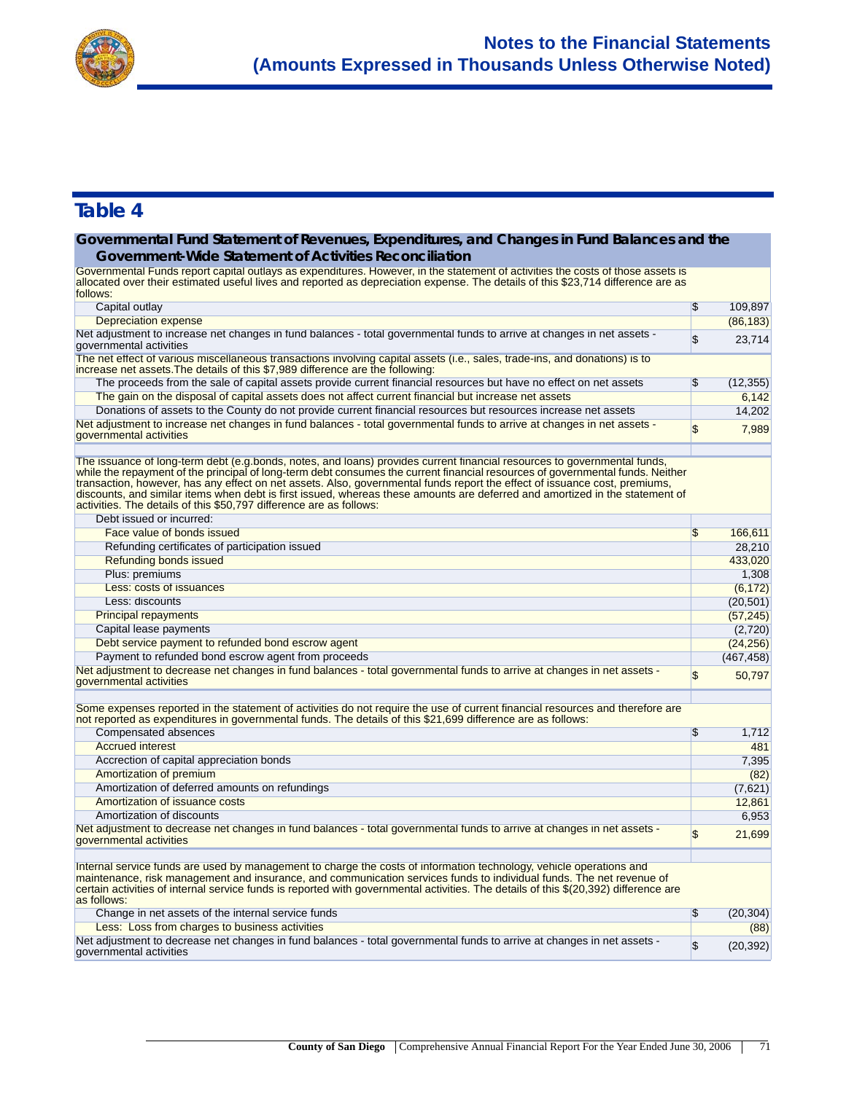

#### **Governmental Fund Statement of Revenues, Expenditures, and Changes in Fund Balances and the Government-Wide Statement of Activities Reconciliation**

allocated over their estimated useful lives and reported as depreciation expense. The details of this \$23,714 difference are as Governmental Funds report capital outlays as expenditures. However, in the statement of activities the costs of those assets is follows:

| Capital outlay                                                                                                                                                                                                                                                                                                                                                                                                                                                                                                                                                                                  | $\sqrt[6]{3}$             | 109,897    |
|-------------------------------------------------------------------------------------------------------------------------------------------------------------------------------------------------------------------------------------------------------------------------------------------------------------------------------------------------------------------------------------------------------------------------------------------------------------------------------------------------------------------------------------------------------------------------------------------------|---------------------------|------------|
| Depreciation expense                                                                                                                                                                                                                                                                                                                                                                                                                                                                                                                                                                            |                           | (86, 183)  |
| Net adjustment to increase net changes in fund balances - total governmental funds to arrive at changes in net assets -<br>governmental activities                                                                                                                                                                                                                                                                                                                                                                                                                                              | $\sqrt{3}$                | 23,714     |
| The net effect of various miscellaneous transactions involving capital assets (i.e., sales, trade-ins, and donations) is to<br>increase net assets. The details of this \$7,989 difference are the following:                                                                                                                                                                                                                                                                                                                                                                                   |                           |            |
| The proceeds from the sale of capital assets provide current financial resources but have no effect on net assets                                                                                                                                                                                                                                                                                                                                                                                                                                                                               | $\sqrt[6]{3}$             | (12, 355)  |
| The gain on the disposal of capital assets does not affect current financial but increase net assets                                                                                                                                                                                                                                                                                                                                                                                                                                                                                            |                           | 6.142      |
| Donations of assets to the County do not provide current financial resources but resources increase net assets                                                                                                                                                                                                                                                                                                                                                                                                                                                                                  |                           | 14,202     |
| Net adjustment to increase net changes in fund balances - total governmental funds to arrive at changes in net assets -<br>governmental activities                                                                                                                                                                                                                                                                                                                                                                                                                                              | \$                        | 7,989      |
| The issuance of long-term debt (e.g.bonds, notes, and loans) provides current financial resources to governmental funds,<br>while the repayment of the principal of long-term debt consumes the current financial resources of governmental funds. Neither<br>transaction, however, has any effect on net assets. Also, governmental funds report the effect of issuance cost, premiums,<br>discounts, and similar items when debt is first issued, whereas these amounts are deferred and amortized in the statement of<br>activities. The details of this \$50,797 difference are as follows: |                           |            |
| Debt issued or incurred:                                                                                                                                                                                                                                                                                                                                                                                                                                                                                                                                                                        |                           |            |
| Face value of bonds issued                                                                                                                                                                                                                                                                                                                                                                                                                                                                                                                                                                      | \$                        | 166,611    |
| Refunding certificates of participation issued                                                                                                                                                                                                                                                                                                                                                                                                                                                                                                                                                  |                           | 28,210     |
| Refunding bonds issued                                                                                                                                                                                                                                                                                                                                                                                                                                                                                                                                                                          |                           | 433,020    |
| Plus: premiums                                                                                                                                                                                                                                                                                                                                                                                                                                                                                                                                                                                  |                           | 1,308      |
| Less: costs of issuances                                                                                                                                                                                                                                                                                                                                                                                                                                                                                                                                                                        |                           | (6, 172)   |
| Less: discounts                                                                                                                                                                                                                                                                                                                                                                                                                                                                                                                                                                                 |                           | (20, 501)  |
| <b>Principal repayments</b>                                                                                                                                                                                                                                                                                                                                                                                                                                                                                                                                                                     |                           | (57, 245)  |
| Capital lease payments                                                                                                                                                                                                                                                                                                                                                                                                                                                                                                                                                                          |                           | (2,720)    |
| Debt service payment to refunded bond escrow agent                                                                                                                                                                                                                                                                                                                                                                                                                                                                                                                                              |                           | (24, 256)  |
| Payment to refunded bond escrow agent from proceeds                                                                                                                                                                                                                                                                                                                                                                                                                                                                                                                                             |                           | (467, 458) |
| Net adjustment to decrease net changes in fund balances - total governmental funds to arrive at changes in net assets -<br>governmental activities                                                                                                                                                                                                                                                                                                                                                                                                                                              | $\mathbf{\mathfrak{s}}$   | 50,797     |
| Some expenses reported in the statement of activities do not require the use of current financial resources and therefore are<br>not reported as expenditures in governmental funds. The details of this \$21,699 difference are as follows:                                                                                                                                                                                                                                                                                                                                                    |                           |            |
| Compensated absences                                                                                                                                                                                                                                                                                                                                                                                                                                                                                                                                                                            | $\sqrt[6]{3}$             | 1,712      |
| <b>Accrued interest</b>                                                                                                                                                                                                                                                                                                                                                                                                                                                                                                                                                                         |                           | 481        |
| Accrection of capital appreciation bonds                                                                                                                                                                                                                                                                                                                                                                                                                                                                                                                                                        |                           | 7,395      |
| Amortization of premium                                                                                                                                                                                                                                                                                                                                                                                                                                                                                                                                                                         |                           | (82)       |
| Amortization of deferred amounts on refundings                                                                                                                                                                                                                                                                                                                                                                                                                                                                                                                                                  |                           | (7,621)    |
| Amortization of issuance costs                                                                                                                                                                                                                                                                                                                                                                                                                                                                                                                                                                  |                           | 12,861     |
| Amortization of discounts                                                                                                                                                                                                                                                                                                                                                                                                                                                                                                                                                                       |                           | 6,953      |
| Net adjustment to decrease net changes in fund balances - total governmental funds to arrive at changes in net assets -<br>governmental activities                                                                                                                                                                                                                                                                                                                                                                                                                                              | \$                        | 21,699     |
|                                                                                                                                                                                                                                                                                                                                                                                                                                                                                                                                                                                                 |                           |            |
| Internal service funds are used by management to charge the costs of information technology, vehicle operations and<br>maintenance, risk management and insurance, and communication services funds to individual funds. The net revenue of<br>certain activities of internal service funds is reported with governmental activities. The details of this \$(20,392) difference are<br>as follows:                                                                                                                                                                                              |                           |            |
| Change in net assets of the internal service funds                                                                                                                                                                                                                                                                                                                                                                                                                                                                                                                                              | $\sqrt{3}$                | (20, 304)  |
| Less: Loss from charges to business activities                                                                                                                                                                                                                                                                                                                                                                                                                                                                                                                                                  |                           | (88)       |
| Net adjustment to decrease net changes in fund balances - total governmental funds to arrive at changes in net assets -<br>governmental activities                                                                                                                                                                                                                                                                                                                                                                                                                                              | $\boldsymbol{\mathsf{S}}$ | (20, 392)  |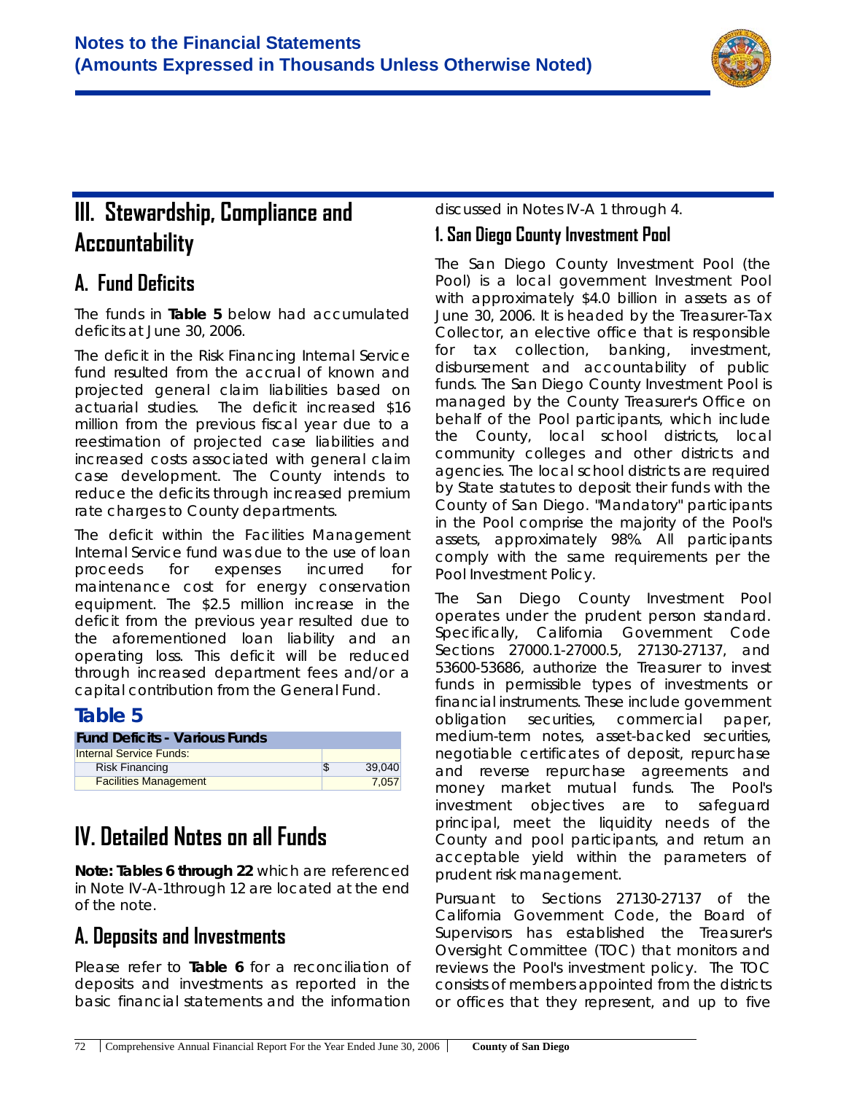

# **III. Stewardship, Compliance and Accountability**

# **A. Fund Deficits**

The funds in **Table 5** below had accumulated deficits at June 30, 2006.

The deficit in the Risk Financing Internal Service fund resulted from the accrual of known and projected general claim liabilities based on actuarial studies. The deficit increased \$16 million from the previous fiscal year due to a reestimation of projected case liabilities and increased costs associated with general claim case development. The County intends to reduce the deficits through increased premium rate charges to County departments.

The deficit within the Facilities Management Internal Service fund was due to the use of loan proceeds for expenses incurred for maintenance cost for energy conservation equipment. The \$2.5 million increase in the deficit from the previous year resulted due to the aforementioned loan liability and an operating loss. This deficit will be reduced through increased department fees and/or a capital contribution from the General Fund.

### **Table 5**

| <b>Fund Deficits - Various Funds</b> |        |
|--------------------------------------|--------|
| <b>Internal Service Funds:</b>       |        |
| <b>Risk Financing</b>                | 39.040 |
| <b>Facilities Management</b>         | 7.057  |

# **IV. Detailed Notes on all Funds**

**Note: Tables 6 through 22** which are referenced in Note IV-A-1through 12 are located at the end of the note.

# **A. Deposits and Investments**

Please refer to **Table 6** for a reconciliation of deposits and investments as reported in the basic financial statements and the information discussed in Notes IV-A 1 through 4.

### **1. San Diego County Investment Pool**

The *San Diego County Investment Pool (the Pool)* is a local government Investment Pool with approximately \$4.0 billion in assets as of June 30, 2006. It is headed by the Treasurer-Tax Collector, an elective office that is responsible for tax collection, banking, investment, disbursement and accountability of public funds. The San Diego County Investment Pool is managed by the County Treasurer's Office on behalf of the Pool participants, which include the County, local school districts, local community colleges and other districts and agencies. The local school districts are required by State statutes to deposit their funds with the County of San Diego. *"Mandatory"* participants in the Pool comprise the majority of the Pool's assets, approximately *98%*. All participants comply with the same requirements per the Pool Investment Policy.

The San Diego County Investment Pool operates under the prudent person standard. Specifically, California Government Code Sections 27000.1-27000.5, 27130-27137, and 53600-53686, authorize the Treasurer to invest funds in permissible types of investments or financial instruments. These include government obligation securities, commercial paper, medium-term notes, asset-backed securities, negotiable certificates of deposit, repurchase and reverse repurchase agreements and money market mutual funds. The Pool's *investment objectives* are to safeguard principal, meet the liquidity needs of the County and pool participants, and return an acceptable yield within the parameters of prudent risk management.

Pursuant to Sections 27130-27137 of the California Government Code, the Board of Supervisors has established the Treasurer's Oversight Committee (TOC) that monitors and reviews the Pool's investment policy. The TOC consists of members appointed from the districts or offices that they represent, and up to five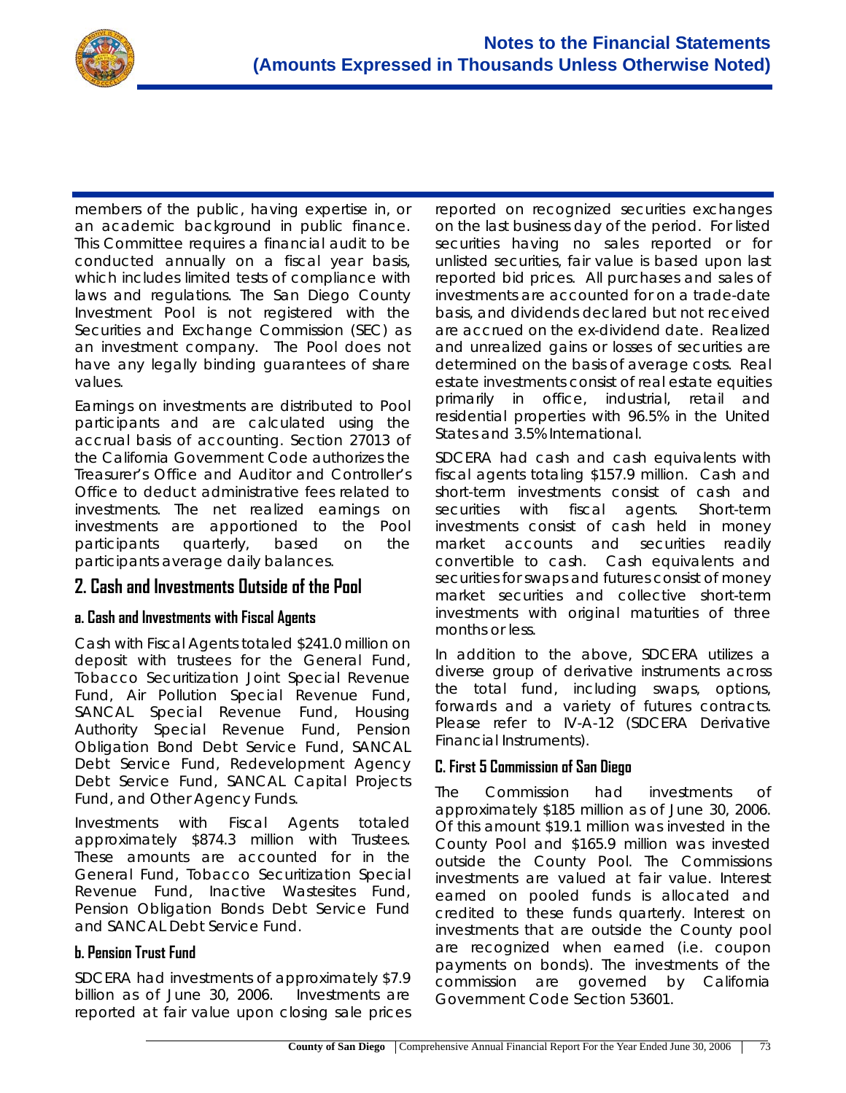

members of the public, having expertise in, or an academic background in public finance. This Committee requires a financial audit to be conducted annually on a fiscal year basis, which includes limited tests of compliance with laws and regulations. The San Diego County Investment Pool is not registered with the Securities and Exchange Commission (SEC) as an investment company. The Pool does not have any legally binding guarantees of share values.

Earnings on investments are distributed to Pool participants and are calculated using the accrual basis of accounting. Section 27013 of the California Government Code authorizes the Treasurer's Office and Auditor and Controller's Office to deduct administrative fees related to investments. The net realized earnings on investments are apportioned to the Pool participants quarterly, based on the participants average daily balances.

#### **2. Cash and Investments Outside of the Pool**

#### **a. Cash and Investments with Fiscal Agents**

*Cash with Fiscal Agents* totaled \$241.0 million on deposit with trustees for the General Fund, Tobacco Securitization Joint Special Revenue Fund, Air Pollution Special Revenue Fund, SANCAL Special Revenue Fund, Housing Authority Special Revenue Fund, Pension Obligation Bond Debt Service Fund, SANCAL Debt Service Fund, Redevelopment Agency Debt Service Fund, SANCAL Capital Projects Fund, and Other Agency Funds.

*Investments with Fiscal Agents* totaled approximately \$874.3 million with Trustees. These amounts are accounted for in the General Fund, Tobacco Securitization Special Revenue Fund, Inactive Wastesites Fund, Pension Obligation Bonds Debt Service Fund and SANCAL Debt Service Fund.

#### **b. Pension Trust Fund**

*SDCERA* had *investments* of approximately \$7.9 billion as of June 30, 2006. Investments are reported at fair value upon closing sale prices reported on recognized securities exchanges on the last business day of the period. For listed securities having no sales reported or for unlisted securities, fair value is based upon last reported bid prices. All purchases and sales of investments are accounted for on a trade-date basis, and dividends declared but not received are accrued on the ex-dividend date. Realized and unrealized gains or losses of securities are determined on the basis of average costs. Real estate investments consist of real estate equities primarily in office, industrial, retail and residential properties with 96.5% in the United States and 3.5% International.

*SDCERA* had *cash and cash equivalents with fiscal agents* totaling \$157.9 million. Cash and short-term investments consist of cash and securities with fiscal agents. Short-term investments consist of cash held in money market accounts and securities readily convertible to cash. Cash equivalents and securities for swaps and futures consist of money market securities and collective short-term investments with original maturities of three months or less.

In addition to the above, SDCERA utilizes a diverse group of derivative instruments across the total fund, including swaps, options, forwards and a variety of futures contracts. Please refer to IV-A-12 (SDCERA Derivative Financial Instruments).

#### **C. First 5 Commission of San Diego**

The Commission had *investments* of approximately \$185 million as of June 30, 2006. Of this amount \$19.1 million was invested in the County Pool and \$165.9 million was invested outside the County Pool. The Commissions investments are valued at fair value. Interest earned on pooled funds is allocated and credited to these funds quarterly. Interest on investments that are outside the County pool are recognized when earned (i.e. coupon payments on bonds). The investments of the commission are governed by California Government Code Section 53601.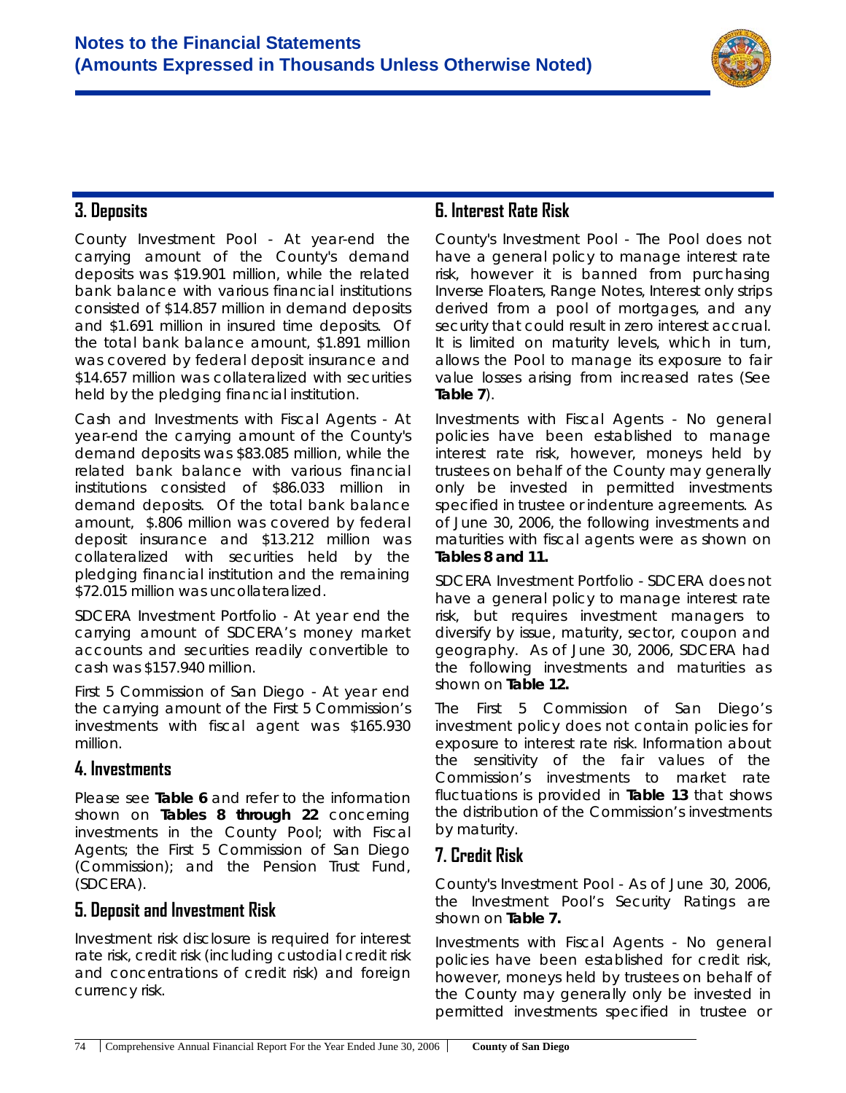

### **3. Deposits**

*County Investment Pool* - At year-end the carrying amount of the County's demand deposits was \$19.901 million, while the related bank balance with various financial institutions consisted of \$14.857 million in demand deposits and \$1.691 million in insured time deposits. Of the total bank balance amount, \$1.891 million was covered by federal deposit insurance and \$14.657 million was collateralized with securities held by the pledging financial institution.

*Cash and Investments with Fiscal Agents* - At year-end the carrying amount of the County's demand deposits was \$83.085 million, while the related bank balance with various financial institutions consisted of \$86.033 million in demand deposits. Of the total bank balance amount, \$.806 million was covered by federal deposit insurance and \$13.212 million was collateralized with securities held by the pledging financial institution and the remaining \$72.015 million was uncollateralized.

*SDCERA Investment Portfolio* - At year end the carrying amount of SDCERA's money market accounts and securities readily convertible to cash was \$157.940 million.

*First 5 Commission of San Diego* - At year end the carrying amount of the First 5 Commission's investments with fiscal agent was \$165.930 million.

#### **4. Investments**

Please see **Table 6** and refer to the information shown on **Tables 8 through 22** concerning investments in *the County Pool;* with *Fiscal Agents; the First 5 Commission of San Diego (Commission);* and the *Pension Trust Fund, (SDCERA).*

#### **5. Deposit and Investment Risk**

Investment risk disclosure is required for interest rate risk, credit risk (including custodial credit risk and concentrations of credit risk) and foreign currency risk.

### **6. Interest Rate Risk**

*County's Investment Pool* - The Pool does not have a general policy to manage interest rate risk, however it is banned from purchasing Inverse Floaters, Range Notes, Interest only strips derived from a pool of mortgages, and any security that could result in zero interest accrual. It is limited on maturity levels, which in turn, allows the Pool to manage its exposure to fair value losses arising from increased rates (See **Table 7**).

*Investments with Fiscal Agents* - No general policies have been established to manage interest rate risk, however, moneys held by trustees on behalf of the County may generally only be invested in permitted investments specified in trustee or indenture agreements. As of June 30, 2006, the following investments and maturities with fiscal agents were as shown on **Tables 8 and 11.**

*SDCERA Investment Portfolio* - SDCERA does not have a general policy to manage interest rate risk, but requires investment managers to diversify by issue, maturity, sector, coupon and geography. As of June 30, 2006, SDCERA had the following investments and maturities as shown on **Table 12.**

The *First 5 Commission of San Diego's* investment policy does not contain policies for exposure to interest rate risk. Information about the sensitivity of the fair values of the Commission's investments to market rate fluctuations is provided in **Table 13** that shows the distribution of the Commission's investments by maturity.

### **7. Credit Risk**

*County's Investment Pool* - As of June 30, 2006, the Investment Pool's Security Ratings are shown on **Table 7.**

*Investments with Fiscal Agents* - No general policies have been established for credit risk, however, moneys held by trustees on behalf of the County may generally only be invested in permitted investments specified in trustee or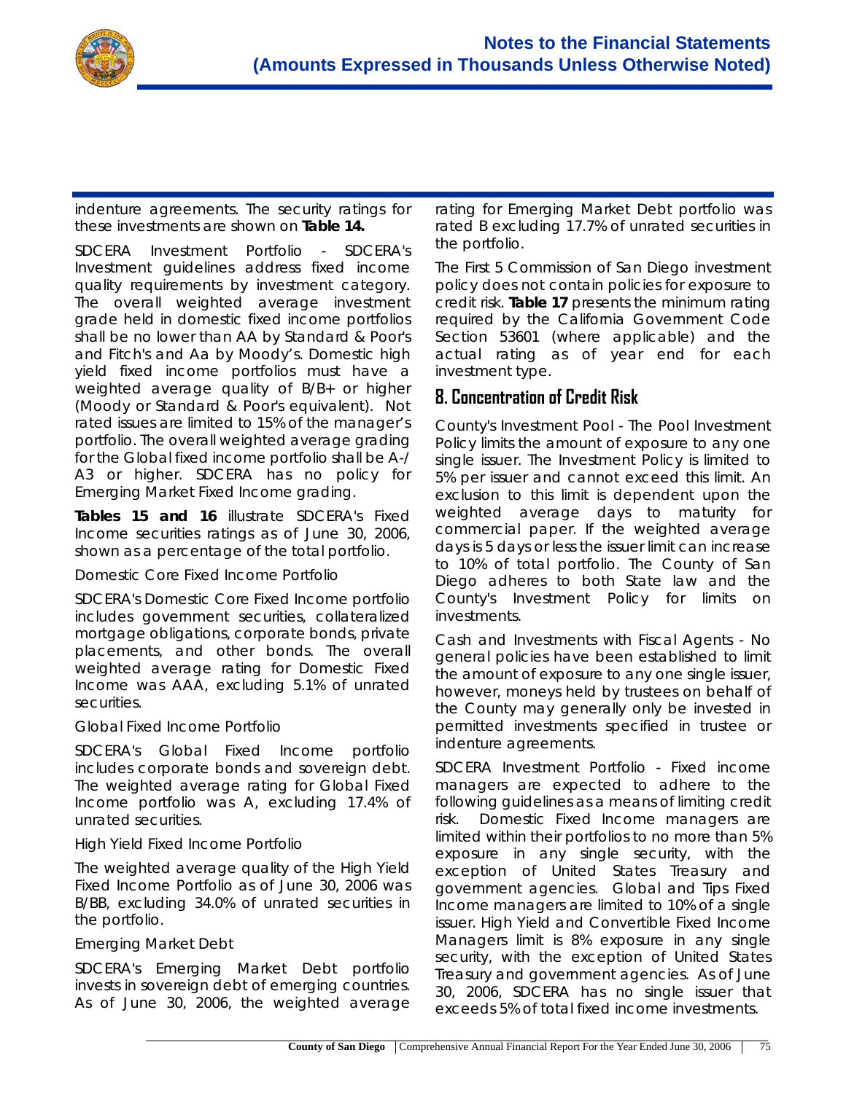

indenture agreements. The security ratings for these investments are shown on **Table 14.**

*SDCERA Investment Portfolio* - SDCERA's Investment guidelines address fixed income quality requirements by investment category. The overall weighted average investment grade held in domestic fixed income portfolios shall be no lower than AA by Standard & Poor's and Fitch's and Aa by Moody's. Domestic high yield fixed income portfolios must have a weighted average quality of B/B+ or higher (Moody or Standard & Poor's equivalent). Not rated issues are limited to 15% of the manager's portfolio. The overall weighted average grading for the Global fixed income portfolio shall be A-/ A3 or higher. SDCERA has no policy for Emerging Market Fixed Income grading.

**Tables 15 and 16** illustrate SDCERA's Fixed Income securities ratings as of June 30, 2006, shown as a percentage of the total portfolio.

#### Domestic Core Fixed Income Portfolio

SDCERA's Domestic Core Fixed Income portfolio includes government securities, collateralized mortgage obligations, corporate bonds, private placements, and other bonds. The overall weighted average rating for Domestic Fixed Income was AAA, excluding 5.1% of unrated securities.

#### Global Fixed Income Portfolio

SDCERA's Global Fixed Income portfolio includes corporate bonds and sovereign debt. The weighted average rating for Global Fixed Income portfolio was A, excluding 17.4% of unrated securities.

#### High Yield Fixed Income Portfolio

The weighted average quality of the High Yield Fixed Income Portfolio as of June 30, 2006 was B/BB, excluding 34.0% of unrated securities in the portfolio.

#### Emerging Market Debt

SDCERA's Emerging Market Debt portfolio invests in sovereign debt of emerging countries. As of June 30, 2006, the weighted average rating for Emerging Market Debt portfolio was rated B excluding 17.7% of unrated securities in the portfolio.

The *First 5 Commission of San Diego* investment policy does not contain policies for exposure to credit risk. **Table 17** presents the minimum rating required by the California Government Code Section 53601 (where applicable) and the actual rating as of year end for each investment type.

#### **8. Concentration of Credit Risk**

*County's Investment Pool* - The Pool Investment Policy limits the amount of exposure to any one single issuer. The Investment Policy is limited to 5% per issuer and cannot exceed this limit. An exclusion to this limit is dependent upon the weighted average days to maturity for commercial paper. If the weighted average days is 5 days or less the issuer limit can increase to 10% of total portfolio. The County of San Diego adheres to both State law and the County's Investment Policy for limits on investments.

*Cash and Investments with Fiscal Agents* - No general policies have been established to limit the amount of exposure to any one single issuer, however, moneys held by trustees on behalf of the County may generally only be invested in permitted investments specified in trustee or indenture agreements.

*SDCERA Investment Portfolio* - Fixed income managers are expected to adhere to the following guidelines as a means of limiting credit risk. Domestic Fixed Income managers are limited within their portfolios to no more than 5% exposure in any single security, with the exception of United States Treasury and government agencies. Global and Tips Fixed Income managers are limited to 10% of a single issuer. High Yield and Convertible Fixed Income Managers limit is 8% exposure in any single security, with the exception of United States Treasury and government agencies. As of June 30, 2006, SDCERA has no single issuer that exceeds 5% of total fixed income investments.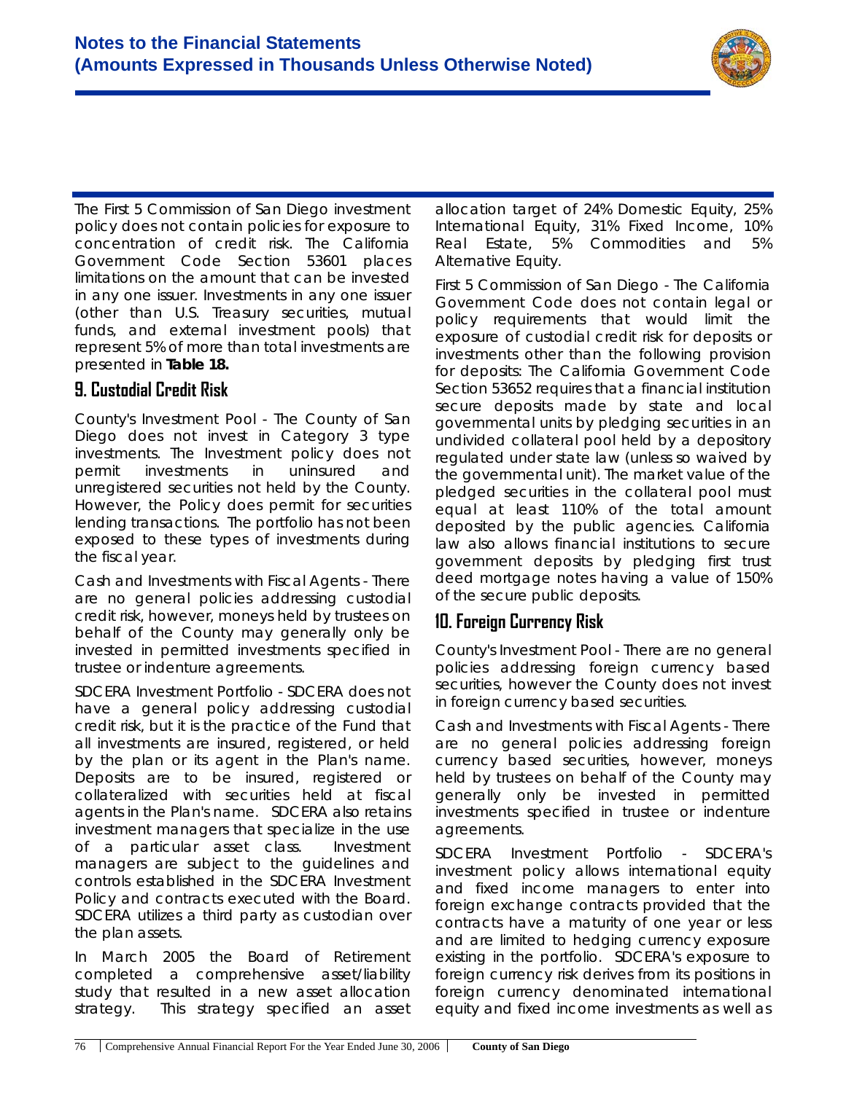

The *First 5 Commission of San Diego* investment policy does not contain policies for exposure to concentration of credit risk. The California Government Code Section 53601 places limitations on the amount that can be invested in any one issuer. Investments in any one issuer (other than U.S. Treasury securities, mutual funds, and external investment pools) that represent 5% of more than total investments are presented in **Table 18.**

### **9. Custodial Credit Risk**

*County's Investment Pool* - The County of San Diego does not invest in Category 3 type investments. The Investment policy does not permit investments in uninsured and unregistered securities not held by the County. However, the Policy does permit for securities lending transactions. The portfolio has not been exposed to these types of investments during the fiscal year.

*Cash and Investments with Fiscal Agents* - There are no general policies addressing custodial credit risk, however, moneys held by trustees on behalf of the County may generally only be invested in permitted investments specified in trustee or indenture agreements.

*SDCERA Investment Portfolio* - SDCERA does not have a general policy addressing custodial credit risk, but it is the practice of the Fund that all investments are insured, registered, or held by the plan or its agent in the Plan's name. Deposits are to be insured, registered or collateralized with securities held at fiscal agents in the Plan's name. SDCERA also retains investment managers that specialize in the use of a particular asset class. Investment managers are subject to the guidelines and controls established in the SDCERA Investment Policy and contracts executed with the Board. SDCERA utilizes a third party as custodian over the plan assets.

In March 2005 the Board of Retirement completed a comprehensive asset/liability study that resulted in a new asset allocation strategy. This strategy specified an asset

allocation target of 24% Domestic Equity, 25% International Equity, 31% Fixed Income, 10% Real Estate, 5% Commodities and 5% Alternative Equity.

*First 5 Commission of San Diego -* The California Government Code does not contain legal or policy requirements that would limit the exposure of custodial credit risk for deposits or investments other than the following provision for deposits: The California Government Code Section 53652 requires that a financial institution secure deposits made by state and local governmental units by pledging securities in an undivided collateral pool held by a depository regulated under state law (unless so waived by the governmental unit). The market value of the pledged securities in the collateral pool must equal at least 110% of the total amount deposited by the public agencies. California law also allows financial institutions to secure government deposits by pledging first trust deed mortgage notes having a value of 150% of the secure public deposits.

### **10. Foreign Currency Risk**

*County's Investment Pool* - There are no general policies addressing foreign currency based securities, however the County does not invest in foreign currency based securities.

*Cash and Investments with Fiscal Agents* - There are no general policies addressing foreign currency based securities, however, moneys held by trustees on behalf of the County may generally only be invested in permitted investments specified in trustee or indenture agreements.

*SDCERA Investment Portfolio* - SDCERA's investment policy allows international equity and fixed income managers to enter into foreign exchange contracts provided that the contracts have a maturity of one year or less and are limited to hedging currency exposure existing in the portfolio. SDCERA's exposure to foreign currency risk derives from its positions in foreign currency denominated international equity and fixed income investments as well as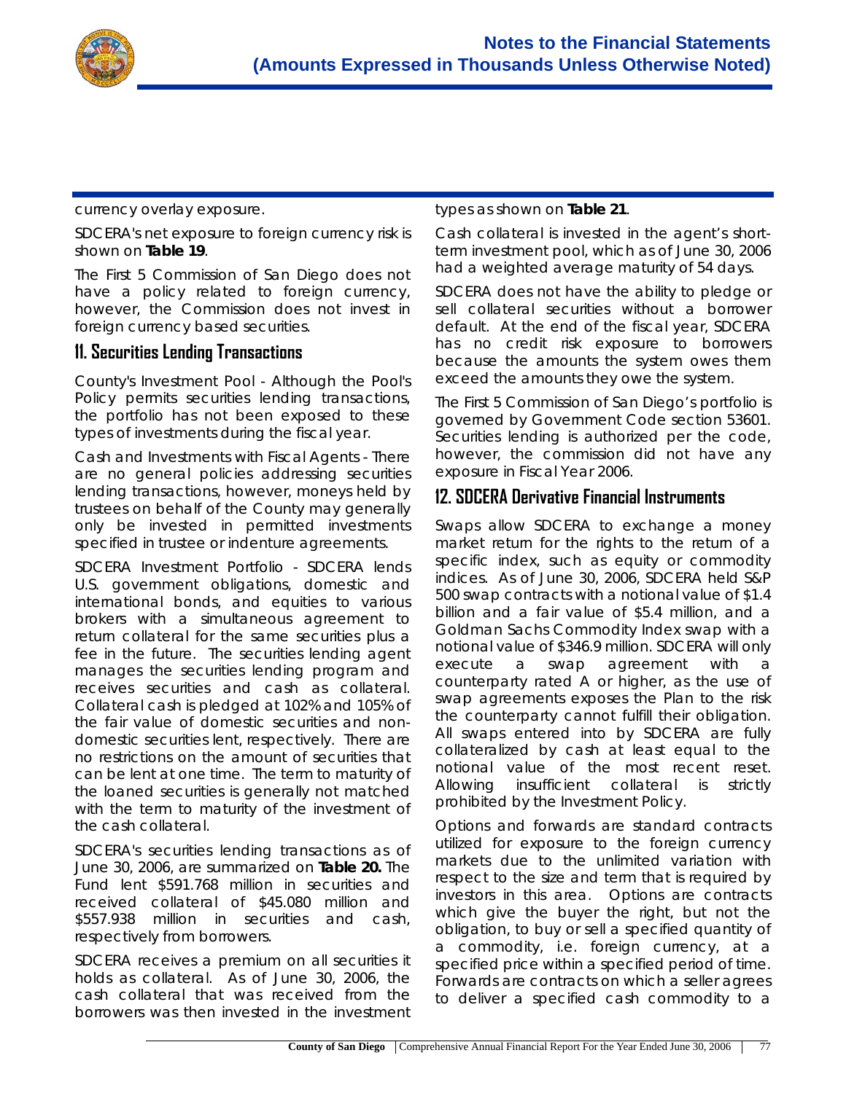

currency overlay exposure.

SDCERA's net exposure to foreign currency risk is shown on **Table 19**.

The *First 5 Commission of San Diego* does not have a policy related to foreign currency, however, the Commission does not invest in foreign currency based securities.

#### **11. Securities Lending Transactions**

*County's Investment Pool* - Although the Pool's Policy permits securities lending transactions, the portfolio has not been exposed to these types of investments during the fiscal year.

*Cash and Investments with Fiscal Agents* - There are no general policies addressing securities lending transactions, however, moneys held by trustees on behalf of the County may generally only be invested in permitted investments specified in trustee or indenture agreements.

*SDCERA Investment Portfolio* - SDCERA lends U.S. government obligations, domestic and international bonds, and equities to various brokers with a simultaneous agreement to return collateral for the same securities plus a fee in the future. The securities lending agent manages the securities lending program and receives securities and cash as collateral. Collateral cash is pledged at 102% and 105% of the fair value of domestic securities and nondomestic securities lent, respectively. There are no restrictions on the amount of securities that can be lent at one time. The term to maturity of the loaned securities is generally not matched with the term to maturity of the investment of the cash collateral.

SDCERA's securities lending transactions as of June 30, 2006, are summarized on **Table 20.** The Fund lent \$591.768 million in securities and received collateral of \$45.080 million and \$557.938 million in securities and cash, respectively from borrowers.

SDCERA receives a premium on all securities it holds as collateral. As of June 30, 2006, the cash collateral that was received from the borrowers was then invested in the investment types as shown on **Table 21***.*

Cash collateral is invested in the agent's shortterm investment pool, which as of June 30, 2006 had a weighted average maturity of 54 days.

SDCERA does not have the ability to pledge or sell collateral securities without a borrower default. At the end of the fiscal year, SDCERA has no credit risk exposure to borrowers because the amounts the system owes them exceed the amounts they owe the system.

The *First 5 Commission of San Diego's* portfolio is governed by Government Code section 53601. Securities lending is authorized per the code, however, the commission did not have any exposure in Fiscal Year 2006.

#### **12. SDCERA Derivative Financial Instruments**

Swaps allow SDCERA to exchange a money market return for the rights to the return of a specific index, such as equity or commodity indices. As of June 30, 2006, SDCERA held S&P 500 swap contracts with a notional value of \$1.4 billion and a fair value of \$5.4 million, and a Goldman Sachs Commodity Index swap with a notional value of \$346.9 million. SDCERA will only execute a swap agreement with a counterparty rated A or higher, as the use of swap agreements exposes the Plan to the risk the counterparty cannot fulfill their obligation. All swaps entered into by SDCERA are fully collateralized by cash at least equal to the notional value of the most recent reset. Allowing insufficient collateral is strictly prohibited by the Investment Policy.

Options and forwards are standard contracts utilized for exposure to the foreign currency markets due to the unlimited variation with respect to the size and term that is required by investors in this area. Options are contracts which give the buyer the right, but not the obligation, to buy or sell a specified quantity of a commodity, i.e. foreign currency, at a specified price within a specified period of time. Forwards are contracts on which a seller agrees to deliver a specified cash commodity to a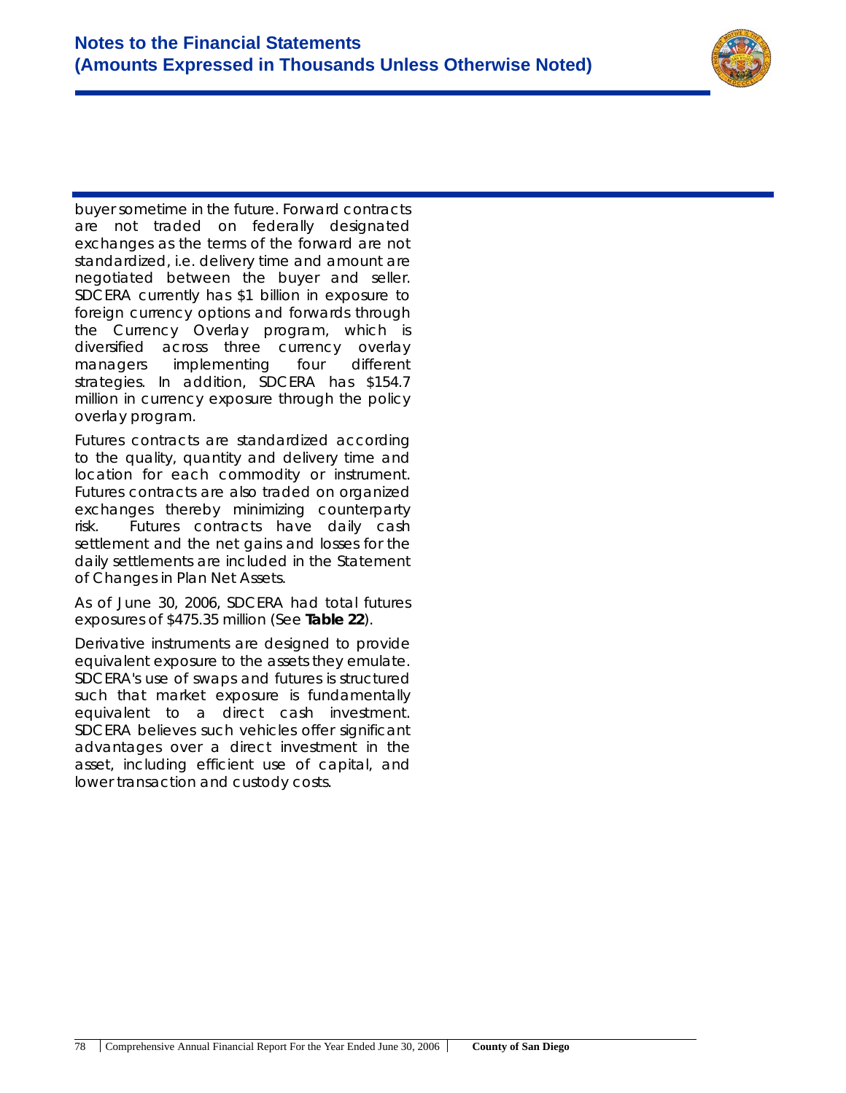

buyer sometime in the future. Forward contracts are not traded on federally designated exchanges as the terms of the forward are not standardized, i.e. delivery time and amount are negotiated between the buyer and seller. SDCERA currently has \$1 billion in exposure to foreign currency options and forwards through the Currency Overlay program, which is diversified across three currency overlay managers implementing four different strategies. In addition, SDCERA has \$154.7 million in currency exposure through the policy overlay program.

Futures contracts are standardized according to the quality, quantity and delivery time and location for each commodity or instrument. Futures contracts are also traded on organized exchanges thereby minimizing counterparty risk. Futures contracts have daily cash settlement and the net gains and losses for the daily settlements are included in the Statement of Changes in Plan Net Assets.

As of June 30, 2006, SDCERA had total futures exposures of \$475.35 million (See **Table 22**).

Derivative instruments are designed to provide equivalent exposure to the assets they emulate. SDCERA's use of swaps and futures is structured such that market exposure is fundamentally equivalent to a direct cash investment. SDCERA believes such vehicles offer significant advantages over a direct investment in the asset, including efficient use of capital, and lower transaction and custody costs.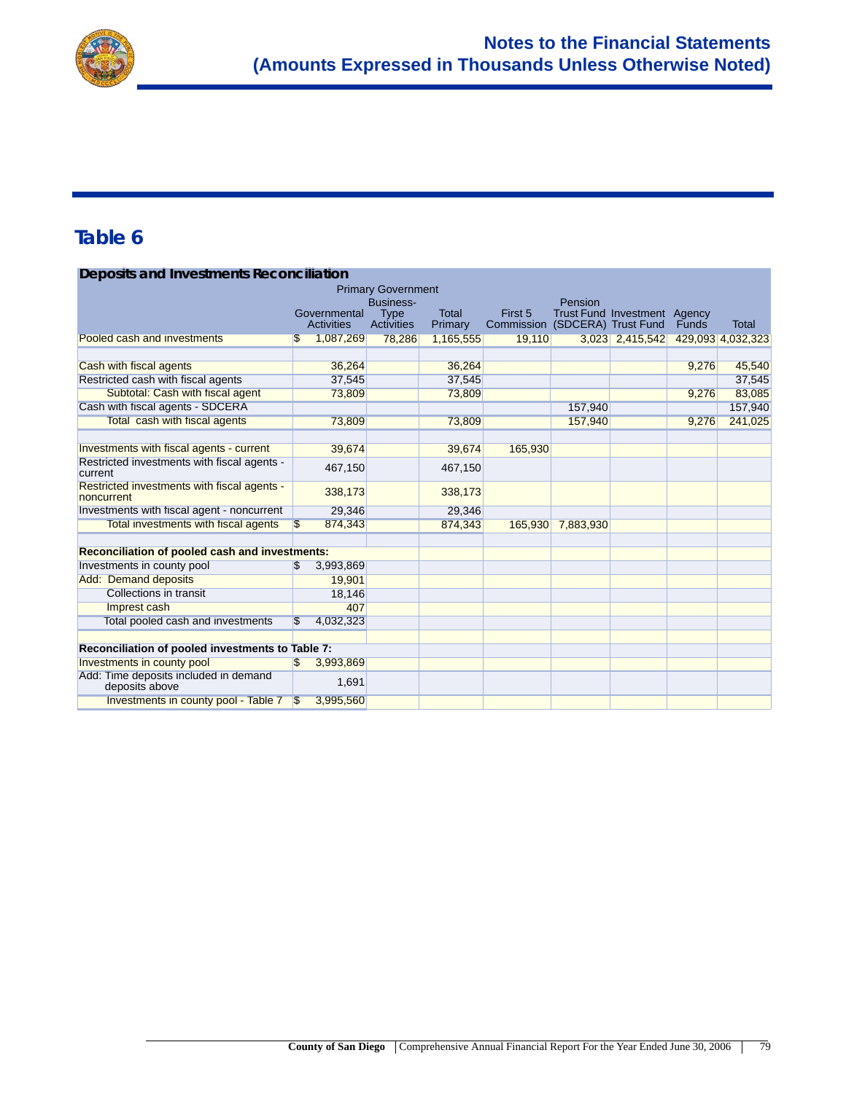

#### **Deposits and Investments Reconciliation**

| <b>Primary Government</b>                                 |               |                            |                                               |                         |                                           |           |                              |       |                   |
|-----------------------------------------------------------|---------------|----------------------------|-----------------------------------------------|-------------------------|-------------------------------------------|-----------|------------------------------|-------|-------------------|
|                                                           |               | Governmental<br>Activities | Business-<br><b>Type</b><br><b>Activities</b> | <b>Total</b><br>Primary | First 5<br>Commission (SDCERA) Trust Fund | Pension   | Trust Fund Investment Agency | Funds | Total             |
| Pooled cash and investments                               |               | 1,087,269                  | 78,286                                        | 1,165,555               | 19,110                                    |           | 3,023 2,415,542              |       | 429,093 4,032,323 |
|                                                           |               |                            |                                               |                         |                                           |           |                              |       |                   |
| Cash with fiscal agents                                   |               | 36,264                     |                                               | 36,264                  |                                           |           |                              | 9,276 | 45,540            |
| Restricted cash with fiscal agents                        |               | 37,545                     |                                               | 37,545                  |                                           |           |                              |       | 37,545            |
| Subtotal: Cash with fiscal agent                          |               | 73,809                     |                                               | 73,809                  |                                           |           |                              | 9,276 | 83,085            |
| Cash with fiscal agents - SDCERA                          |               |                            |                                               |                         |                                           | 157,940   |                              |       | 157,940           |
| Total cash with fiscal agents                             |               | 73,809                     |                                               | 73,809                  |                                           | 157,940   |                              | 9,276 | 241,025           |
|                                                           |               |                            |                                               |                         |                                           |           |                              |       |                   |
| Investments with fiscal agents - current                  |               | 39,674                     |                                               | 39,674                  | 165,930                                   |           |                              |       |                   |
| Restricted investments with fiscal agents -<br>current    |               | 467,150                    |                                               | 467,150                 |                                           |           |                              |       |                   |
| Restricted investments with fiscal agents -<br>noncurrent |               | 338,173                    |                                               | 338,173                 |                                           |           |                              |       |                   |
| Investments with fiscal agent - noncurrent                |               | 29.346                     |                                               | 29,346                  |                                           |           |                              |       |                   |
| Total investments with fiscal agents                      | \$.           | 874,343                    |                                               | 874,343                 | 165,930                                   | 7,883,930 |                              |       |                   |
| Reconciliation of pooled cash and investments:            |               |                            |                                               |                         |                                           |           |                              |       |                   |
| Investments in county pool                                | $\mathcal{S}$ | 3,993,869                  |                                               |                         |                                           |           |                              |       |                   |
| <b>Add: Demand deposits</b>                               |               | 19.901                     |                                               |                         |                                           |           |                              |       |                   |
| <b>Collections in transit</b>                             |               | 18,146                     |                                               |                         |                                           |           |                              |       |                   |
| Imprest cash                                              |               | 407                        |                                               |                         |                                           |           |                              |       |                   |
| Total pooled cash and investments                         | \$            | 4,032,323                  |                                               |                         |                                           |           |                              |       |                   |
| Reconciliation of pooled investments to Table 7:          |               |                            |                                               |                         |                                           |           |                              |       |                   |
| Investments in county pool                                | \$            | 3,993,869                  |                                               |                         |                                           |           |                              |       |                   |
| Add: Time deposits included in demand<br>deposits above   |               | 1,691                      |                                               |                         |                                           |           |                              |       |                   |
| Investments in county pool - Table 7                      | S             | 3,995,560                  |                                               |                         |                                           |           |                              |       |                   |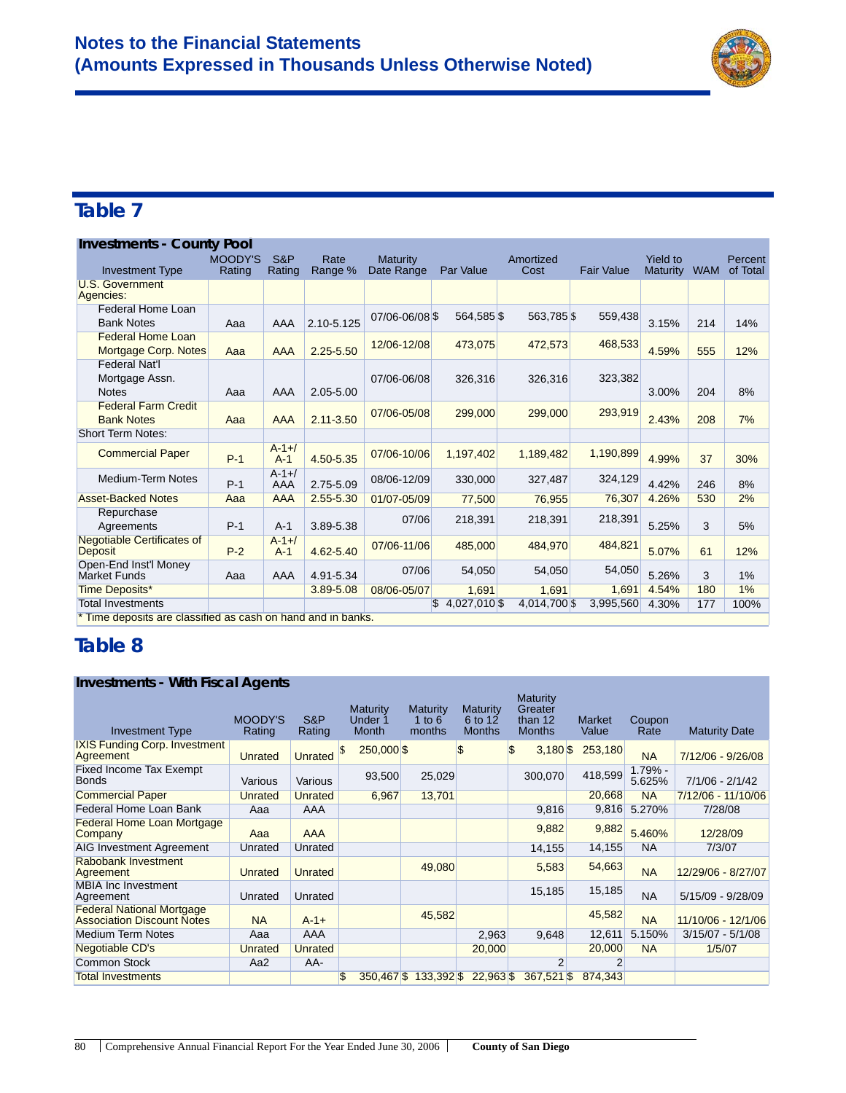

**Maturity Date** 

### **Table 7**

| <b>Investments - County Pool</b>                             |                          |                      |                 |                               |                    |                   |                   |                             |            |                     |
|--------------------------------------------------------------|--------------------------|----------------------|-----------------|-------------------------------|--------------------|-------------------|-------------------|-----------------------------|------------|---------------------|
| <b>Investment Type</b>                                       | <b>MOODY'S</b><br>Rating | S&P<br>Rating        | Rate<br>Range % | <b>Maturity</b><br>Date Range | Par Value          | Amortized<br>Cost | <b>Fair Value</b> | Yield to<br><b>Maturity</b> | <b>WAM</b> | Percent<br>of Total |
| U.S. Government<br>Agencies:                                 |                          |                      |                 |                               |                    |                   |                   |                             |            |                     |
| Federal Home Loan<br><b>Bank Notes</b>                       | Aaa                      | AAA                  | 2.10-5.125      | 07/06-06/08 \$                | 564,585 \$         | 563.785 \$        | 559,438           | 3.15%                       | 214        | 14%                 |
| <b>Federal Home Loan</b><br>Mortgage Corp. Notes             | Aaa                      | <b>AAA</b>           | $2.25 - 5.50$   | 12/06-12/08                   | 473,075            | 472,573           | 468,533           | 4.59%                       | 555        | 12%                 |
| <b>Federal Nat'l</b><br>Mortgage Assn.<br><b>Notes</b>       | Aaa                      | AAA                  | 2.05-5.00       | 07/06-06/08                   | 326.316            | 326,316           | 323,382           | 3.00%                       | 204        | 8%                  |
| <b>Federal Farm Credit</b><br><b>Bank Notes</b>              | Aaa                      | <b>AAA</b>           | $2.11 - 3.50$   | 07/06-05/08                   | 299,000            | 299,000           | 293,919           | 2.43%                       | 208        | 7%                  |
| <b>Short Term Notes:</b>                                     |                          |                      |                 |                               |                    |                   |                   |                             |            |                     |
| <b>Commercial Paper</b>                                      | $P-1$                    | $A - 1 + 1$<br>$A-1$ | 4.50-5.35       | 07/06-10/06                   | 1,197,402          | 1,189,482         | 1,190,899         | 4.99%                       | 37         | 30%                 |
| <b>Medium-Term Notes</b>                                     | $P-1$                    | $A - 1 +$<br>AAA     | 2.75-5.09       | 08/06-12/09                   | 330,000            | 327,487           | 324,129           | 4.42%                       | 246        | 8%                  |
| <b>Asset-Backed Notes</b>                                    | Aaa                      | <b>AAA</b>           | 2.55-5.30       | 01/07-05/09                   | 77,500             | 76.955            | 76,307            | 4.26%                       | 530        | 2%                  |
| Repurchase<br>Agreements                                     | $P-1$                    | $A-1$                | 3.89-5.38       | 07/06                         | 218,391            | 218,391           | 218,391           | 5.25%                       | 3          | 5%                  |
| <b>Negotiable Certificates of</b><br><b>Deposit</b>          | $P-2$                    | $A - 1 +$<br>$A-1$   | 4.62-5.40       | 07/06-11/06                   | 485,000            | 484,970           | 484,821           | 5.07%                       | 61         | 12%                 |
| Open-End Inst'l Money<br>Market Funds                        | Aaa                      | AAA                  | 4.91-5.34       | 07/06                         | 54,050             | 54,050            | 54,050            | 5.26%                       | 3          | 1%                  |
| <b>Time Deposits*</b>                                        |                          |                      | 3.89-5.08       | 08/06-05/07                   | 1,691              | 1,691             | 1,691             | 4.54%                       | 180        | $1\%$               |
| <b>Total Investments</b>                                     |                          |                      |                 |                               | 4,027,010 \$<br>S. | 4,014,700 \$      | 3,995,560         | 4.30%                       | 177        | 100%                |
| * Time deposits are classified as cash on hand and in banks. |                          |                      |                 |                               |                    |                   |                   |                             |            |                     |

### **Table 8**

#### **Investments - With Fiscal Agents** Investment Type MOODY'S Rating S&P Rating **Maturity** Under 1 Month **Maturity** 1 to 6 months **Maturity** 6 to 12 **Months Maturity** Greater than 12 **Months** Market Value Coupon<br>Rate IXIS Funding Corp. Investment And Funding Corp. investment Unrated Unrated \$ 250,000 \$ \$ 3,180 \$ 253,180 NA 7/12/06 - 9/26/08 Fixed Income Tax Exempt Fixed Income Tax Exempt Various Various 93,500 25,029 300,070 418,599 1.79% -<br>Bonds 300,070 5.625% 5.625% 7/1/06 - 2/1/42 Commercial Paper Commercial Paper Unrated Unrated 6,967 13,701 20,668 NA Federal Home Loan Bank Aaa AAA 9,816 9,816 5.270% 7/28/08 Federal Home Loan Mortgage Company Aaa AAA 9,882 9,882 5.460% 12/28/09 AIG Investment Agreement Unrated Unrated 14,155 14,155 NA 7/3/07 Rabobank Investment<br>Agreement Rabobarik Hivestifierit<br>Agreement Unrated Unrated 49,080 5,583 54,663 NA 12/29/06 - 8/27/07 **MBIA Inc Investment**<br>Agreement Agreement Unrated Unrated Unrated 15,185 15,185 NA 5/15/09 - 9/28/09 Federal National Mortgage Pederal National Mortgage<br>Association Discount Notes NA A-1+ 45,582 45,582 NA 11/10/06 - 12/1/06 Medium Term Notes Aaa AAA 2,963 9,648 12,611 5.150% 3/15/07 - 5/1/08 Negotiable CD's **Unrated Unrated 20,000 20,000 NA** 1/5/07 Common Stock Aa2 AA- 2 2 2 Total Investments **1200 and 1200 and 1300 and 1300 and 1300 and 133,392 \$ 22,963 \$ 367,521 \$ 874,343**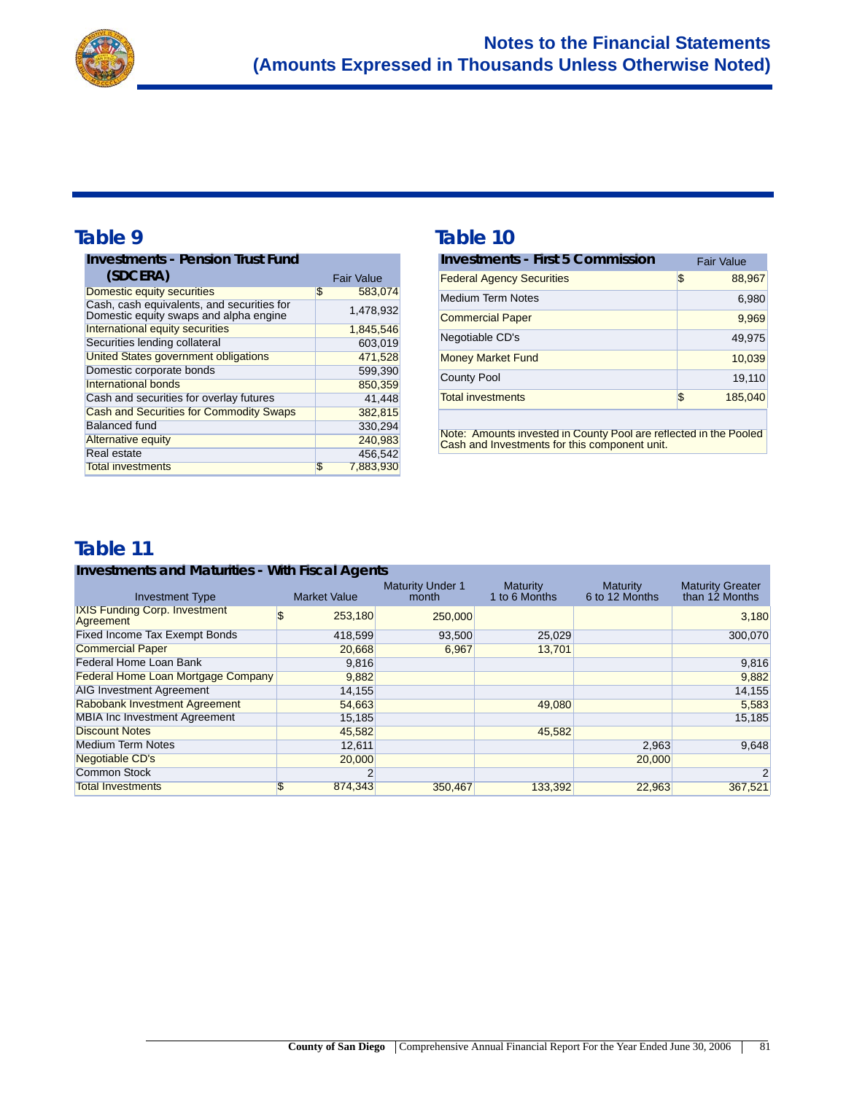

| <b>Investments - Pension Trust Fund</b>                                              |    |                   |
|--------------------------------------------------------------------------------------|----|-------------------|
| (SDCERA)                                                                             |    | <b>Fair Value</b> |
| Domestic equity securities                                                           | \$ | 583,074           |
| Cash, cash equivalents, and securities for<br>Domestic equity swaps and alpha engine |    | 1,478,932         |
| International equity securities                                                      |    | 1,845,546         |
| Securities lending collateral                                                        |    | 603,019           |
| <b>United States government obligations</b>                                          |    | 471,528           |
| Domestic corporate bonds                                                             |    | 599,390           |
| International bonds                                                                  |    | 850,359           |
| Cash and securities for overlay futures                                              |    | 41,448            |
| <b>Cash and Securities for Commodity Swaps</b>                                       |    | 382.815           |
| <b>Balanced fund</b>                                                                 |    | 330,294           |
| <b>Alternative equity</b>                                                            |    | 240.983           |
| Real estate                                                                          |    | 456.542           |
| <b>Total investments</b>                                                             | S  | 7.883.930         |

#### Table 9 Table 10

| <b>Investments - First 5 Commission</b> | <b>Fair Value</b> |
|-----------------------------------------|-------------------|
| <b>Federal Agency Securities</b>        | \$<br>88,967      |
| <b>Medium Term Notes</b>                | 6,980             |
| <b>Commercial Paper</b>                 | 9,969             |
| Negotiable CD's                         | 49,975            |
| <b>Money Market Fund</b>                | 10,039            |
| <b>County Pool</b>                      | 19,110            |
| <b>Total investments</b>                | \$<br>185,040     |

Note: Amounts invested in County Pool are reflected in the Pooled Cash and Investments for this component unit.

### **Table 11**

#### **Investments and Maturities - With Fiscal Agents**

| <b>Investment Type</b>                            | <b>Market Value</b> | <b>Maturity Under 1</b><br>month | Maturity<br>1 to 6 Months | Maturity<br>6 to 12 Months | <b>Maturity Greater</b><br>than 12 Months |
|---------------------------------------------------|---------------------|----------------------------------|---------------------------|----------------------------|-------------------------------------------|
| <b>IXIS Funding Corp. Investment</b><br>Agreement | 253,180             | 250,000                          |                           |                            | 3,180                                     |
| <b>Fixed Income Tax Exempt Bonds</b>              | 418,599             | 93,500                           | 25,029                    |                            | 300,070                                   |
| <b>Commercial Paper</b>                           | 20,668              | 6.967                            | 13.701                    |                            |                                           |
| Federal Home Loan Bank                            | 9,816               |                                  |                           |                            | 9,816                                     |
| <b>Federal Home Loan Mortgage Company</b>         | 9,882               |                                  |                           |                            | 9,882                                     |
| <b>AIG Investment Agreement</b>                   | 14,155              |                                  |                           |                            | 14,155                                    |
| <b>Rabobank Investment Agreement</b>              | 54,663              |                                  | 49,080                    |                            | 5,583                                     |
| <b>MBIA Inc Investment Agreement</b>              | 15,185              |                                  |                           |                            | 15,185                                    |
| <b>Discount Notes</b>                             | 45,582              |                                  | 45.582                    |                            |                                           |
| <b>Medium Term Notes</b>                          | 12,611              |                                  |                           | 2,963                      | 9,648                                     |
| Negotiable CD's                                   | 20,000              |                                  |                           | 20,000                     |                                           |
| <b>Common Stock</b>                               |                     |                                  |                           |                            | $\overline{2}$                            |
| <b>Total Investments</b>                          | 874.343<br>Æ.       | 350.467                          | 133.392                   | 22.963                     | 367.521                                   |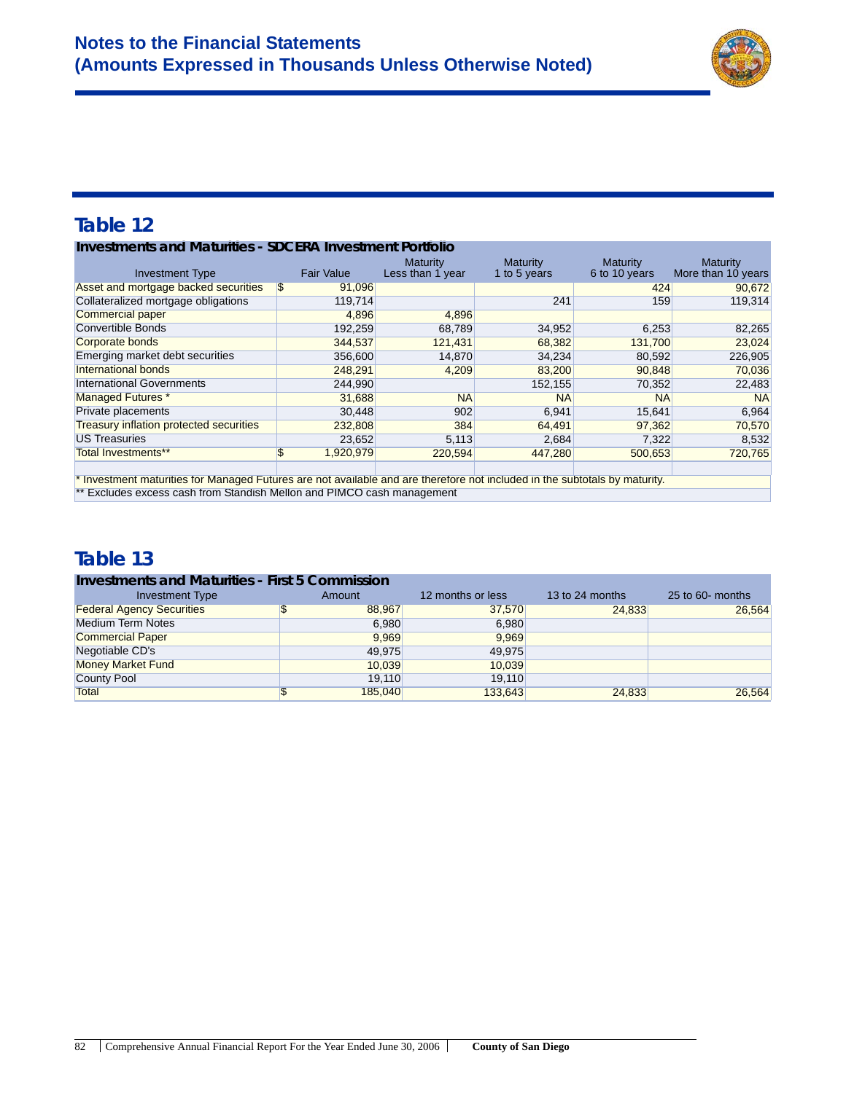

#### **Investments and Maturities - SDCERA Investment Portfolio**

| <b>Investment Type</b>                                                                                                     | <b>Fair Value</b> | <b>Maturity</b><br>Less than 1 year | Maturity<br>1 to 5 years | Maturity<br>6 to 10 years | <b>Maturity</b><br>More than 10 years |  |
|----------------------------------------------------------------------------------------------------------------------------|-------------------|-------------------------------------|--------------------------|---------------------------|---------------------------------------|--|
| Asset and mortgage backed securities                                                                                       | \$<br>91,096      |                                     |                          | 424                       | 90,672                                |  |
| Collateralized mortgage obligations                                                                                        | 119,714           |                                     | 241                      | 159                       | 119,314                               |  |
| <b>Commercial paper</b>                                                                                                    | 4.896             | 4,896                               |                          |                           |                                       |  |
| <b>Convertible Bonds</b>                                                                                                   | 192,259           | 68,789                              | 34,952                   | 6,253                     | 82,265                                |  |
| Corporate bonds                                                                                                            | 344,537           | 121,431                             | 68,382                   | 131,700                   | 23,024                                |  |
| Emerging market debt securities                                                                                            | 356,600           | 14.870                              | 34,234                   | 80,592                    | 226,905                               |  |
| International bonds                                                                                                        | 248,291           | 4,209                               | 83,200                   | 90,848                    | 70,036                                |  |
| <b>International Governments</b>                                                                                           | 244,990           |                                     | 152,155                  | 70,352                    | 22,483                                |  |
| <b>Managed Futures *</b>                                                                                                   | 31,688            | <b>NA</b>                           | <b>NA</b>                | <b>NA</b>                 | <b>NA</b>                             |  |
| Private placements                                                                                                         | 30,448            | 902                                 | 6,941                    | 15,641                    | 6,964                                 |  |
| <b>Treasury inflation protected securities</b>                                                                             | 232,808           | 384                                 | 64,491                   | 97,362                    | 70,570                                |  |
| <b>US Treasuries</b>                                                                                                       | 23,652            | 5,113                               | 2,684                    | 7,322                     | 8,532                                 |  |
| <b>Total Investments**</b>                                                                                                 | 1,920,979<br>\$   | 220,594                             | 447,280                  | 500,653                   | 720,765                               |  |
|                                                                                                                            |                   |                                     |                          |                           |                                       |  |
| * Investment maturities for Managed Futures are not available and are therefore not included in the subtotals by maturity. |                   |                                     |                          |                           |                                       |  |

\*\* Excludes excess cash from Standish Mellon and PIMCO cash management

### **Table 13**

#### **Investments and Maturities - First 5 Commission** Amount 12 months or less 13 to 24 months 25 to 60- months 38,967<br>  $\frac{88,967}{24,833}$ Federal Agency Securities  $$ 88,967$   $$ 37,570$   $$ 24,833$   $$ 26,564$ Medium Term Notes 6,980 6,980 6,980 Commercial Paper 9,969 9,969 9,969 Negotiable CD's and the contract of the 49,975 49,975 49,975 Money Market Fund 10,039 10,039 10,039 10,039 County Pool **19,110** 19,110 19,110 Total \$ 185,040 133,643 24,833 26,564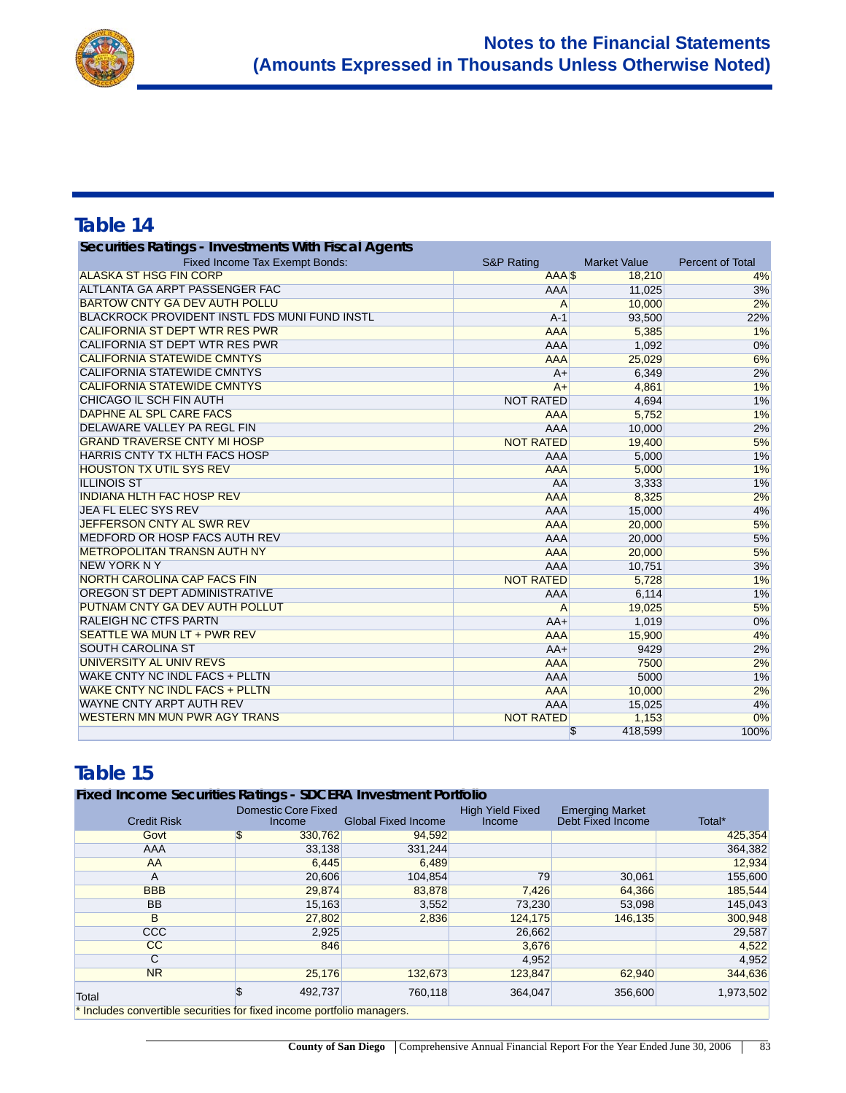

| Securities Ratings - Investments With Fiscal Agents  |                       |                     |                         |
|------------------------------------------------------|-----------------------|---------------------|-------------------------|
| Fixed Income Tax Exempt Bonds:                       | <b>S&amp;P Rating</b> | <b>Market Value</b> | <b>Percent of Total</b> |
| <b>ALASKA ST HSG FIN CORP</b>                        | AAA <sub>S</sub>      | 18,210              | 4%                      |
| ALTLANTA GA ARPT PASSENGER FAC                       | AAA                   | 11,025              | 3%                      |
| <b>BARTOW CNTY GA DEV AUTH POLLU</b>                 | $\overline{A}$        | 10,000              | 2%                      |
| <b>BLACKROCK PROVIDENT INSTL FDS MUNI FUND INSTL</b> | $A-1$                 | 93,500              | 22%                     |
| <b>CALIFORNIA ST DEPT WTR RES PWR</b>                | <b>AAA</b>            | 5,385               | $1\%$                   |
| <b>CALIFORNIA ST DEPT WTR RES PWR</b>                | <b>AAA</b>            | 1,092               | 0%                      |
| <b>CALIFORNIA STATEWIDE CMNTYS</b>                   | <b>AAA</b>            | 25,029              | 6%                      |
| <b>CALIFORNIA STATEWIDE CMNTYS</b>                   | $A+$                  | 6,349               | 2%                      |
| <b>CALIFORNIA STATEWIDE CMNTYS</b>                   | $A+$                  | 4,861               | 1%                      |
| CHICAGO IL SCH FIN AUTH                              | <b>NOT RATED</b>      | 4,694               | 1%                      |
| DAPHNE AL SPL CARE FACS                              | <b>AAA</b>            | 5,752               | 1%                      |
| DELAWARE VALLEY PA REGL FIN                          | <b>AAA</b>            | 10,000              | 2%                      |
| <b>GRAND TRAVERSE CNTY MI HOSP</b>                   | <b>NOT RATED</b>      | 19,400              | 5%                      |
| <b>HARRIS CNTY TX HLTH FACS HOSP</b>                 | AAA                   | 5,000               | $1\%$                   |
| <b>HOUSTON TX UTIL SYS REV</b>                       | <b>AAA</b>            | 5,000               | 1%                      |
| <b>ILLINOIS ST</b>                                   | <b>AA</b>             | 3,333               | 1%                      |
| <b>INDIANA HLTH FAC HOSP REV</b>                     | <b>AAA</b>            | 8,325               | 2%                      |
| <b>JEA FL ELEC SYS REV</b>                           | <b>AAA</b>            | 15,000              | 4%                      |
| JEFFERSON CNTY AL SWR REV                            | <b>AAA</b>            | 20,000              | 5%                      |
| MEDFORD OR HOSP FACS AUTH REV                        | <b>AAA</b>            | 20,000              | 5%                      |
| <b>METROPOLITAN TRANSN AUTH NY</b>                   | <b>AAA</b>            | 20,000              | 5%                      |
| <b>NEW YORK N Y</b>                                  | <b>AAA</b>            | 10,751              | 3%                      |
| NORTH CAROLINA CAP FACS FIN                          | <b>NOT RATED</b>      | 5,728               | 1%                      |
| OREGON ST DEPT ADMINISTRATIVE                        | <b>AAA</b>            | 6,114               | 1%                      |
| PUTNAM CNTY GA DEV AUTH POLLUT                       | $\overline{A}$        | 19,025              | 5%                      |
| <b>RALEIGH NC CTFS PARTN</b>                         | $AA+$                 | 1,019               | 0%                      |
| SEATTLE WA MUN LT + PWR REV                          | <b>AAA</b>            | 15,900              | 4%                      |
| <b>SOUTH CAROLINA ST</b>                             | $AA+$                 | 9429                | 2%                      |
| UNIVERSITY AL UNIV REVS                              | <b>AAA</b>            | 7500                | 2%                      |
| WAKE CNTY NC INDL FACS + PLLTN                       | <b>AAA</b>            | 5000                | 1%                      |
| <b>WAKE CNTY NC INDL FACS + PLLTN</b>                | <b>AAA</b>            | 10,000              | 2%                      |
| <b>WAYNE CNTY ARPT AUTH REV</b>                      | <b>AAA</b>            | 15,025              | 4%                      |
| <b>WESTERN MN MUN PWR AGY TRANS</b>                  | <b>NOT RATED</b>      | 1,153               | 0%                      |
|                                                      | $\mathsf{\$}$         | 418,599             | 100%                    |

### **Table 15**

#### **Fixed Income Securities Ratings - SDCERA Investment Portfolio**

| <b>Credit Risk</b>                                                     | Domestic Core Fixed<br>Income | <b>Global Fixed Income</b> | <b>High Yield Fixed</b><br>Income | <b>Emerging Market</b><br>Debt Fixed Income | Total*    |
|------------------------------------------------------------------------|-------------------------------|----------------------------|-----------------------------------|---------------------------------------------|-----------|
| Govt                                                                   | \$<br>330,762                 | 94,592                     |                                   |                                             | 425,354   |
| AAA                                                                    | 33,138                        | 331,244                    |                                   |                                             | 364,382   |
| AA                                                                     | 6,445                         | 6,489                      |                                   |                                             | 12,934    |
| A                                                                      | 20,606                        | 104,854                    | 79                                | 30,061                                      | 155,600   |
| <b>BBB</b>                                                             | 29,874                        | 83,878                     | 7,426                             | 64,366                                      | 185,544   |
| <b>BB</b>                                                              | 15,163                        | 3,552                      | 73,230                            | 53,098                                      | 145,043   |
| B                                                                      | 27,802                        | 2,836                      | 124,175                           | 146,135                                     | 300,948   |
| <b>CCC</b>                                                             | 2,925                         |                            | 26,662                            |                                             | 29,587    |
| cc                                                                     | 846                           |                            | 3,676                             |                                             | 4,522     |
| $\overline{C}$                                                         |                               |                            | 4,952                             |                                             | 4,952     |
| <b>NR</b>                                                              | 25,176                        | 132,673                    | 123,847                           | 62,940                                      | 344,636   |
| Total                                                                  | 492,737                       | 760,118                    | 364,047                           | 356,600                                     | 1,973,502 |
| * Includes convertible securities for fixed income portfolio managers. |                               |                            |                                   |                                             |           |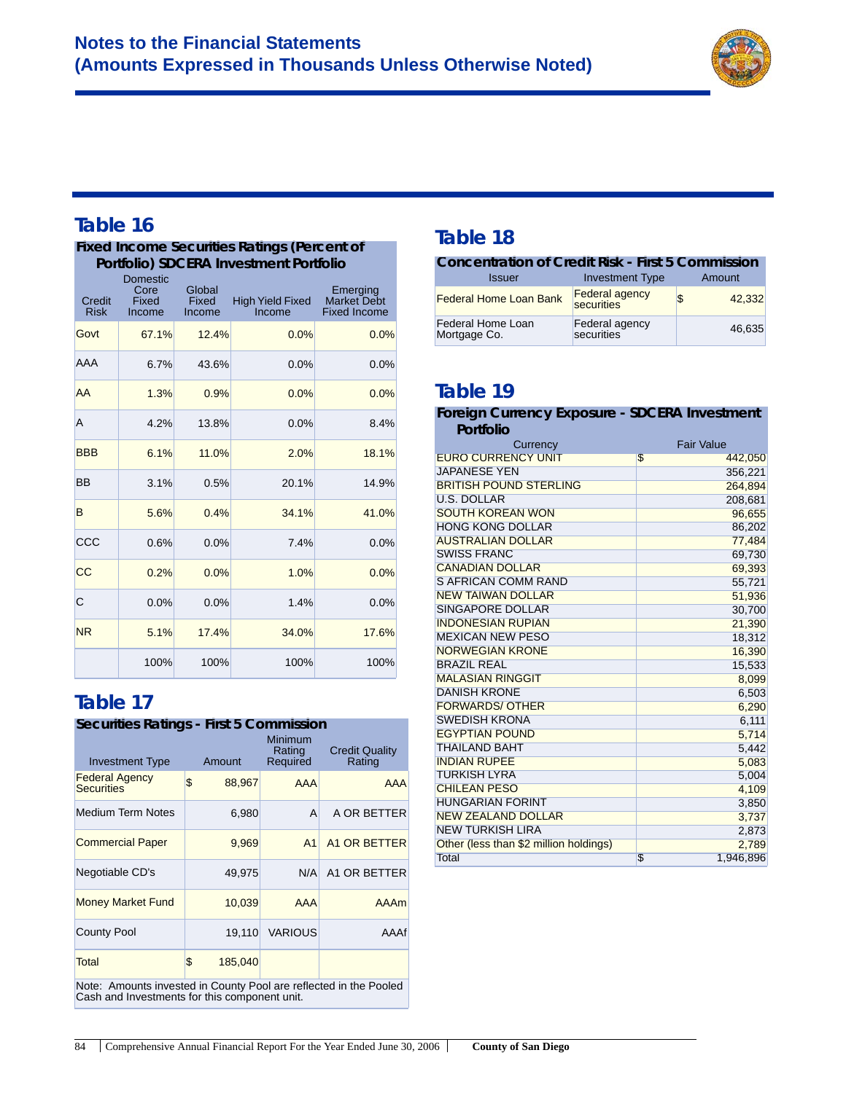

#### **Fixed Income Securities Ratings (Percent of Portfolio) SDCERA Investment Portfolio**

| <b>Credit</b><br><b>Risk</b> | -- -<br>Domestic<br>Core<br>Fixed<br>Income | Global<br><b>Fixed</b><br>Income | <b>High Yield Fixed</b><br>Income | Emerging<br><b>Market Debt</b><br><b>Fixed Income</b> |
|------------------------------|---------------------------------------------|----------------------------------|-----------------------------------|-------------------------------------------------------|
| Govt                         | 67.1%                                       | 12.4%                            | 0.0%                              | 0.0%                                                  |
| AAA                          | 6.7%                                        | 43.6%                            | 0.0%                              | 0.0%                                                  |
| AA                           | 1.3%                                        | 0.9%                             | 0.0%                              | 0.0%                                                  |
| A                            | 4.2%                                        | 13.8%                            | 0.0%                              | 8.4%                                                  |
| <b>BBB</b>                   | 6.1%                                        | 11.0%                            | 2.0%                              | 18.1%                                                 |
| BB                           | 3.1%                                        | 0.5%                             | 20.1%                             | 14.9%                                                 |
| B                            | 5.6%                                        | 0.4%                             | 34.1%                             | 41.0%                                                 |
| CCC                          | 0.6%                                        | 0.0%                             | 7.4%                              | 0.0%                                                  |
| CC                           | 0.2%                                        | 0.0%                             | 1.0%                              | 0.0%                                                  |
| C                            | 0.0%                                        | 0.0%                             | 1.4%                              | 0.0%                                                  |
| <b>NR</b>                    | 5.1%                                        | 17.4%                            | 34.0%                             | 17.6%                                                 |
|                              | 100%                                        | 100%                             | 100%                              | 100%                                                  |

### **Table 17**

#### **Securities Ratings - First 5 Commission**

| <b>Investment Type</b>                                            |    | Amount  | Minimum<br>Rating<br>Required | <b>Credit Quality</b><br>Rating |  |
|-------------------------------------------------------------------|----|---------|-------------------------------|---------------------------------|--|
| <b>Federal Agency</b><br><b>Securities</b>                        | \$ | 88,967  | <b>AAA</b>                    | <b>AAA</b>                      |  |
| Medium Term Notes                                                 |    | 6,980   | A                             | A OR BETTER                     |  |
| <b>Commercial Paper</b>                                           |    | 9,969   | A <sub>1</sub>                | A1 OR BETTER                    |  |
| Negotiable CD's                                                   |    | 49,975  | N/A                           | A1 OR BETTER                    |  |
| <b>Money Market Fund</b>                                          |    | 10,039  | AAA                           | AAAm                            |  |
| <b>County Pool</b>                                                |    | 19.110  | <b>VARIOUS</b>                | AAAf                            |  |
| Total                                                             | \$ | 185,040 |                               |                                 |  |
| Note: Amounte invested in County Real are reflected in the Realed |    |         |                               |                                 |  |

Note: Amounts invested in County Pool are reflected in the Pooled Cash and Investments for this component unit.

### **Table 18**

| <b>Concentration of Credit Risk - First 5 Commission</b> |                                     |    |        |  |  |
|----------------------------------------------------------|-------------------------------------|----|--------|--|--|
| <b>Issuer</b>                                            | <b>Investment Type</b>              |    | Amount |  |  |
| <b>Federal Home Loan Bank</b>                            | <b>Federal agency</b><br>securities | \$ | 42.332 |  |  |
| Federal Home Loan<br>Mortgage Co.                        | Federal agency<br>securities        |    | 46,635 |  |  |

### **Table 19**

| Foreign Currency Exposure - SDCERA Investment |                   |
|-----------------------------------------------|-------------------|
| Portfolio                                     |                   |
| Currency                                      | <b>Fair Value</b> |
| <b>EURO CURRENCY UNIT</b>                     | \$<br>442,050     |
| <b>JAPANESE YEN</b>                           | 356,221           |
| <b>BRITISH POUND STERLING</b>                 | 264,894           |
| <b>U.S. DOLLAR</b>                            | 208,681           |
| <b>SOUTH KOREAN WON</b>                       | 96,655            |
| <b>HONG KONG DOLLAR</b>                       | 86,202            |
| <b>AUSTRALIAN DOLLAR</b>                      | 77,484            |
| <b>SWISS FRANC</b>                            | 69,730            |
| <b>CANADIAN DOLLAR</b>                        | 69,393            |
| <b>S AFRICAN COMM RAND</b>                    | 55,721            |
| <b>NEW TAIWAN DOLLAR</b>                      | 51,936            |
| <b>SINGAPORE DOLLAR</b>                       | 30,700            |
| <b>INDONESIAN RUPIAN</b>                      | 21,390            |
| <b>MEXICAN NEW PESO</b>                       | 18,312            |
| <b>NORWEGIAN KRONE</b>                        | 16,390            |
| <b>BRAZIL REAL</b>                            | 15,533            |
| <b>MALASIAN RINGGIT</b>                       | 8,099             |
| <b>DANISH KRONE</b>                           | 6,503             |
| <b>FORWARDS/ OTHER</b>                        | 6,290             |
| <b>SWEDISH KRONA</b>                          | 6,111             |
| <b>EGYPTIAN POUND</b>                         | 5,714             |
| <b>THAILAND BAHT</b>                          | 5,442             |
| <b>INDIAN RUPEE</b>                           | 5,083             |
| <b>TURKISH LYRA</b>                           | 5,004             |
| <b>CHILEAN PESO</b>                           | 4,109             |
| <b>HUNGARIAN FORINT</b>                       | 3,850             |
| <b>NEW ZEALAND DOLLAR</b>                     | 3,737             |
| <b>NEW TURKISH LIRA</b>                       | 2,873             |
| Other (less than \$2 million holdings)        | 2,789             |
| Total                                         | £.<br>1,946,896   |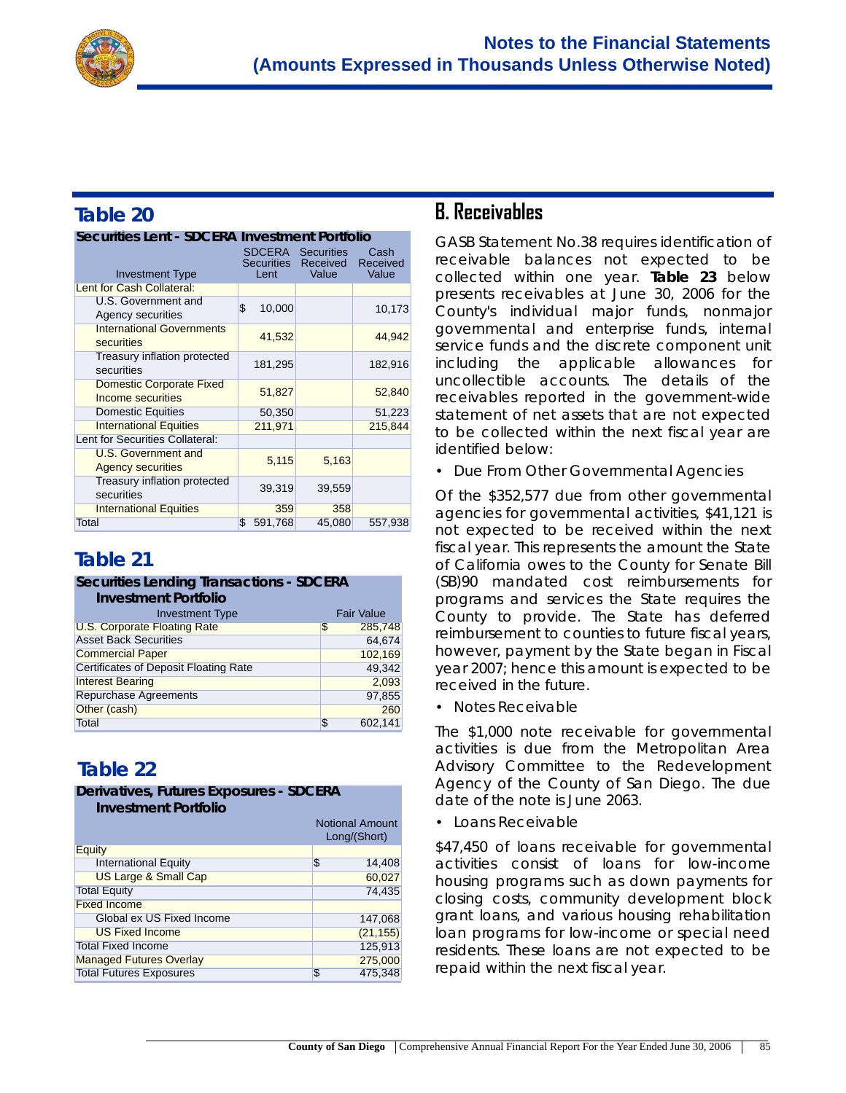

| Securities Lent - SDCERA Investment Portfolio        |                           |                                               |                           |  |
|------------------------------------------------------|---------------------------|-----------------------------------------------|---------------------------|--|
| <b>Investment Type</b>                               | <b>Securities</b><br>Lent | <b>SDCERA</b> Securities<br>Received<br>Value | Cash<br>Received<br>Value |  |
|                                                      |                           |                                               |                           |  |
| Lent for Cash Collateral:                            |                           |                                               |                           |  |
| U.S. Government and<br><b>Agency securities</b>      | \$<br>10,000              |                                               | 10,173                    |  |
| <b>International Governments</b><br>securities       | 41,532                    |                                               | 44,942                    |  |
| Treasury inflation protected<br>securities           | 181,295                   |                                               | 182,916                   |  |
| <b>Domestic Corporate Fixed</b><br>Income securities | 51,827                    |                                               | 52,840                    |  |
| <b>Domestic Equities</b>                             | 50,350                    |                                               | 51,223                    |  |
| <b>International Equities</b>                        | 211,971                   |                                               | 215,844                   |  |
| Lent for Securities Collateral:                      |                           |                                               |                           |  |
| U.S. Government and<br><b>Agency securities</b>      | 5,115                     | 5,163                                         |                           |  |
| Treasury inflation protected<br>securities           | 39,319                    | 39,559                                        |                           |  |
| <b>International Equities</b>                        | 359                       | 358                                           |                           |  |
| <b>Total</b>                                         | \$<br>591,768             | 45,080                                        | 557,938                   |  |

# **Table 21**

#### **Securities Lending Transactions - SDCERA**

| <b>Investment Portfolio</b> |  |
|-----------------------------|--|
|-----------------------------|--|

| <b>Investment Type</b>                | <b>Fair Value</b> |
|---------------------------------------|-------------------|
| <b>U.S. Corporate Floating Rate</b>   | \$<br>285,748     |
| <b>Asset Back Securities</b>          | 64.674            |
| <b>Commercial Paper</b>               | 102,169           |
| Certificates of Deposit Floating Rate | 49,342            |
| <b>Interest Bearing</b>               | 2.093             |
| <b>Repurchase Agreements</b>          | 97,855            |
| Other (cash)                          | 260               |
| <b>Total</b>                          | \$<br>602,141     |

# **Table 22**

#### **Derivatives, Futures Exposures - SDCERA Investment Portfolio**

| IIIVESIHEHI POHIOIIO            |                                        |  |
|---------------------------------|----------------------------------------|--|
|                                 | <b>Notional Amount</b><br>Long/(Short) |  |
| Equity                          |                                        |  |
| <b>International Equity</b>     | \$<br>14,408                           |  |
| <b>US Large &amp; Small Cap</b> | 60,027                                 |  |
| <b>Total Equity</b>             | 74,435                                 |  |
| <b>Fixed Income</b>             |                                        |  |
| Global ex US Fixed Income       | 147,068                                |  |
| <b>US Fixed Income</b>          | (21, 155)                              |  |
| <b>Total Fixed Income</b>       | 125,913                                |  |
| <b>Managed Futures Overlay</b>  | 275,000                                |  |
| <b>Total Futures Exposures</b>  | 475,348<br>S                           |  |

### **B. Receivables**

GASB Statement No.38 requires identification of receivable balances not expected to be collected within one year. **Table 23** below presents receivables at June 30, 2006 for the County's individual major funds, nonmajor governmental and enterprise funds, internal service funds and the discrete component unit including the applicable allowances for uncollectible accounts. The details of the receivables reported in the government-wide statement of net assets that are not expected to be collected within the next fiscal year are identified below:

• Due From Other Governmental Agencies

Of the \$352,577 due from other governmental agencies for governmental activities, \$41,121 is not expected to be received within the next fiscal year. This represents the amount the State of California owes to the County for Senate Bill (SB)90 mandated cost reimbursements for programs and services the State requires the County to provide. The State has deferred reimbursement to counties to future fiscal years, however, payment by the State began in Fiscal year 2007; hence this amount is expected to be received in the future.

• Notes Receivable

The \$1,000 note receivable for governmental activities is due from the Metropolitan Area Advisory Committee to the Redevelopment Agency of the County of San Diego. The due date of the note is June 2063.

• Loans Receivable

\$47,450 of loans receivable for governmental activities consist of loans for low-income housing programs such as down payments for closing costs, community development block grant loans, and various housing rehabilitation loan programs for low-income or special need residents. These loans are not expected to be repaid within the next fiscal year.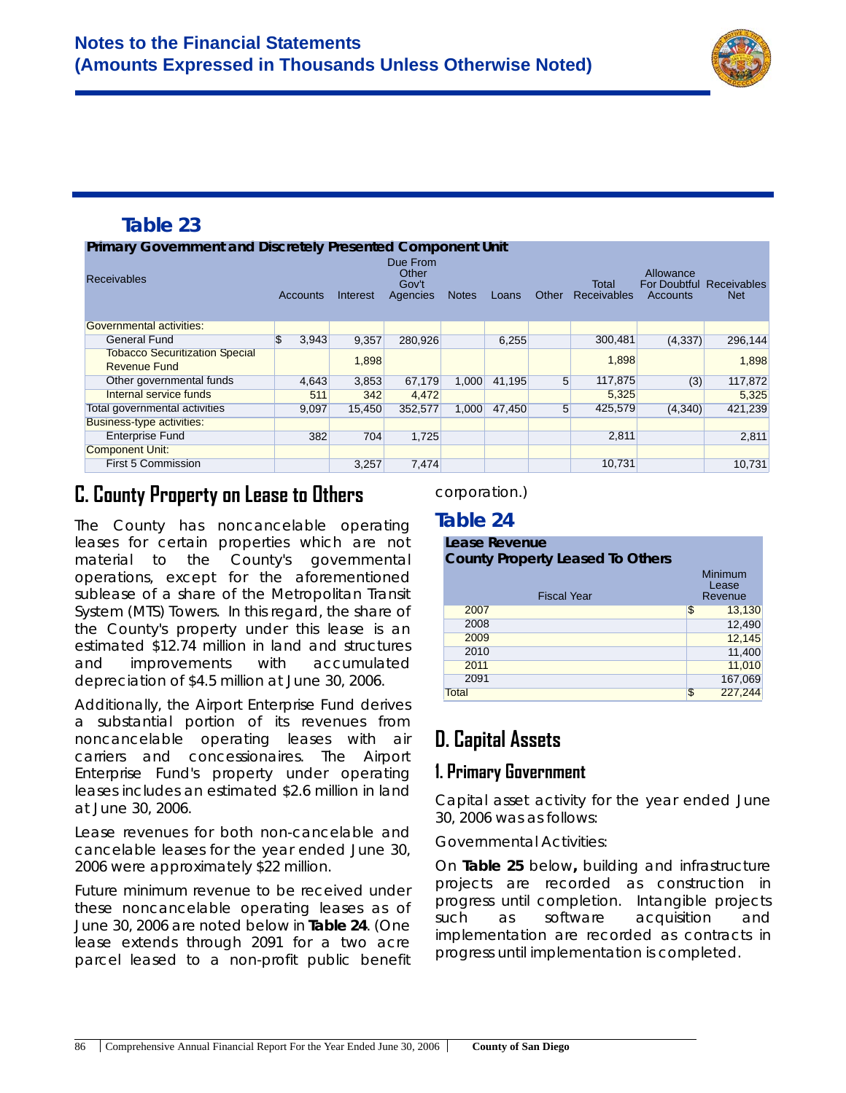

#### **Primary Government and Discretely Presented Component Unit**

| <b>THING TOO FOR HIS CITY DISORDIUS IN SOCIAUM COMPONENT ONLY</b> |             |          |                                        |              |        |                 |                             |                                       |                                  |
|-------------------------------------------------------------------|-------------|----------|----------------------------------------|--------------|--------|-----------------|-----------------------------|---------------------------------------|----------------------------------|
| <b>Receivables</b>                                                | Accounts    | Interest | Due From<br>Other<br>Gov't<br>Agencies | <b>Notes</b> | Loans  | Other           | Total<br><b>Receivables</b> | Allowance<br>For Doubtful<br>Accounts | <b>Receivables</b><br><b>Net</b> |
| Governmental activities:                                          |             |          |                                        |              |        |                 |                             |                                       |                                  |
| <b>General Fund</b>                                               | \$<br>3,943 | 9.357    | 280.926                                |              | 6,255  |                 | 300,481                     | (4,337)                               | 296.144                          |
| <b>Tobacco Securitization Special</b><br><b>Revenue Fund</b>      |             | 1.898    |                                        |              |        |                 | 1,898                       |                                       | 1.898                            |
| Other governmental funds                                          | 4,643       | 3,853    | 67,179                                 | 1,000        | 41.195 | $5\overline{)}$ | 117,875                     | (3)                                   | 117,872                          |
| Internal service funds                                            | 511         | 342      | 4,472                                  |              |        |                 | 5,325                       |                                       | 5,325                            |
| Total governmental activities                                     | 9,097       | 15,450   | 352,577                                | 1,000        | 47,450 | $5\overline{)}$ | 425,579                     | (4,340)                               | 421,239                          |
| <b>Business-type activities:</b>                                  |             |          |                                        |              |        |                 |                             |                                       |                                  |
| <b>Enterprise Fund</b>                                            | 382         | 704      | 1,725                                  |              |        |                 | 2,811                       |                                       | 2,811                            |
| <b>Component Unit:</b>                                            |             |          |                                        |              |        |                 |                             |                                       |                                  |
| <b>First 5 Commission</b>                                         |             | 3.257    | 7.474                                  |              |        |                 | 10,731                      |                                       | 10.731                           |

# **C. County Property on Lease to Others**

The County has *noncancelable* operating leases for certain properties which are not material to the County's governmental operations, except for the aforementioned sublease of a share of the Metropolitan Transit System (MTS) Towers. In this regard, the share of the County's property under this lease is an estimated \$12.74 million in land and structures and improvements with accumulated depreciation of \$4.5 million at June 30, 2006.

Additionally, the Airport Enterprise Fund derives a substantial portion of its revenues from noncancelable operating leases with air carriers and concessionaires. The Airport Enterprise Fund's property under operating leases includes an estimated \$2.6 million in land at June 30, 2006.

Lease revenues for both non-cancelable and cancelable leases for the year ended June 30, 2006 were approximately \$22 million.

Future minimum *revenue* to be received under these noncancelable operating leases as of June 30, 2006 are noted below in **Table 24**. (One lease extends through 2091 for a two acre parcel leased to a non-profit public benefit

#### corporation.)

#### **Table 24**

| Lease Revenue<br><b>County Property Leased To Others</b> |    |                             |  |  |  |  |
|----------------------------------------------------------|----|-----------------------------|--|--|--|--|
| <b>Fiscal Year</b>                                       |    | Minimum<br>Lease<br>Revenue |  |  |  |  |
| 2007                                                     | \$ | 13,130                      |  |  |  |  |
| 2008                                                     |    | 12,490                      |  |  |  |  |
| 2009                                                     |    | 12,145                      |  |  |  |  |
| 2010                                                     |    | 11,400                      |  |  |  |  |
| 2011                                                     |    | 11,010                      |  |  |  |  |
| 2091                                                     |    | 167,069                     |  |  |  |  |
| Total                                                    | \$ | 227,244                     |  |  |  |  |

# **D. Capital Assets**

### **1. Primary Government**

Capital asset activity for the year ended June 30, 2006 was as follows:

#### *Governmental Activities*:

On **Table 25** below**,** building and infrastructure projects are recorded as construction in progress until completion. Intangible projects such as software acquisition and implementation are recorded as contracts in progress until implementation is completed.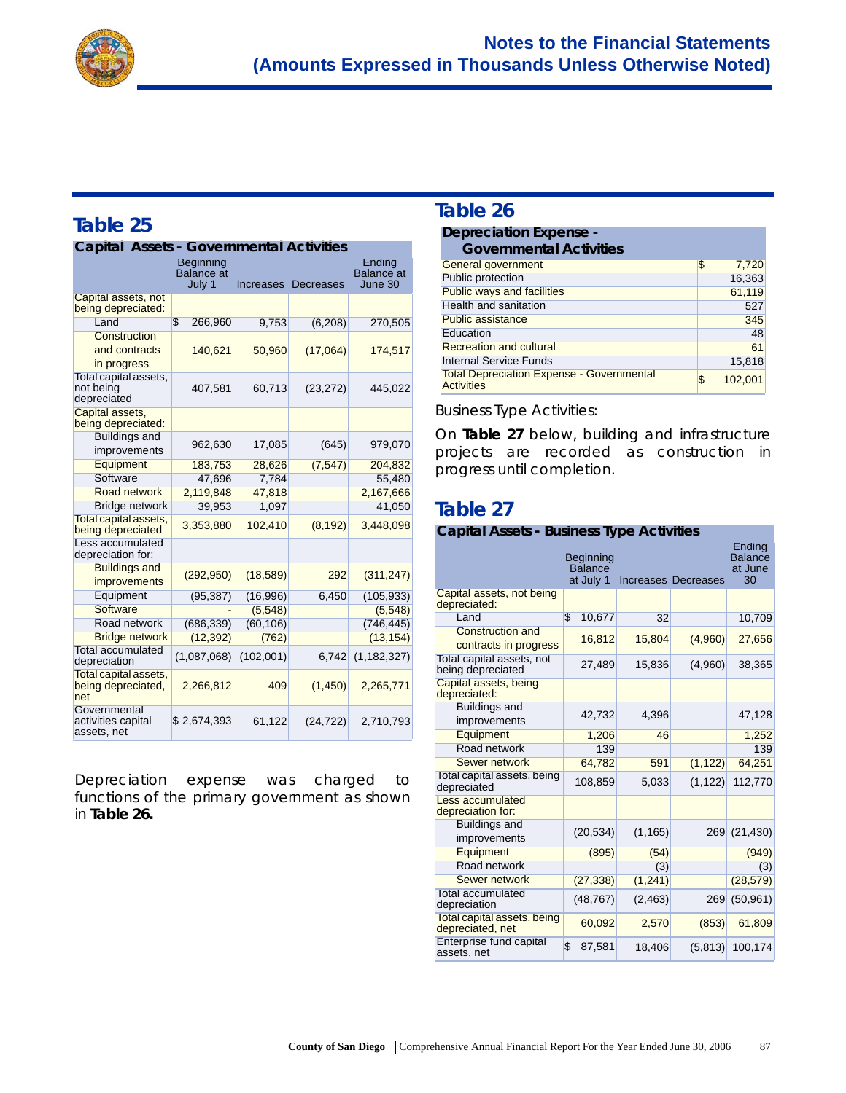

| Capital<br><b>Assets - Governmental Activities</b> |                                        |           |           |               |  |
|----------------------------------------------------|----------------------------------------|-----------|-----------|---------------|--|
|                                                    | Ending<br><b>Balance</b> at<br>June 30 |           |           |               |  |
| Capital assets, not<br>being depreciated:          |                                        |           |           |               |  |
| Land                                               | $\overline{\mathbb{S}}$<br>266,960     | 9,753     | (6, 208)  | 270,505       |  |
| Construction<br>and contracts<br>in progress       | 140,621                                | 50,960    | (17,064)  | 174,517       |  |
| Total capital assets,<br>not being<br>depreciated  | 407,581                                | 60,713    | (23, 272) | 445,022       |  |
| Capital assets.<br>being depreciated:              |                                        |           |           |               |  |
| <b>Buildings and</b><br>improvements               | 962,630                                | 17,085    | (645)     | 979,070       |  |
| Equipment                                          | 183,753                                | 28,626    | (7, 547)  | 204,832       |  |
| Software                                           | 47,696                                 | 7,784     |           | 55,480        |  |
| <b>Road network</b>                                | 2,119,848                              | 47,818    |           | 2,167,666     |  |
| <b>Bridge network</b>                              | 39,953                                 | 1,097     |           | 41,050        |  |
| Total capital assets,<br>being depreciated         | 3,353,880                              | 102,410   | (8, 192)  | 3,448,098     |  |
| Less accumulated<br>depreciation for:              |                                        |           |           |               |  |
| <b>Buildings and</b><br>improvements               | (292, 950)                             | (18, 589) | 292       | (311, 247)    |  |
| Equipment                                          | (95, 387)                              | (16,996)  | 6,450     | (105, 933)    |  |
| <b>Software</b>                                    |                                        | (5, 548)  |           | (5,548)       |  |
| Road network                                       | (686, 339)                             | (60, 106) |           | (746, 445)    |  |
| <b>Bridge network</b>                              | (12, 392)                              | (762)     |           | (13, 154)     |  |
| <b>Total accumulated</b><br>depreciation           | (1,087,068)                            | (102,001) | 6,742     | (1, 182, 327) |  |
| Total capital assets,<br>being depreciated,<br>net | 2,266,812                              | 409       | (1, 450)  | 2,265,771     |  |
| Governmental<br>activities capital<br>assets, net  | \$2,674,393                            | 61,122    | (24, 722) | 2,710,793     |  |

Depreciation expense was charged to functions of the primary government as shown in **Table 26.**

#### **Table 26**

#### **Depreciation Expense -**

| <b>Governmental Activities</b>                                 |               |
|----------------------------------------------------------------|---------------|
| General government                                             | \$<br>7,720   |
| Public protection                                              | 16,363        |
| <b>Public ways and facilities</b>                              | 61,119        |
| Health and sanitation                                          | 527           |
| <b>Public assistance</b>                                       | 345           |
| Education                                                      | 48            |
| <b>Recreation and cultural</b>                                 | 61            |
| <b>Internal Service Funds</b>                                  | 15,818        |
| <b>Total Depreciation Expense - Governmental</b><br>Activities | \$<br>102.001 |

*Business Type Activities*:

On **Table 27** below, building and infrastructure projects are recorded as construction in progress until completion.

### **Table 27**

#### **Capital Assets - Business Type Activities**

|                                                  | Beginning<br><b>Balance</b><br>at July 1 |          | Increases Decreases | Ending<br><b>Balance</b><br>at June<br>30 |
|--------------------------------------------------|------------------------------------------|----------|---------------------|-------------------------------------------|
| Capital assets, not being<br>depreciated:        |                                          |          |                     |                                           |
| Land                                             | $\overline{\mathbb{S}}$<br>10,677        | 32       |                     | 10,709                                    |
| <b>Construction and</b><br>contracts in progress | 16,812                                   | 15,804   | (4,960)             | 27,656                                    |
| Total capital assets, not<br>being depreciated   | 27.489                                   | 15.836   | (4,960)             | 38,365                                    |
| Capital assets, being<br>depreciated:            |                                          |          |                     |                                           |
| <b>Buildings and</b><br>improvements             | 42,732                                   | 4,396    |                     | 47,128                                    |
| Equipment                                        | 1,206                                    | 46       |                     | 1,252                                     |
| Road network                                     | 139                                      |          |                     | 139                                       |
| <b>Sewer network</b>                             | 64,782                                   | 591      | (1, 122)            | 64,251                                    |
| Total capital assets, being<br>depreciated       | 108,859                                  | 5,033    | (1, 122)            | 112,770                                   |
| <b>Less accumulated</b><br>depreciation for:     |                                          |          |                     |                                           |
| <b>Buildings and</b><br>improvements             | (20, 534)                                | (1, 165) |                     | 269 (21,430)                              |
| Equipment                                        | (895)                                    | (54)     |                     | (949)                                     |
| Road network                                     |                                          | (3)      |                     | (3)                                       |
| Sewer network                                    | (27, 338)                                | (1, 241) |                     | (28, 579)                                 |
| <b>Total accumulated</b><br>depreciation         | (48, 767)                                | (2, 463) | 269                 | (50, 961)                                 |
| Total capital assets, being<br>depreciated, net  | 60,092                                   | 2,570    | (853)               | 61,809                                    |
| Enterprise fund capital<br>assets, net           | \$<br>87,581                             | 18,406   | (5, 813)            | 100,174                                   |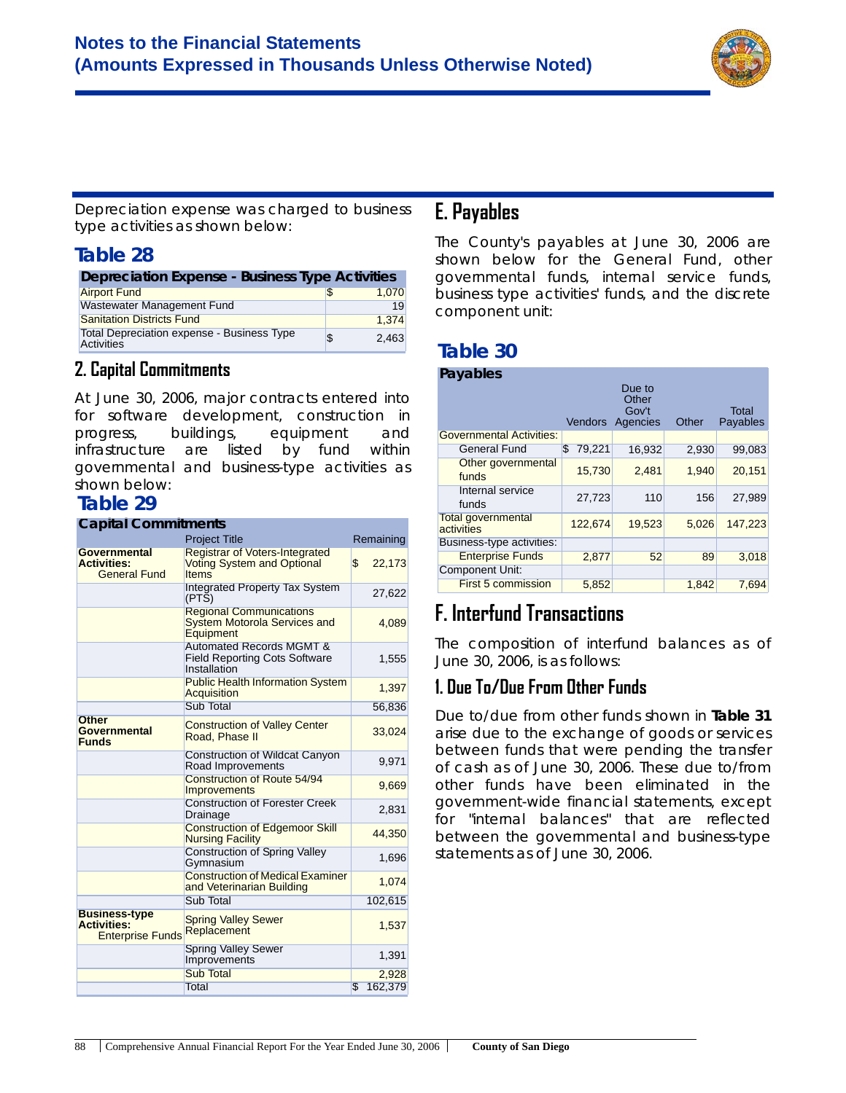

*Depreciation expense* was charged to *business type activities* as shown below:

#### **Table 28**

| Depreciation Expense - Business Type Activities                        |  |       |  |  |  |  |
|------------------------------------------------------------------------|--|-------|--|--|--|--|
| <b>Airport Fund</b>                                                    |  | 1.070 |  |  |  |  |
| Wastewater Management Fund                                             |  | 19    |  |  |  |  |
| <b>Sanitation Districts Fund</b>                                       |  | 1.374 |  |  |  |  |
| <b>Total Depreciation expense - Business Type</b><br><b>Activities</b> |  | 2.463 |  |  |  |  |

#### **2. Capital Commitments**

At June 30, 2006, major contracts entered into for software development, construction in progress, buildings, equipment and infrastructure are listed by fund within *governmental and business-type activities* as shown below:

### **Table 29**

| <b>Capital Commitments</b>                                            |                                                                                             |               |
|-----------------------------------------------------------------------|---------------------------------------------------------------------------------------------|---------------|
|                                                                       | <b>Project Title</b>                                                                        | Remaining     |
| Governmental<br><b>Activities:</b><br><b>General Fund</b>             | <b>Registrar of Voters-Integrated</b><br><b>Voting System and Optional</b><br><b>Items</b>  | \$<br>22,173  |
|                                                                       | <b>Integrated Property Tax System</b><br>(PTS)                                              | 27,622        |
|                                                                       | <b>Regional Communications</b><br><b>System Motorola Services and</b><br>Equipment          | 4,089         |
|                                                                       | <b>Automated Records MGMT &amp;</b><br><b>Field Reporting Cots Software</b><br>Installation | 1,555         |
|                                                                       | <b>Public Health Information System</b><br>Acquisition                                      | 1,397         |
|                                                                       | <b>Sub Total</b>                                                                            | 56,836        |
| <b>Other</b><br>Governmental<br><b>Funds</b>                          | <b>Construction of Valley Center</b><br>Road, Phase II                                      | 33,024        |
|                                                                       | Construction of Wildcat Canyon<br>Road Improvements                                         | 9,971         |
|                                                                       | <b>Construction of Route 54/94</b><br>Improvements                                          | 9,669         |
|                                                                       | <b>Construction of Forester Creek</b><br>Drainage                                           | 2,831         |
|                                                                       | <b>Construction of Edgemoor Skill</b><br><b>Nursing Facility</b>                            | 44,350        |
|                                                                       | <b>Construction of Spring Valley</b><br>Gymnasium                                           | 1,696         |
|                                                                       | <b>Construction of Medical Examiner</b><br>and Veterinarian Building                        | 1,074         |
|                                                                       | <b>Sub Total</b>                                                                            | 102,615       |
| <b>Business-type</b><br><b>Activities:</b><br><b>Enterprise Funds</b> | <b>Spring Valley Sewer</b><br>Replacement                                                   | 1,537         |
|                                                                       | <b>Spring Valley Sewer</b><br>Improvements                                                  | 1,391         |
|                                                                       | <b>Sub Total</b>                                                                            | 2,928         |
|                                                                       | Total                                                                                       | 162,379<br>\$ |

## **E. Payables**

The County's payables at June 30, 2006 are shown below for the General Fund, other governmental funds, internal service funds, business type activities' funds, and the discrete component unit:

### **Table 30**

| Payables                                |                                                                                      |        |       |         |  |  |  |
|-----------------------------------------|--------------------------------------------------------------------------------------|--------|-------|---------|--|--|--|
|                                         | Due to<br>Other<br>Gov't<br>Total<br>Agencies<br>Payables<br><b>Vendors</b><br>Other |        |       |         |  |  |  |
| <b>Governmental Activities:</b>         |                                                                                      |        |       |         |  |  |  |
| <b>General Fund</b>                     | 79,221<br>\$                                                                         | 16,932 | 2,930 | 99,083  |  |  |  |
| Other governmental<br>funds             | 15,730                                                                               | 2,481  | 1,940 | 20,151  |  |  |  |
| Internal service<br>funds               | 27,723                                                                               | 110    | 156   | 27.989  |  |  |  |
| <b>Total governmental</b><br>activities | 122,674                                                                              | 19,523 | 5,026 | 147.223 |  |  |  |
| Business-type activities:               |                                                                                      |        |       |         |  |  |  |
| <b>Enterprise Funds</b>                 | 2,877                                                                                | 52     | 89    | 3,018   |  |  |  |
| <b>Component Unit:</b>                  |                                                                                      |        |       |         |  |  |  |
| First 5 commission                      | 5,852                                                                                |        | 1,842 | 7,694   |  |  |  |

# **F. Interfund Transactions**

The composition of interfund balances as of June 30, 2006, is as follows:

#### **1. Due To/Due From Other Funds**

Due to/due from other funds shown in **Table 31** arise due to the exchange of goods or services between funds that were pending the transfer of cash as of June 30, 2006. These due to/from other funds have been eliminated in the government-wide financial statements, except for "internal balances" that are reflected between the governmental and business-type statements as of June 30, 2006.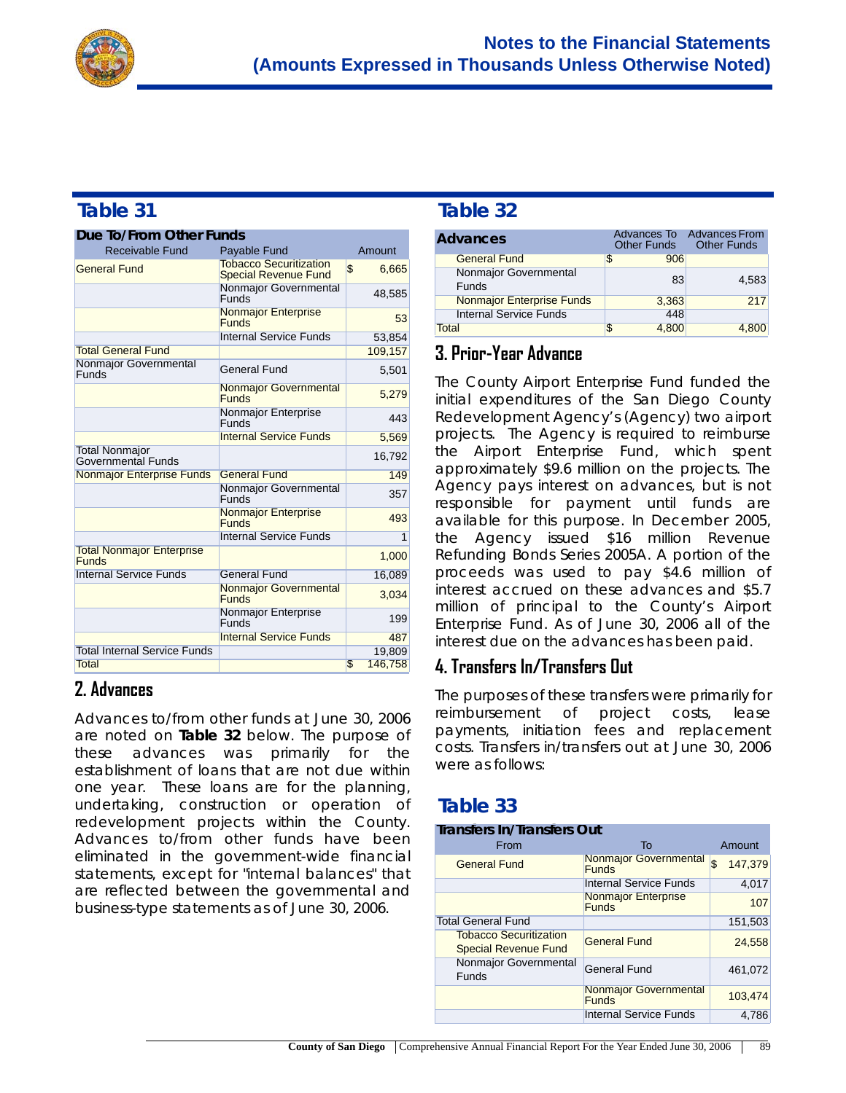

| Due To/From Other Funds                          |                                                              |    |                |
|--------------------------------------------------|--------------------------------------------------------------|----|----------------|
| <b>Receivable Fund</b>                           | <b>Payable Fund</b>                                          |    | Amount         |
| <b>General Fund</b>                              | <b>Tobacco Securitization</b><br><b>Special Revenue Fund</b> | \$ | 6,665          |
|                                                  | Nonmajor Governmental<br><b>Funds</b>                        |    | 48,585         |
|                                                  | <b>Nonmajor Enterprise</b><br><b>Funds</b>                   |    | 53             |
|                                                  | <b>Internal Service Funds</b>                                |    | 53,854         |
| <b>Total General Fund</b>                        |                                                              |    | 109,157        |
| Nonmajor Governmental<br>Funds                   | General Fund                                                 |    | 5,501          |
|                                                  | Nonmajor Governmental<br><b>Funds</b>                        |    | 5,279          |
|                                                  | Nonmajor Enterprise<br><b>Funds</b>                          |    | 443            |
|                                                  | <b>Internal Service Funds</b>                                |    | 5,569          |
| <b>Total Nonmajor</b><br>Governmental Funds      |                                                              |    | 16,792         |
| <b>Nonmajor Enterprise Funds</b>                 | <b>General Fund</b>                                          |    | 149            |
|                                                  | Nonmajor Governmental<br>Funds                               |    | 357            |
|                                                  | <b>Nonmajor Enterprise</b><br><b>Funds</b>                   |    | 493            |
|                                                  | <b>Internal Service Funds</b>                                |    | $\overline{1}$ |
| <b>Total Nonmajor Enterprise</b><br><b>Funds</b> |                                                              |    | 1,000          |
| <b>Internal Service Funds</b>                    | <b>General Fund</b>                                          |    | 16,089         |
|                                                  | <b>Nonmajor Governmental</b><br><b>Funds</b>                 |    | 3,034          |
|                                                  | Nonmajor Enterprise<br>Funds                                 |    | 199            |
|                                                  | <b>Internal Service Funds</b>                                |    | 487            |
| <b>Total Internal Service Funds</b>              |                                                              |    | 19,809         |
| <b>Total</b>                                     |                                                              | S  | 146,758        |

### **2. Advances**

Advances to/from other funds at June 30, 2006 are noted on **Table 32** below. The purpose of these advances was primarily for the establishment of loans that are not due within one year. These loans are for the planning, undertaking, construction or operation of redevelopment projects within the County. Advances to/from other funds have been eliminated in the government-wide financial statements, except for "internal balances" that are reflected between the governmental and business-type statements as of June 30, 2006.

## **Table 32**

| <b>Advances</b>                       |   |       | Advances To Advances From<br>Other Funds Other Funds |
|---------------------------------------|---|-------|------------------------------------------------------|
| <b>General Fund</b>                   | S | 906   |                                                      |
| Nonmajor Governmental<br><b>Funds</b> |   | 83    | 4.583                                                |
| <b>Nonmajor Enterprise Funds</b>      |   | 3,363 | 217                                                  |
| <b>Internal Service Funds</b>         |   | 448   |                                                      |
| Total                                 | S | 4.800 | 4.800                                                |

#### **3. Prior-Year Advance**

The County Airport Enterprise Fund funded the initial expenditures of the San Diego County Redevelopment Agency's (Agency) two airport projects. The Agency is required to reimburse the Airport Enterprise Fund, which spent approximately \$9.6 million on the projects. The Agency pays interest on advances, but is not responsible for payment until funds are available for this purpose. In December 2005, the Agency issued \$16 million Revenue Refunding Bonds Series 2005A. A portion of the proceeds was used to pay \$4.6 million of interest accrued on these advances and \$5.7 million of principal to the County's Airport Enterprise Fund. As of June 30, 2006 all of the interest due on the advances has been paid.

### **4. Transfers In/Transfers Out**

The purposes of these transfers were primarily for reimbursement of project costs, lease payments, initiation fees and replacement costs. Transfers in/transfers out at June 30, 2006 were as follows:

### **Table 33**

| <b>Transfers In/Transfers Out</b>                            |                                              |               |
|--------------------------------------------------------------|----------------------------------------------|---------------|
| From                                                         | <b>To</b>                                    | Amount        |
| <b>General Fund</b>                                          | <b>Nonmajor Governmental</b><br><b>Funds</b> | \$<br>147.379 |
|                                                              | <b>Internal Service Funds</b>                | 4.017         |
|                                                              | <b>Nonmajor Enterprise</b><br><b>Funds</b>   | 107           |
| <b>Total General Fund</b>                                    |                                              | 151,503       |
| <b>Tobacco Securitization</b><br><b>Special Revenue Fund</b> | <b>General Fund</b>                          | 24,558        |
| Nonmajor Governmental<br><b>Funds</b>                        | <b>General Fund</b>                          | 461,072       |
|                                                              | <b>Nonmajor Governmental</b><br><b>Funds</b> | 103,474       |
|                                                              | <b>Internal Service Funds</b>                | 4.786         |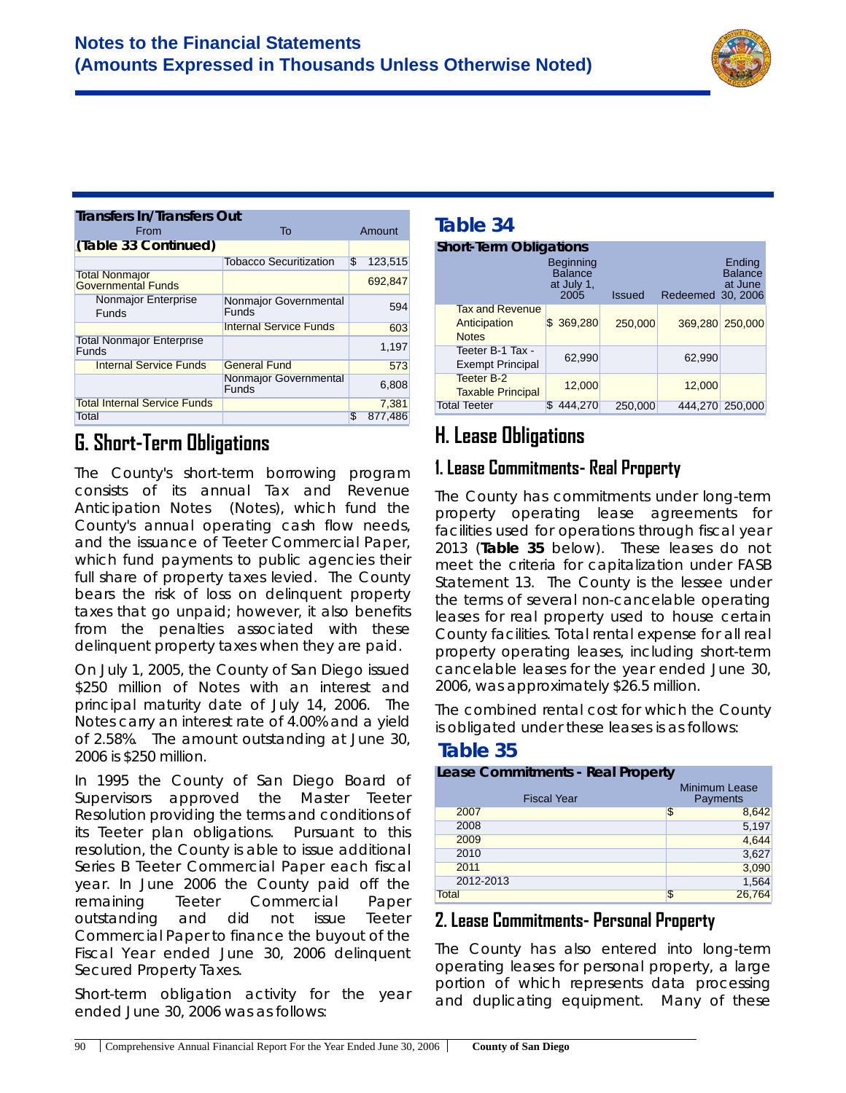

| <b>Transfers In/Transfers Out</b>                  |                                |              |         |
|----------------------------------------------------|--------------------------------|--------------|---------|
| From                                               | To                             |              | Amount  |
| (Table 33 Continued)                               |                                |              |         |
|                                                    | <b>Tobacco Securitization</b>  | $\mathbb{S}$ | 123,515 |
| <b>Total Nonmajor</b><br><b>Governmental Funds</b> |                                |              | 692.847 |
| <b>Nonmajor Enterprise</b><br><b>Funds</b>         | Nonmajor Governmental<br>Funds |              | 594     |
|                                                    | <b>Internal Service Funds</b>  |              | 603     |
| <b>Total Nonmajor Enterprise</b><br>Funds          |                                |              | 1,197   |
| <b>Internal Service Funds</b>                      | <b>General Fund</b>            |              | 573     |
|                                                    | Nonmajor Governmental<br>Funds |              | 6,808   |
| <b>Total Internal Service Funds</b>                |                                |              | 7.381   |
| Total                                              |                                | S            | 877.486 |

# **G. Short-Term Obligations**

The County's short-term borrowing program consists of its annual Tax and Revenue Anticipation Notes (Notes), which fund the County's annual operating cash flow needs, and the issuance of Teeter Commercial Paper, which fund payments to public agencies their full share of property taxes levied. The County bears the risk of loss on delinquent property taxes that go unpaid; however, it also benefits from the penalties associated with these delinquent property taxes when they are paid.

On July 1, 2005, the County of San Diego issued \$250 million of Notes with an interest and principal maturity date of July 14, 2006. The Notes carry an interest rate of 4.00% and a yield of 2.58%. The amount outstanding at June 30, 2006 is \$250 million.

In 1995 the County of San Diego Board of Supervisors approved the Master Teeter Resolution providing the terms and conditions of its Teeter plan obligations. Pursuant to this resolution, the County is able to issue additional Series B Teeter Commercial Paper each fiscal year. In June 2006 the County paid off the remaining Teeter Commercial Paper outstanding and did not issue Teeter Commercial Paper to finance the buyout of the Fiscal Year ended June 30, 2006 delinquent Secured Property Taxes.

Short-term obligation activity for the year ended June 30, 2006 was as follows:

# **Table 34**

|                                                        | <b>Short-Term Obligations</b>                            |               |                   |                                     |  |  |  |  |  |  |
|--------------------------------------------------------|----------------------------------------------------------|---------------|-------------------|-------------------------------------|--|--|--|--|--|--|
|                                                        | <b>Beginning</b><br><b>Balance</b><br>at July 1,<br>2005 | <b>Issued</b> | Redeemed 30, 2006 | Ending<br><b>Balance</b><br>at June |  |  |  |  |  |  |
| <b>Tax and Revenue</b><br>Anticipation<br><b>Notes</b> | \$369,280                                                | 250,000       | 369,280           | 250,000                             |  |  |  |  |  |  |
| Teeter B-1 Tax -<br><b>Exempt Principal</b>            | 62,990                                                   |               | 62,990            |                                     |  |  |  |  |  |  |
| Teeter B-2<br><b>Taxable Principal</b>                 | 12,000                                                   |               | 12,000            |                                     |  |  |  |  |  |  |
| <b>Total Teeter</b>                                    | S<br>444,270                                             | 250,000       | 444,270           | 250,000                             |  |  |  |  |  |  |

# **H. Lease Obligations**

### **1. Lease Commitments- Real Property**

The County has commitments under long-term property operating lease agreements for facilities used for operations through fiscal year 2013 (**Table 35** below). These leases do not meet the criteria for capitalization under FASB Statement 13. The County is the lessee under the terms of several non-cancelable operating leases for real property used to house certain County facilities. Total rental expense for all real property operating leases, including short-term cancelable leases for the year ended June 30, 2006, was approximately \$26.5 million.

The combined rental cost for which the County is obligated under these leases is as follows:

### **Table 35**

| Lease Commitments - Real Property |    |                           |  |  |
|-----------------------------------|----|---------------------------|--|--|
| <b>Fiscal Year</b>                |    | Minimum Lease<br>Payments |  |  |
| 2007                              | \$ | 8,642                     |  |  |
| 2008                              |    | 5,197                     |  |  |
| 2009                              |    | 4,644                     |  |  |
| 2010                              |    | 3,627                     |  |  |
| 2011                              |    | 3,090                     |  |  |
| 2012-2013                         |    | 1,564                     |  |  |
| Total                             | \$ | 26,764                    |  |  |

### **2. Lease Commitments- Personal Property**

The County has also entered into long-term operating leases for personal property, a large portion of which represents data processing and duplicating equipment. Many of these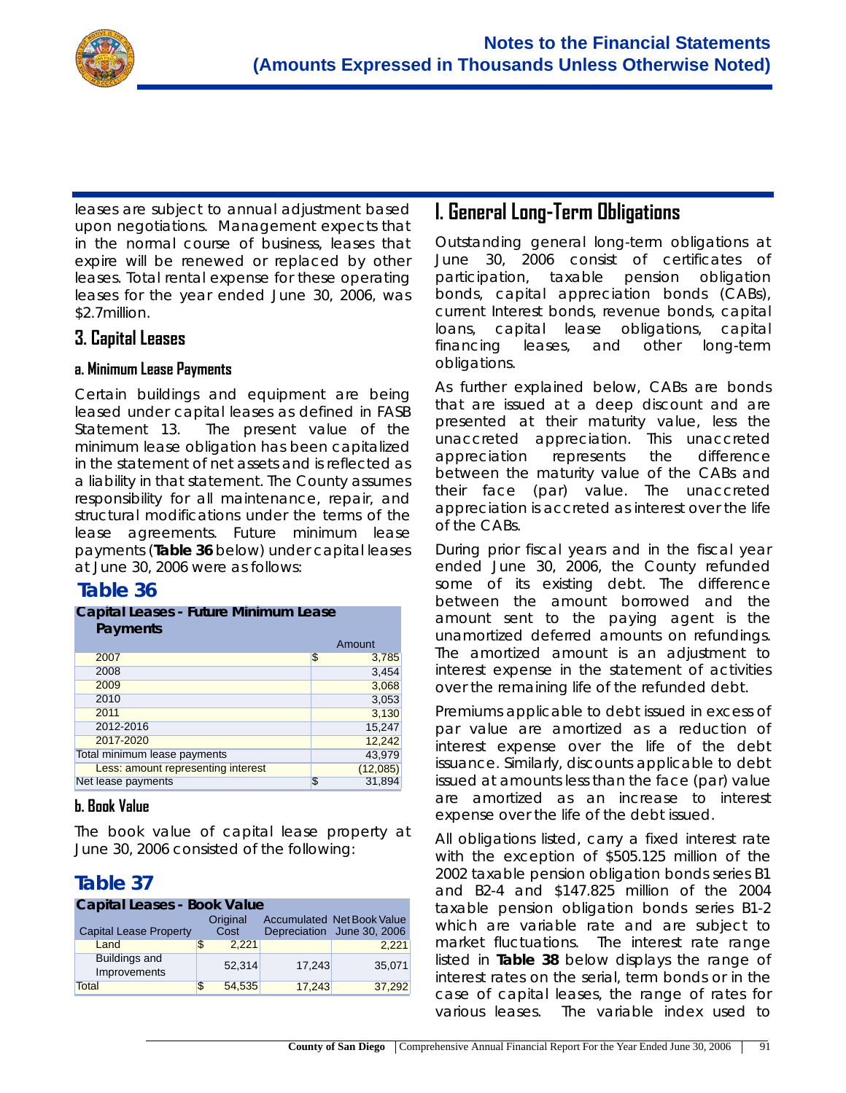

leases are subject to annual adjustment based upon negotiations. Management expects that in the normal course of business, leases that expire will be renewed or replaced by other leases. Total rental expense for these operating leases for the year ended June 30, 2006, was \$2.7million.

#### **3. Capital Leases**

#### **a. Minimum Lease Payments**

Certain buildings and equipment are being leased under capital leases as defined in FASB Statement 13. The present value of the minimum lease obligation has been capitalized in the statement of net assets and is reflected as a liability in that statement. The County assumes responsibility for all maintenance, repair, and structural modifications under the terms of the lease agreements. Future minimum lease payments (**Table 36** below) under capital leases at June 30, 2006 were as follows:

#### **Table 36**

| <b>Capital Leases - Future Minimum Lease</b><br>Payments |    |          |  |  |  |
|----------------------------------------------------------|----|----------|--|--|--|
|                                                          |    | Amount   |  |  |  |
| 2007                                                     | \$ | 3,785    |  |  |  |
| 2008                                                     |    | 3,454    |  |  |  |
| 2009                                                     |    | 3,068    |  |  |  |
| 2010                                                     |    | 3,053    |  |  |  |
| 2011                                                     |    | 3,130    |  |  |  |
| 2012-2016                                                |    | 15,247   |  |  |  |
| 2017-2020                                                |    | 12,242   |  |  |  |
| Total minimum lease payments                             |    | 43,979   |  |  |  |
| Less: amount representing interest                       |    | (12,085) |  |  |  |
| Net lease payments                                       | S  | 31,894   |  |  |  |

#### **b. Book Value**

The book value of capital lease property at June 30, 2006 consisted of the following:

### **Table 37**

| Capital Leases - Book Value          |   |                  |        |                                                                 |  |  |  |  |
|--------------------------------------|---|------------------|--------|-----------------------------------------------------------------|--|--|--|--|
| <b>Capital Lease Property</b>        |   | Original<br>Cost |        | <b>Accumulated Net Book Value</b><br>Depreciation June 30, 2006 |  |  |  |  |
| Land                                 | S | 2.221            |        | 2,221                                                           |  |  |  |  |
| <b>Buildings and</b><br>Improvements |   | 52.314           | 17,243 | 35,071                                                          |  |  |  |  |
| Total                                | S | 54.535           | 17.243 | 37,292                                                          |  |  |  |  |

# **I. General Long-Term Obligations**

Outstanding general long-term obligations at June 30, 2006 consist of certificates of participation, taxable pension obligation bonds, capital appreciation bonds (CABs), current Interest bonds, revenue bonds, capital loans, capital lease obligations, capital financing leases, and other long-term obligations.

As further explained below, CABs are bonds that are issued at a deep discount and are presented at their maturity value, less the unaccreted appreciation. This unaccreted appreciation represents the difference between the maturity value of the CABs and their face (par) value. The unaccreted appreciation is accreted as interest over the life of the CABs.

During prior fiscal years and in the fiscal year ended June 30, 2006, the County refunded some of its existing debt. The difference between the amount borrowed and the amount sent to the paying agent is the unamortized deferred amounts on refundings. The amortized amount is an adjustment to interest expense in the statement of activities over the remaining life of the refunded debt.

Premiums applicable to debt issued in excess of par value are amortized as a reduction of interest expense over the life of the debt issuance. Similarly, discounts applicable to debt issued at amounts less than the face (par) value are amortized as an increase to interest expense over the life of the debt issued.

All obligations listed, carry a fixed interest rate with the exception of \$505.125 million of the 2002 taxable pension obligation bonds series B1 and B2-4 and \$147.825 million of the 2004 taxable pension obligation bonds series B1-2 which are variable rate and are subject to market fluctuations. The interest rate range listed in **Table 38** below displays the range of interest rates on the serial, term bonds or in the case of capital leases, the range of rates for various leases. The variable index used to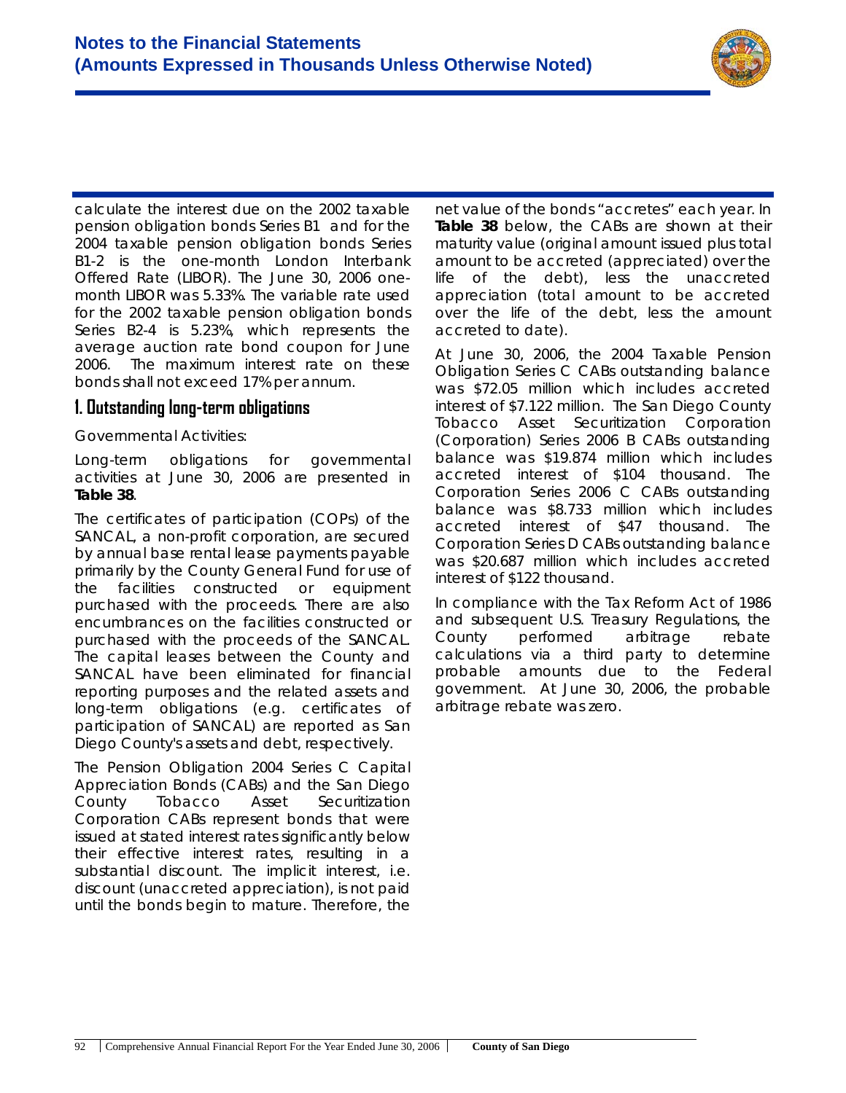

calculate the interest due on the 2002 taxable pension obligation bonds Series B1 and for the 2004 taxable pension obligation bonds Series B1-2 is the one-month London Interbank Offered Rate (LIBOR). The June 30, 2006 onemonth LIBOR was 5.33%. The variable rate used for the 2002 taxable pension obligation bonds Series B2-4 is 5.23%, which represents the average auction rate bond coupon for June 2006. The maximum interest rate on these bonds shall not exceed 17% per annum.

#### **1. Outstanding long-term obligations**

#### *Governmental Activities*:

Long-term obligations for *governmental activities* at June 30, 2006 are presented in **Table 38**.

The certificates of participation (COPs) of the SANCAL, a non-profit corporation, are secured by annual base rental lease payments payable primarily by the County General Fund for use of the facilities constructed or equipment purchased with the proceeds. There are also encumbrances on the facilities constructed or purchased with the proceeds of the SANCAL. The capital leases between the County and SANCAL have been eliminated for financial reporting purposes and the related assets and long-term obligations (e.g. certificates of participation of SANCAL) are reported as San Diego County's assets and debt, respectively.

The Pension Obligation 2004 Series C Capital Appreciation Bonds (CABs) and the San Diego County Tobacco Asset Securitization Corporation CABs represent bonds that were issued at stated interest rates significantly below their effective interest rates, resulting in a substantial discount. The implicit interest, i.e. discount (unaccreted appreciation), is not paid until the bonds begin to mature. Therefore, the

net value of the bonds "accretes" each year. In **Table 38** below, the CABs are shown at their maturity value (original amount issued plus total amount to be accreted (appreciated) over the life of the debt), less the unaccreted appreciation (total amount to be accreted over the life of the debt, less the amount accreted to date).

At June 30, 2006, the 2004 Taxable Pension Obligation Series C CABs outstanding balance was \$72.05 million which includes accreted interest of \$7.122 million. The San Diego County Tobacco Asset Securitization Corporation (Corporation) Series 2006 B CABs outstanding balance was \$19.874 million which includes accreted interest of \$104 thousand. The Corporation Series 2006 C CABs outstanding balance was \$8.733 million which includes accreted interest of \$47 thousand. The Corporation Series D CABs outstanding balance was \$20.687 million which includes accreted interest of \$122 thousand.

In compliance with the Tax Reform Act of 1986 and subsequent U.S. Treasury Regulations, the County performed arbitrage rebate calculations via a third party to determine probable amounts due to the Federal government. At June 30, 2006, the probable arbitrage rebate was zero.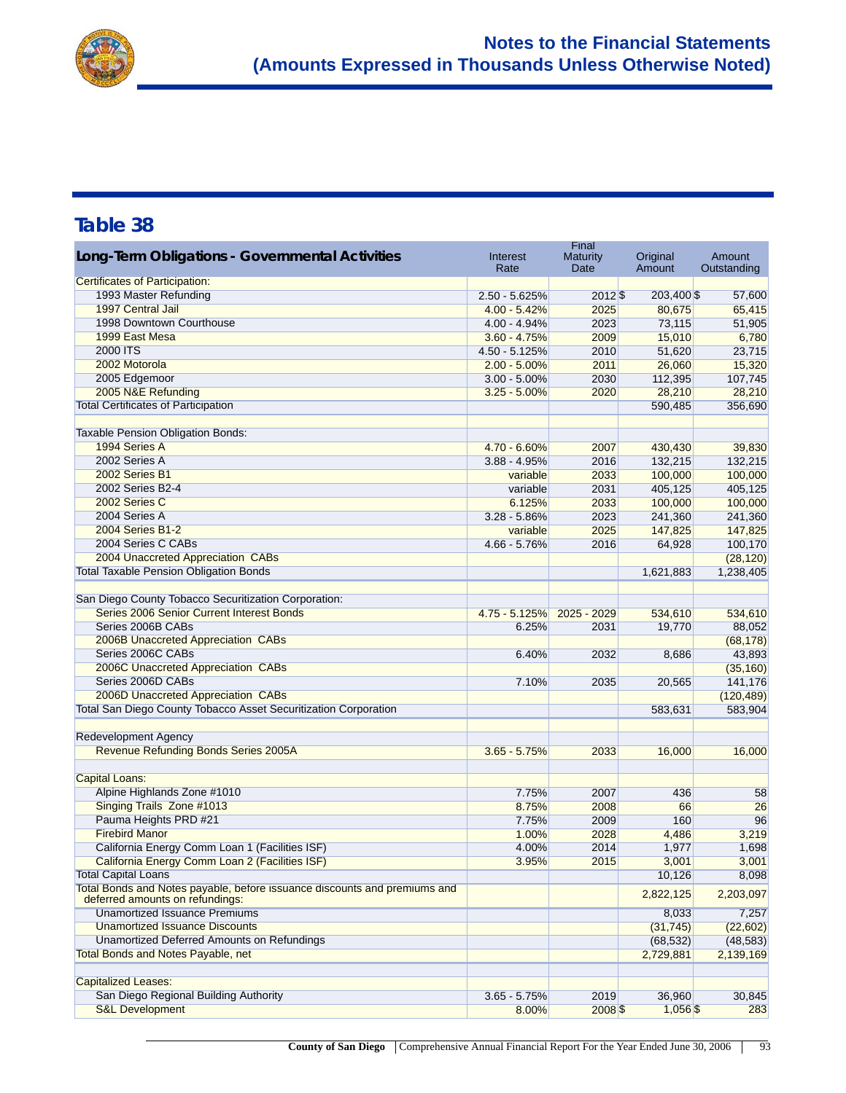

| Long-Term Obligations - Governmental Activities                                                              | Interest               | Final<br><b>Maturity</b> | Original          | Amount            |
|--------------------------------------------------------------------------------------------------------------|------------------------|--------------------------|-------------------|-------------------|
|                                                                                                              | Rate                   | Date                     | Amount            | Outstanding       |
| <b>Certificates of Participation:</b>                                                                        |                        |                          |                   |                   |
| 1993 Master Refunding                                                                                        | $2.50 - 5.625%$        | $2012\$                  | 203,400 \$        | 57,600            |
| 1997 Central Jail                                                                                            | $4.00 - 5.42%$         | 2025                     | 80,675            | 65,415            |
| 1998 Downtown Courthouse                                                                                     | $4.00 - 4.94\%$        | 2023                     | 73,115            | 51,905            |
| 1999 East Mesa                                                                                               | $3.60 - 4.75%$         | 2009                     | 15,010            | 6,780             |
| 2000 ITS                                                                                                     | $4.50 - 5.125%$        | 2010                     | 51,620            | 23,715            |
| 2002 Motorola                                                                                                | $2.00 - 5.00\%$        | 2011                     | 26,060            | 15,320            |
| 2005 Edgemoor                                                                                                | $3.00 - 5.00\%$        | 2030                     | 112,395           | 107,745           |
| 2005 N&E Refunding                                                                                           | $3.25 - 5.00\%$        | 2020                     | 28,210            | 28,210            |
| <b>Total Certificates of Participation</b>                                                                   |                        |                          | 590,485           | 356,690           |
| Taxable Pension Obligation Bonds:                                                                            |                        |                          |                   |                   |
| 1994 Series A                                                                                                | 4.70 - 6.60%           | 2007                     | 430,430           | 39,830            |
| 2002 Series A                                                                                                | $3.88 - 4.95%$         | 2016                     | 132,215           | 132,215           |
| 2002 Series B1                                                                                               | variable               | 2033                     | 100,000           | 100,000           |
| 2002 Series B2-4                                                                                             | variable               | 2031                     | 405,125           | 405,125           |
| 2002 Series C                                                                                                | 6.125%                 | 2033                     | 100,000           | 100,000           |
| 2004 Series A                                                                                                | $3.28 - 5.86\%$        | 2023                     | 241,360           | 241,360           |
| 2004 Series B1-2                                                                                             | variable               | 2025                     | 147,825           | 147,825           |
| 2004 Series C CABs                                                                                           | 4.66 - 5.76%           | 2016                     | 64,928            | 100,170           |
| 2004 Unaccreted Appreciation CABs                                                                            |                        |                          |                   | (28, 120)         |
| <b>Total Taxable Pension Obligation Bonds</b>                                                                |                        |                          |                   | 1,238,405         |
|                                                                                                              |                        |                          | 1,621,883         |                   |
| San Diego County Tobacco Securitization Corporation:                                                         |                        |                          |                   |                   |
| Series 2006 Senior Current Interest Bonds                                                                    |                        | $2025 - 2029$            |                   |                   |
| Series 2006B CABs                                                                                            | 4.75 - 5.125%<br>6.25% | 2031                     | 534,610<br>19,770 | 534,610<br>88,052 |
| 2006B Unaccreted Appreciation CABs                                                                           |                        |                          |                   |                   |
| Series 2006C CABs                                                                                            |                        |                          |                   | (68, 178)         |
|                                                                                                              | 6.40%                  | 2032                     | 8,686             | 43,893            |
| 2006C Unaccreted Appreciation CABs                                                                           |                        |                          |                   | (35, 160)         |
| Series 2006D CABs                                                                                            | 7.10%                  | 2035                     | 20,565            | 141,176           |
| 2006D Unaccreted Appreciation CABs                                                                           |                        |                          |                   | (120, 489)        |
| <b>Total San Diego County Tobacco Asset Securitization Corporation</b>                                       |                        |                          | 583,631           | 583,904           |
| <b>Redevelopment Agency</b>                                                                                  |                        |                          |                   |                   |
| Revenue Refunding Bonds Series 2005A                                                                         | $3.65 - 5.75%$         | 2033                     | 16,000            | 16,000            |
|                                                                                                              |                        |                          |                   |                   |
| <b>Capital Loans:</b>                                                                                        |                        |                          |                   |                   |
| Alpine Highlands Zone #1010                                                                                  | 7.75%                  | 2007                     | 436               | 58                |
| Singing Trails Zone #1013                                                                                    | 8.75%                  | 2008                     | 66                | 26                |
| Pauma Heights PRD #21                                                                                        | 7.75%                  | 2009                     | 160               | 96                |
| <b>Firebird Manor</b>                                                                                        | 1.00%                  | 2028                     | 4,486             | 3,219             |
| California Energy Comm Loan 1 (Facilities ISF)                                                               | 4.00%                  | 2014                     | 1,977             | 1,698             |
| California Energy Comm Loan 2 (Facilities ISF)                                                               | 3.95%                  | 2015                     | 3,001             | 3,001             |
| <b>Total Capital Loans</b>                                                                                   |                        |                          | 10,126            | 8,098             |
| Total Bonds and Notes payable, before issuance discounts and premiums and<br>deferred amounts on refundings: |                        |                          | 2,822,125         | 2,203,097         |
| <b>Unamortized Issuance Premiums</b>                                                                         |                        |                          | 8,033             | 7,257             |
| <b>Unamortized Issuance Discounts</b>                                                                        |                        |                          | (31, 745)         | (22, 602)         |
| <b>Unamortized Deferred Amounts on Refundings</b>                                                            |                        |                          | (68, 532)         | (48, 583)         |
| <b>Total Bonds and Notes Payable, net</b>                                                                    |                        |                          | 2,729,881         | 2,139,169         |
|                                                                                                              |                        |                          |                   |                   |
| <b>Capitalized Leases:</b>                                                                                   |                        |                          |                   |                   |
| San Diego Regional Building Authority                                                                        | $3.65 - 5.75%$         | 2019                     | 36,960            | 30,845            |
| <b>S&amp;L Development</b>                                                                                   | 8.00%                  | $2008$ \$                | $1,056$ \$        | 283               |
|                                                                                                              |                        |                          |                   |                   |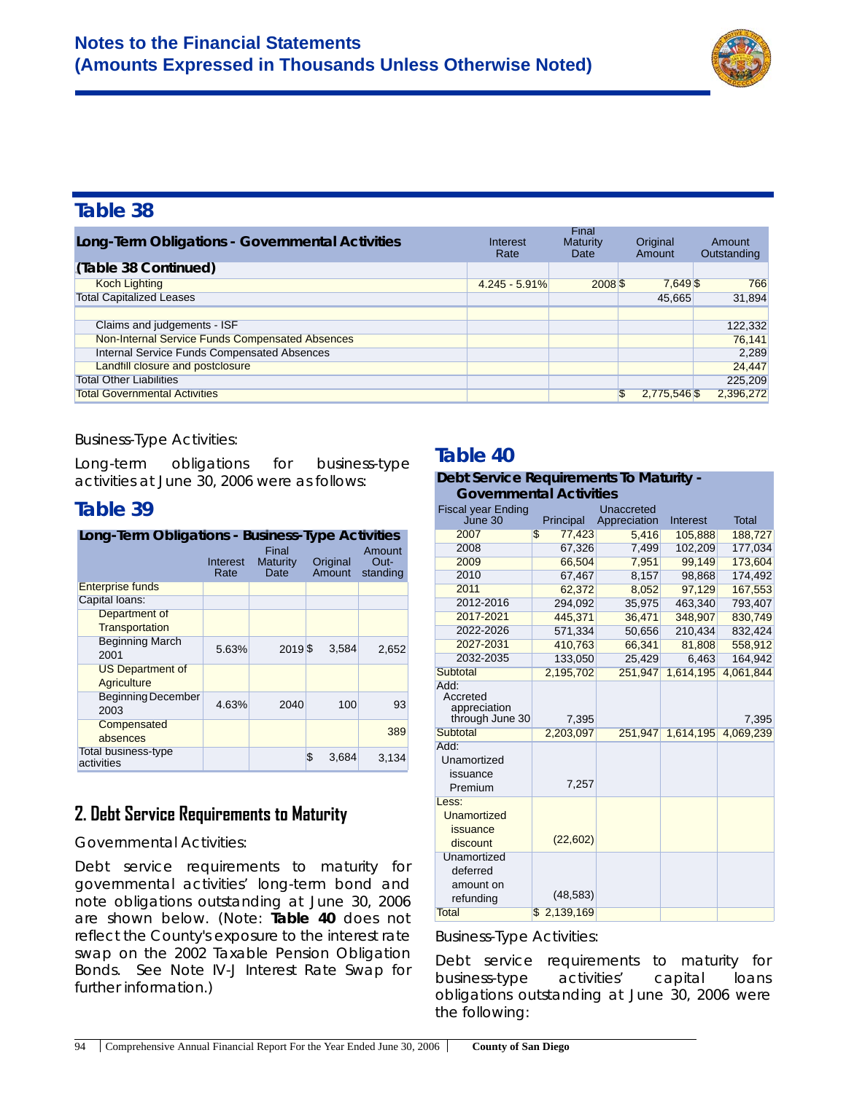

| Long-Term Obligations - Governmental Activities    | Interest<br>Rate | Final<br>Maturity<br>Date | Original<br>Amount | Amount<br>Outstanding |
|----------------------------------------------------|------------------|---------------------------|--------------------|-----------------------|
| (Table 38 Continued)                               |                  |                           |                    |                       |
| <b>Koch Lighting</b>                               | $4.245 - 5.91\%$ | $2008$ \$                 | 7,649 \$           | 766                   |
| <b>Total Capitalized Leases</b>                    |                  |                           | 45.665             | 31.894                |
|                                                    |                  |                           |                    |                       |
| Claims and judgements - ISF                        |                  |                           |                    | 122,332               |
| Non-Internal Service Funds Compensated Absences    |                  |                           |                    | 76,141                |
| <b>Internal Service Funds Compensated Absences</b> |                  |                           |                    | 2,289                 |
| Landfill closure and postclosure                   |                  |                           |                    | 24,447                |
| <b>Total Other Liabilities</b>                     |                  |                           |                    | 225,209               |
| <b>Total Governmental Activities</b>               |                  |                           | 2,775,546 \$       | 2,396,272             |

#### *Business-Type Activities*:

Long-term obligations for business-type activities at June 30, 2006 were as follows:

### **Table 39**

| Long-Term Obligations - Business-Type Activities |                  |                           |                    |                            |  |  |  |  |
|--------------------------------------------------|------------------|---------------------------|--------------------|----------------------------|--|--|--|--|
|                                                  | Interest<br>Rate | Final<br>Maturity<br>Date | Original<br>Amount | Amount<br>Out-<br>standing |  |  |  |  |
| <b>Enterprise funds</b>                          |                  |                           |                    |                            |  |  |  |  |
| Capital loans:                                   |                  |                           |                    |                            |  |  |  |  |
| Department of                                    |                  |                           |                    |                            |  |  |  |  |
| Transportation                                   |                  |                           |                    |                            |  |  |  |  |
| <b>Beginning March</b><br>2001                   | 5.63%            | 2019S                     | 3,584              | 2,652                      |  |  |  |  |
| <b>US Department of</b><br>Agriculture           |                  |                           |                    |                            |  |  |  |  |
| <b>Beginning December</b><br>2003                | 4.63%            | 2040                      | 100                | 93                         |  |  |  |  |
| Compensated<br>absences                          |                  |                           |                    | 389                        |  |  |  |  |
| Total business-type<br>activities                |                  |                           | \$<br>3.684        | 3,134                      |  |  |  |  |

# **2. Debt Service Requirements to Maturity**

#### *Governmental Activities*:

Debt service requirements to maturity for *governmental activities'* long-term bond and note obligations outstanding at June 30, 2006 are shown below. (Note: **Table 40** does not reflect the County's exposure to the interest rate swap on the 2002 Taxable Pension Obligation Bonds. See Note IV-J Interest Rate Swap for further information.)

### **Table 40**

| Debt Service Requirements To Maturity -                    |                          |              |           |              |  |  |  |
|------------------------------------------------------------|--------------------------|--------------|-----------|--------------|--|--|--|
| <b>Governmental Activities</b>                             |                          |              |           |              |  |  |  |
| <b>Fiscal year Ending</b>                                  |                          | Unaccreted   |           |              |  |  |  |
| June 30                                                    | Principal                | Appreciation | Interest  | <b>Total</b> |  |  |  |
| 2007                                                       | \$<br>77,423             | 5,416        | 105,888   | 188,727      |  |  |  |
| 2008                                                       | 67,326                   | 7,499        | 102,209   | 177,034      |  |  |  |
| 2009                                                       | 66,504                   | 7,951        | 99,149    | 173,604      |  |  |  |
| 2010                                                       | 67,467                   | 8,157        | 98,868    | 174,492      |  |  |  |
| 2011                                                       | 62,372                   | 8,052        | 97,129    | 167,553      |  |  |  |
| 2012-2016                                                  | 294,092                  | 35,975       | 463,340   | 793,407      |  |  |  |
| 2017-2021                                                  | 445,371                  | 36,471       | 348,907   | 830,749      |  |  |  |
| 2022-2026                                                  | 571,334                  | 50,656       | 210,434   | 832,424      |  |  |  |
| 2027-2031                                                  | 410,763                  | 66,341       | 81,808    | 558,912      |  |  |  |
| 2032-2035                                                  | 133.050                  | 25,429       | 6.463     | 164.942      |  |  |  |
| <b>Subtotal</b>                                            | 2,195,702                | 251,947      | 1,614,195 | 4,061,844    |  |  |  |
| Add:<br>Accreted<br>appreciation<br>through June 30        | 7,395                    |              |           | 7,395        |  |  |  |
| Subtotal                                                   | 2,203,097                | 251,947      | 1,614,195 | 4,069,239    |  |  |  |
| Add:<br>Unamortized<br>issuance<br>Premium                 | 7,257                    |              |           |              |  |  |  |
| Less:<br>Unamortized<br>issuance<br>discount               | (22, 602)                |              |           |              |  |  |  |
| Unamortized<br>deferred<br>amount on<br>refunding<br>Total | (48, 583)<br>\$2,139,169 |              |           |              |  |  |  |

#### *Business-Type Activities:*

Debt service requirements to maturity for *business-type activities'* capital loans obligations outstanding at June 30, 2006 were the following: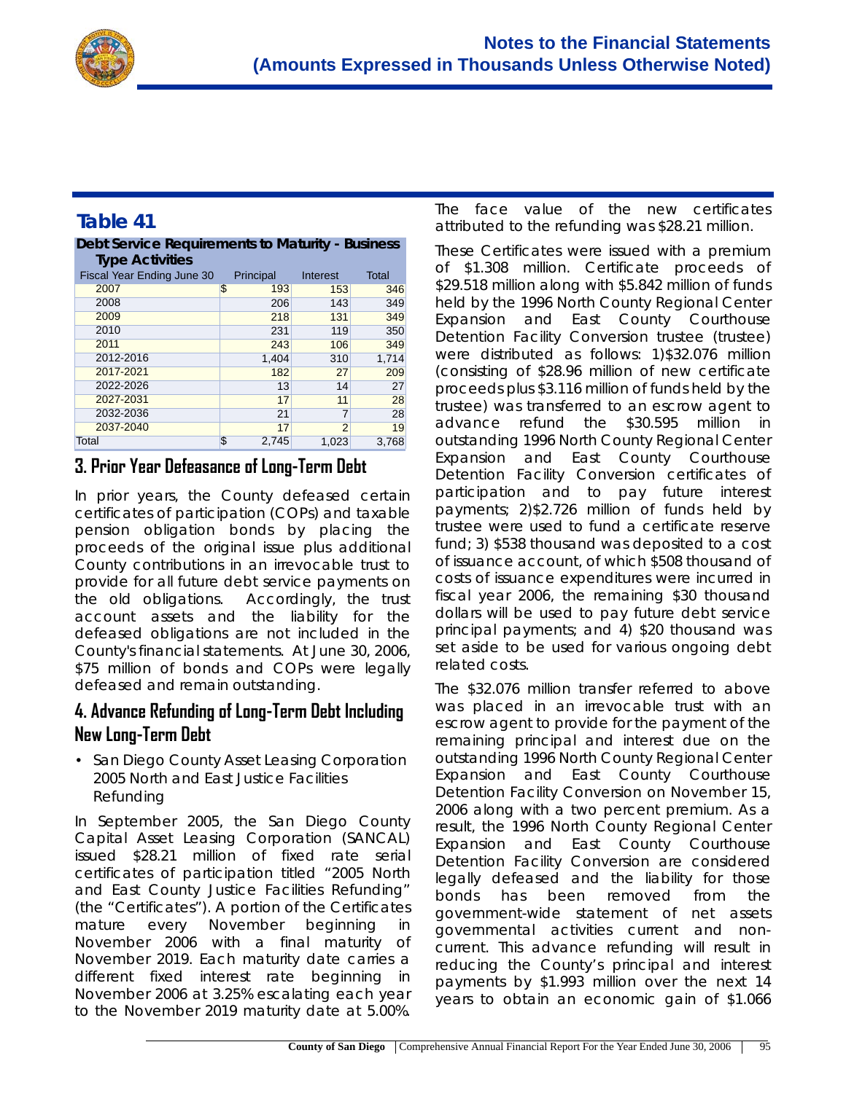

#### **Table 41 Debt Service Requirements to Maturity - Business**

| <b>Type Activities</b>     |             |                |       |
|----------------------------|-------------|----------------|-------|
| Fiscal Year Ending June 30 | Principal   | Interest       | Total |
| 2007                       | \$<br>193   | 153            | 346   |
| 2008                       | 206         | 143            | 349   |
| 2009                       | 218         | 131            | 349   |
| 2010                       | 231         | 119            | 350   |
| 2011                       | 243         | 106            | 349   |
| 2012-2016                  | 1,404       | 310            | 1,714 |
| 2017-2021                  | 182         | 27             | 209   |
| 2022-2026                  | 13          | 14             | 27    |
| 2027-2031                  | 17          | 11             | 28    |
| 2032-2036                  | 21          | 7              | 28    |
| 2037-2040                  | 17          | $\overline{2}$ | 19    |
| Total                      | \$<br>2.745 | 1,023          | 3,768 |

#### **3. Prior Year Defeasance of Long-Term Debt**

In prior years, the County defeased certain certificates of participation (COPs) and taxable pension obligation bonds by placing the proceeds of the original issue plus additional County contributions in an irrevocable trust to provide for all future debt service payments on the old obligations. Accordingly, the trust account assets and the liability for the defeased obligations are not included in the County's financial statements. At June 30, 2006, \$75 million of bonds and COPs were legally defeased and remain outstanding.

#### **4. Advance Refunding of Long-Term Debt Including New Long-Term Debt**

• *San Diego County Asset Leasing Corporation 2005 North and East Justice Facilities Refunding*

In September 2005, the San Diego County Capital Asset Leasing Corporation (SANCAL) issued \$28.21 million of fixed rate serial certificates of participation titled "2005 North and East County Justice Facilities Refunding" (the "Certificates"). A portion of the Certificates mature every November beginning in November 2006 with a final maturity of November 2019. Each maturity date carries a different fixed interest rate beginning in November 2006 at 3.25% escalating each year to the November 2019 maturity date at 5.00%.

The face value of the new certificates attributed to the refunding was \$28.21 million.

These Certificates were issued with a premium of \$1.308 million. Certificate proceeds of \$29.518 million along with \$5.842 million of funds held by the 1996 North County Regional Center Expansion and East County Courthouse Detention Facility Conversion trustee (trustee) were distributed as follows: 1)\$32.076 million (consisting of \$28.96 million of new certificate proceeds plus \$3.116 million of funds held by the trustee) was transferred to an escrow agent to advance refund the \$30.595 million in outstanding 1996 North County Regional Center Expansion and East County Courthouse Detention Facility Conversion certificates of participation and to pay future interest payments; 2)\$2.726 million of funds held by trustee were used to fund a certificate reserve fund; 3) \$538 thousand was deposited to a cost of issuance account, of which \$508 thousand of costs of issuance expenditures were incurred in fiscal year 2006, the remaining \$30 thousand dollars will be used to pay future debt service principal payments; and 4) \$20 thousand was set aside to be used for various ongoing debt related costs.

The \$32.076 million transfer referred to above was placed in an irrevocable trust with an escrow agent to provide for the payment of the remaining principal and interest due on the outstanding 1996 North County Regional Center Expansion and East County Courthouse Detention Facility Conversion on November 15, 2006 along with a two percent premium. As a result, the 1996 North County Regional Center Expansion and East County Courthouse Detention Facility Conversion are considered legally defeased and the liability for those bonds has been removed from the government-wide statement of net assets governmental activities current and noncurrent. This advance refunding will result in reducing the County's principal and interest payments by \$1.993 million over the next 14 years to obtain an economic gain of \$1.066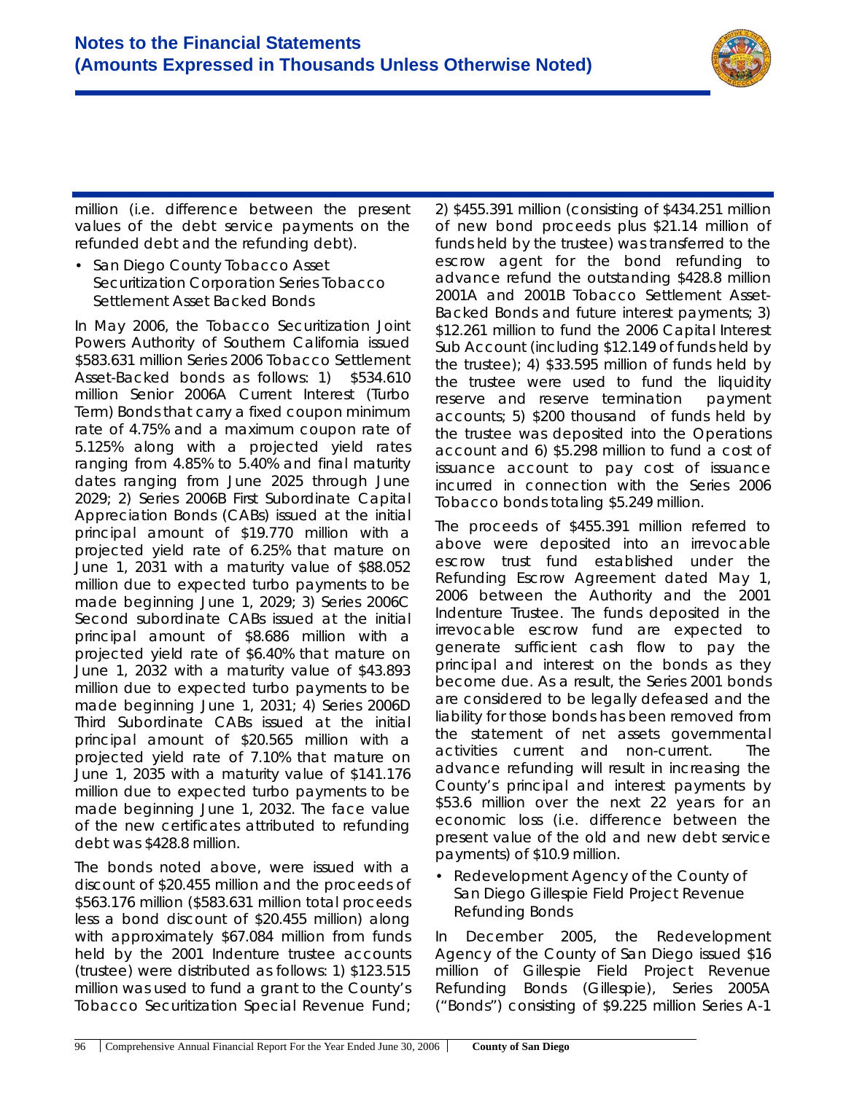

million (i.e. difference between the present values of the debt service payments on the refunded debt and the refunding debt).

• *San Diego County Tobacco Asset Securitization Corporation Series Tobacco Settlement Asset Backed Bonds*

In May 2006, the Tobacco Securitization Joint Powers Authority of Southern California issued \$583.631 million Series 2006 Tobacco Settlement Asset-Backed bonds as follows: 1) \$534.610 million Senior 2006A Current Interest (Turbo Term) Bonds that carry a fixed coupon minimum rate of 4.75% and a maximum coupon rate of 5.125% along with a projected yield rates ranging from 4.85% to 5.40% and final maturity dates ranging from June 2025 through June 2029; 2) Series 2006B First Subordinate Capital Appreciation Bonds (CABs) issued at the initial principal amount of \$19.770 million with a projected yield rate of 6.25% that mature on June 1, 2031 with a maturity value of \$88.052 million due to expected turbo payments to be made beginning June 1, 2029; 3) Series 2006C Second subordinate CABs issued at the initial principal amount of \$8.686 million with a projected yield rate of \$6.40% that mature on June 1, 2032 with a maturity value of \$43.893 million due to expected turbo payments to be made beginning June 1, 2031; 4) Series 2006D Third Subordinate CABs issued at the initial principal amount of \$20.565 million with a projected yield rate of 7.10% that mature on June 1, 2035 with a maturity value of \$141.176 million due to expected turbo payments to be made beginning June 1, 2032. The face value of the new certificates attributed to refunding debt was \$428.8 million.

The bonds noted above, were issued with a discount of \$20.455 million and the proceeds of \$563.176 million (\$583.631 million total proceeds less a bond discount of \$20.455 million) along with approximately \$67.084 million from funds held by the 2001 Indenture trustee accounts (trustee) were distributed as follows: 1) \$123.515 million was used to fund a grant to the County's Tobacco Securitization Special Revenue Fund;

2) \$455.391 million (consisting of \$434.251 million of new bond proceeds plus \$21.14 million of funds held by the trustee) was transferred to the escrow agent for the bond refunding to advance refund the outstanding \$428.8 million 2001A and 2001B Tobacco Settlement Asset-Backed Bonds and future interest payments; 3) \$12.261 million to fund the 2006 Capital Interest Sub Account (including \$12.149 of funds held by the trustee); 4) \$33.595 million of funds held by the trustee were used to fund the liquidity reserve and reserve termination payment accounts; 5) \$200 thousand of funds held by the trustee was deposited into the Operations account and 6) \$5.298 million to fund a cost of issuance account to pay cost of issuance incurred in connection with the Series 2006 Tobacco bonds totaling \$5.249 million.

The proceeds of \$455.391 million referred to above were deposited into an irrevocable escrow trust fund established under the Refunding Escrow Agreement dated May 1, 2006 between the Authority and the 2001 Indenture Trustee. The funds deposited in the irrevocable escrow fund are expected to generate sufficient cash flow to pay the principal and interest on the bonds as they become due. As a result, the Series 2001 bonds are considered to be legally defeased and the liability for those bonds has been removed from the statement of net assets governmental activities current and non-current. The advance refunding will result in increasing the County's principal and interest payments by \$53.6 million over the next 22 years for an economic loss (i.e. difference between the present value of the old and new debt service payments) of \$10.9 million.

#### • *Redevelopment Agency of the County of San Diego Gillespie Field Project Revenue Refunding Bonds*

In December 2005, the Redevelopment Agency of the County of San Diego issued \$16 million of Gillespie Field Project Revenue Refunding Bonds (Gillespie), Series 2005A ("Bonds") consisting of \$9.225 million Series A-1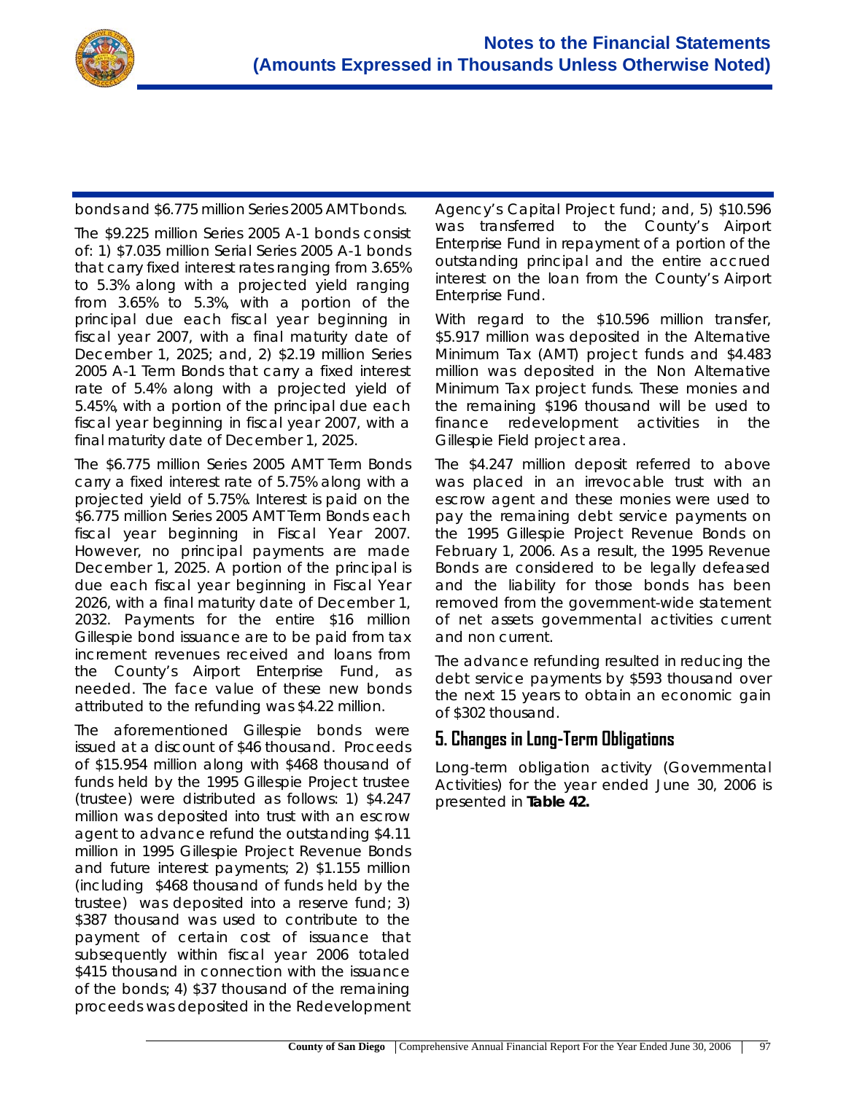

bonds and \$6.775 million Series 2005 AMT bonds.

The \$9.225 million Series 2005 A-1 bonds consist of: 1) \$7.035 million Serial Series 2005 A-1 bonds that carry fixed interest rates ranging from 3.65% to 5.3% along with a projected yield ranging from 3.65% to 5.3%, with a portion of the principal due each fiscal year beginning in fiscal year 2007, with a final maturity date of December 1, 2025; and, 2) \$2.19 million Series 2005 A-1 Term Bonds that carry a fixed interest rate of 5.4% along with a projected yield of 5.45%, with a portion of the principal due each fiscal year beginning in fiscal year 2007, with a final maturity date of December 1, 2025.

The \$6.775 million Series 2005 AMT Term Bonds carry a fixed interest rate of 5.75% along with a projected yield of 5.75%. Interest is paid on the \$6.775 million Series 2005 AMT Term Bonds each fiscal year beginning in Fiscal Year 2007. However, no principal payments are made December 1, 2025. A portion of the principal is due each fiscal year beginning in Fiscal Year 2026, with a final maturity date of December 1, 2032. Payments for the entire \$16 million Gillespie bond issuance are to be paid from tax increment revenues received and loans from the County's Airport Enterprise Fund, as needed. The face value of these new bonds attributed to the refunding was \$4.22 million.

The aforementioned Gillespie bonds were issued at a discount of \$46 thousand. Proceeds of \$15.954 million along with \$468 thousand of funds held by the 1995 Gillespie Project trustee (trustee) were distributed as follows: 1) \$4.247 million was deposited into trust with an escrow agent to advance refund the outstanding \$4.11 million in 1995 Gillespie Project Revenue Bonds and future interest payments; 2) \$1.155 million (including \$468 thousand of funds held by the trustee) was deposited into a reserve fund; 3) \$387 thousand was used to contribute to the payment of certain cost of issuance that subsequently within fiscal year 2006 totaled \$415 thousand in connection with the issuance of the bonds; 4) \$37 thousand of the remaining proceeds was deposited in the Redevelopment Agency's Capital Project fund; and, 5) \$10.596 was transferred to the County's Airport Enterprise Fund in repayment of a portion of the outstanding principal and the entire accrued interest on the loan from the County's Airport Enterprise Fund.

With regard to the \$10.596 million transfer, \$5.917 million was deposited in the Alternative Minimum Tax (AMT) project funds and \$4.483 million was deposited in the Non Alternative Minimum Tax project funds. These monies and the remaining \$196 thousand will be used to finance redevelopment activities in the Gillespie Field project area.

The \$4.247 million deposit referred to above was placed in an irrevocable trust with an escrow agent and these monies were used to pay the remaining debt service payments on the 1995 Gillespie Project Revenue Bonds on February 1, 2006. As a result, the 1995 Revenue Bonds are considered to be legally defeased and the liability for those bonds has been removed from the government-wide statement of net assets governmental activities current and non current.

The advance refunding resulted in reducing the debt service payments by \$593 thousand over the next 15 years to obtain an economic gain of \$302 thousand.

### **5. Changes in Long-Term Obligations**

Long-term obligation activity (Governmental Activities) for the year ended June 30, 2006 is presented in **Table 42.**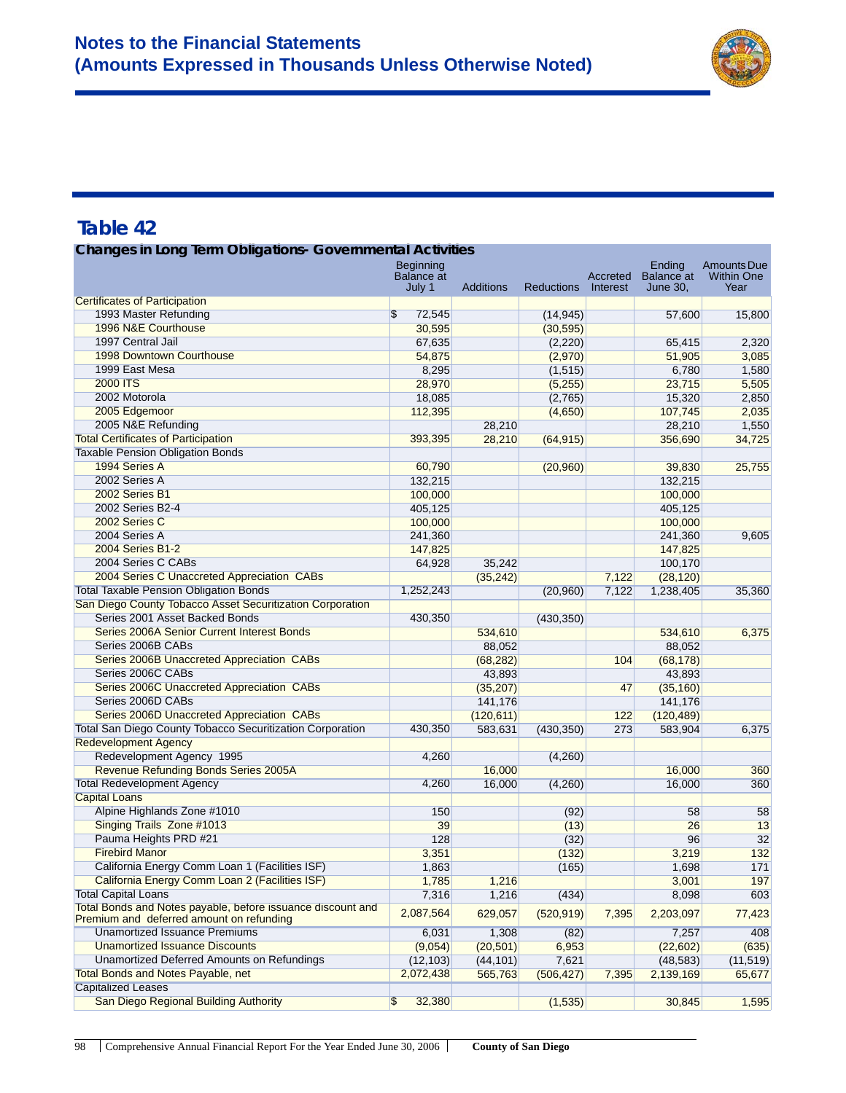

| <b>Changes in Long Term Obligations- Governmental Activities</b>                                           |                                    |                  |                   |                      |                               |                           |  |
|------------------------------------------------------------------------------------------------------------|------------------------------------|------------------|-------------------|----------------------|-------------------------------|---------------------------|--|
|                                                                                                            | Beginning                          |                  |                   |                      | Ending                        | <b>Amounts Due</b>        |  |
|                                                                                                            | <b>Balance</b> at<br>July 1        | <b>Additions</b> | <b>Reductions</b> | Accreted<br>Interest | <b>Balance at</b><br>June 30, | <b>Within One</b><br>Year |  |
| <b>Certificates of Participation</b>                                                                       |                                    |                  |                   |                      |                               |                           |  |
| 1993 Master Refunding                                                                                      | $\overline{\mathcal{S}}$<br>72,545 |                  | (14, 945)         |                      | 57,600                        | 15,800                    |  |
| 1996 N&E Courthouse                                                                                        | 30,595                             |                  | (30, 595)         |                      |                               |                           |  |
| 1997 Central Jail                                                                                          | 67,635                             |                  | (2,220)           |                      | 65,415                        | 2,320                     |  |
| 1998 Downtown Courthouse                                                                                   | 54,875                             |                  | (2,970)           |                      | 51,905                        | 3,085                     |  |
| 1999 East Mesa                                                                                             | 8,295                              |                  | (1, 515)          |                      | 6,780                         | 1,580                     |  |
| <b>2000 ITS</b>                                                                                            | 28,970                             |                  | (5,255)           |                      | 23,715                        | 5,505                     |  |
| 2002 Motorola                                                                                              | 18,085                             |                  | (2,765)           |                      | 15,320                        | 2,850                     |  |
| 2005 Edgemoor                                                                                              | 112,395                            |                  | (4,650)           |                      | 107,745                       | 2,035                     |  |
| 2005 N&E Refunding                                                                                         |                                    | 28,210           |                   |                      | 28,210                        | 1,550                     |  |
| <b>Total Certificates of Participation</b>                                                                 | 393,395                            | 28,210           | (64, 915)         |                      | 356,690                       | 34,725                    |  |
| Taxable Pension Obligation Bonds                                                                           |                                    |                  |                   |                      |                               |                           |  |
| 1994 Series A                                                                                              | 60,790                             |                  | (20, 960)         |                      | 39,830                        | 25,755                    |  |
| 2002 Series A                                                                                              | 132,215                            |                  |                   |                      | 132,215                       |                           |  |
| 2002 Series B1                                                                                             | 100,000                            |                  |                   |                      | 100,000                       |                           |  |
| 2002 Series B2-4                                                                                           | 405,125                            |                  |                   |                      | 405,125                       |                           |  |
| 2002 Series C                                                                                              | 100,000                            |                  |                   |                      | 100,000                       |                           |  |
| 2004 Series A                                                                                              | 241,360                            |                  |                   |                      | 241,360                       | 9,605                     |  |
| 2004 Series B1-2                                                                                           |                                    |                  |                   |                      |                               |                           |  |
| 2004 Series C CABs                                                                                         | 147,825                            |                  |                   |                      | 147,825                       |                           |  |
|                                                                                                            | 64,928                             | 35,242           |                   |                      | 100,170                       |                           |  |
| 2004 Series C Unaccreted Appreciation CABs                                                                 |                                    | (35, 242)        |                   | 7,122                | (28, 120)                     |                           |  |
| <b>Total Taxable Pension Obligation Bonds</b><br>San Diego County Tobacco Asset Securitization Corporation | 1,252,243                          |                  | (20,960)          | 7,122                | 1,238,405                     | 35,360                    |  |
| Series 2001 Asset Backed Bonds                                                                             |                                    |                  |                   |                      |                               |                           |  |
|                                                                                                            | 430,350                            |                  | (430, 350)        |                      |                               |                           |  |
| Series 2006A Senior Current Interest Bonds                                                                 |                                    | 534,610          |                   |                      | 534,610                       | 6,375                     |  |
| Series 2006B CABs                                                                                          |                                    | 88,052           |                   |                      | 88,052                        |                           |  |
| Series 2006B Unaccreted Appreciation CABs                                                                  |                                    | (68, 282)        |                   | 104                  | (68, 178)                     |                           |  |
| Series 2006C CABs                                                                                          |                                    | 43,893           |                   |                      | 43,893                        |                           |  |
| Series 2006C Unaccreted Appreciation CABs                                                                  |                                    | (35, 207)        |                   | 47                   | (35, 160)                     |                           |  |
| Series 2006D CABs                                                                                          |                                    | 141,176          |                   |                      | 141,176                       |                           |  |
| Series 2006D Unaccreted Appreciation CABs                                                                  |                                    | (120, 611)       |                   | 122                  | (120, 489)                    |                           |  |
| Total San Diego County Tobacco Securitization Corporation                                                  | 430,350                            | 583,631          | (430, 350)        | 273                  | 583,904                       | 6,375                     |  |
| <b>Redevelopment Agency</b>                                                                                |                                    |                  |                   |                      |                               |                           |  |
| Redevelopment Agency 1995                                                                                  | 4,260                              |                  | (4,260)           |                      |                               |                           |  |
| Revenue Refunding Bonds Series 2005A                                                                       |                                    | 16,000           |                   |                      | 16,000                        | 360                       |  |
| <b>Total Redevelopment Agency</b>                                                                          | 4,260                              | 16,000           | (4,260)           |                      | 16,000                        | 360                       |  |
| <b>Capital Loans</b>                                                                                       |                                    |                  |                   |                      |                               |                           |  |
| Alpine Highlands Zone #1010                                                                                | 150                                |                  | (92)              |                      | 58                            | 58                        |  |
| Singing Trails Zone #1013                                                                                  | 39                                 |                  | (13)              |                      | 26                            | 13                        |  |
| Pauma Heights PRD #21                                                                                      | 128                                |                  | (32)              |                      | 96                            | 32                        |  |
| <b>Firebird Manor</b>                                                                                      | 3,351                              |                  | (132)             |                      | 3,219                         | 132                       |  |
| California Energy Comm Loan 1 (Facilities ISF)                                                             | 1,863                              |                  | (165)             |                      | 1,698                         | 171                       |  |
| California Energy Comm Loan 2 (Facilities ISF)                                                             | 1,785                              | 1,216            |                   |                      | 3,001                         | 197                       |  |
| <b>Total Capital Loans</b>                                                                                 | 7,316                              | 1,216            | (434)             |                      | 8,098                         | 603                       |  |
| Total Bonds and Notes payable, before issuance discount and<br>Premium and deferred amount on refunding    | 2,087,564                          | 629,057          | (520, 919)        | 7,395                | 2,203,097                     | 77,423                    |  |
| <b>Unamortized Issuance Premiums</b>                                                                       | 6,031                              | 1,308            | (82)              |                      | 7,257                         | 408                       |  |
| <b>Unamortized Issuance Discounts</b>                                                                      | (9,054)                            | (20, 501)        | 6,953             |                      | (22,602)                      | (635)                     |  |
| Unamortized Deferred Amounts on Refundings                                                                 | (12, 103)                          | (44, 101)        | 7,621             |                      | (48, 583)                     | (11, 519)                 |  |
| Total Bonds and Notes Payable, net                                                                         | 2,072,438                          | 565,763          | (506, 427)        | 7,395                | 2,139,169                     | 65,677                    |  |
| <b>Capitalized Leases</b>                                                                                  |                                    |                  |                   |                      |                               |                           |  |
| San Diego Regional Building Authority                                                                      | $\sqrt{3}$<br>32,380               |                  | (1,535)           |                      | 30,845                        | 1,595                     |  |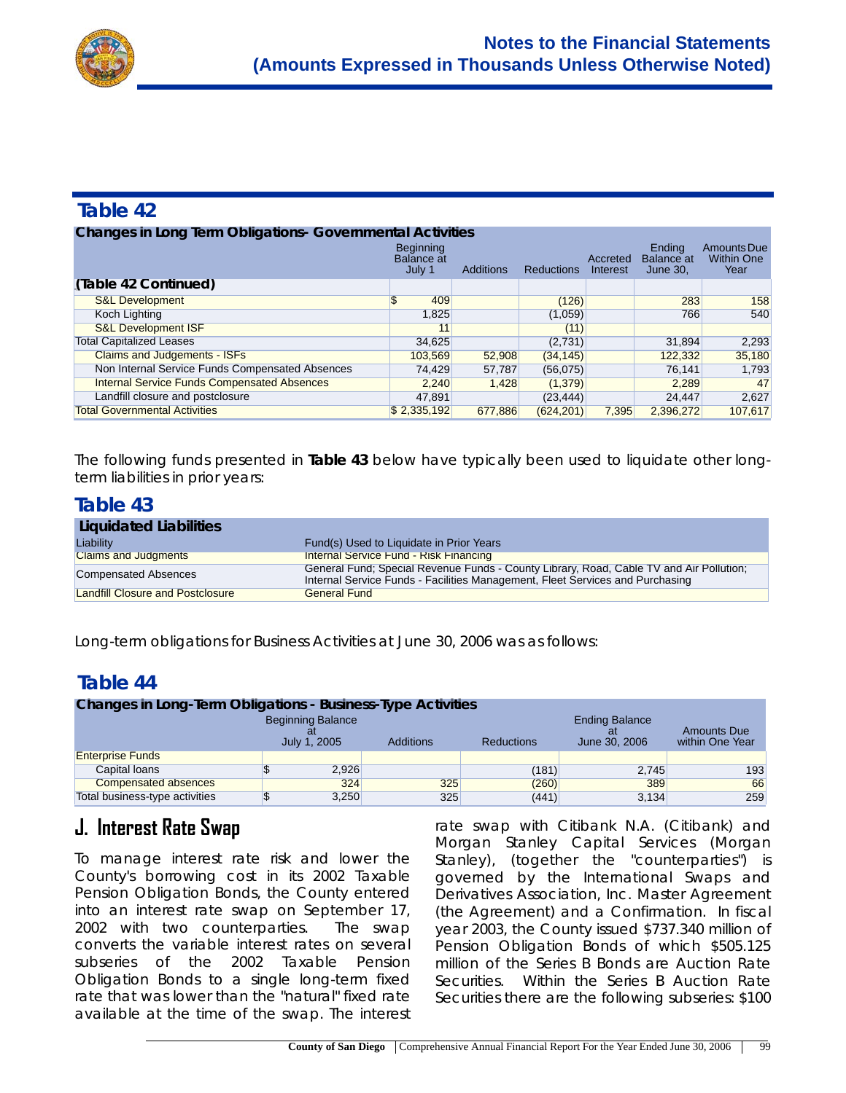

| <b>Changes in Long Term Obligations- Governmental Activities</b> |                                                 |                  |                   |                      |                                                |                                          |  |  |
|------------------------------------------------------------------|-------------------------------------------------|------------------|-------------------|----------------------|------------------------------------------------|------------------------------------------|--|--|
|                                                                  | <b>Beginning</b><br><b>Balance</b> at<br>July 1 | <b>Additions</b> | <b>Reductions</b> | Accreted<br>Interest | <b>Ending</b><br><b>Balance</b> at<br>June 30, | Amounts Due<br><b>Within One</b><br>Year |  |  |
| (Table 42 Continued)                                             |                                                 |                  |                   |                      |                                                |                                          |  |  |
| <b>S&amp;L Development</b>                                       | \$<br>409                                       |                  | (126)             |                      | 283                                            | 158                                      |  |  |
| Koch Lighting                                                    | 1,825                                           |                  | (1,059)           |                      | 766                                            | 540                                      |  |  |
| <b>S&amp;L Development ISF</b>                                   | 11                                              |                  | (11)              |                      |                                                |                                          |  |  |
| <b>Total Capitalized Leases</b>                                  | 34,625                                          |                  | (2,731)           |                      | 31,894                                         | 2,293                                    |  |  |
| <b>Claims and Judgements - ISFs</b>                              | 103,569                                         | 52,908           | (34, 145)         |                      | 122,332                                        | 35,180                                   |  |  |
| Non Internal Service Funds Compensated Absences                  | 74,429                                          | 57,787           | (56,075)          |                      | 76,141                                         | 1,793                                    |  |  |
| <b>Internal Service Funds Compensated Absences</b>               | 2.240                                           | 1.428            | (1,379)           |                      | 2.289                                          | 47                                       |  |  |
| Landfill closure and postclosure                                 | 47.891                                          |                  | (23, 444)         |                      | 24,447                                         | 2,627                                    |  |  |
| <b>Total Governmental Activities</b>                             | \$2,335,192                                     | 677.886          | (624, 201)        | 7.395                | 2.396.272                                      | 107.617                                  |  |  |

The following funds presented in **Table 43** below have typically been used to liquidate other longterm liabilities in prior years:

### **Table 43**

| Liquidated Liabilities                  |                                                                                                                                                                          |
|-----------------------------------------|--------------------------------------------------------------------------------------------------------------------------------------------------------------------------|
| Liability                               | Fund(s) Used to Liquidate in Prior Years                                                                                                                                 |
| <b>Claims and Judgments</b>             | <b>Internal Service Fund - Risk Financing</b>                                                                                                                            |
| Compensated Absences                    | General Fund: Special Revenue Funds - County Library, Road, Cable TV and Air Pollution:<br>Internal Service Funds - Facilities Management, Fleet Services and Purchasing |
| <b>Landfill Closure and Postclosure</b> | <b>General Fund</b>                                                                                                                                                      |

Long-term obligations for Business Activities at June 30, 2006 was as follows:

### **Table 44**

| <b>Changes in Long-Term Obligations - Business-Type Activities</b>         |  |       |     |       |                                        |                                       |  |
|----------------------------------------------------------------------------|--|-------|-----|-------|----------------------------------------|---------------------------------------|--|
| <b>Beginning Balance</b><br>July 1, 2005<br>Additions<br><b>Reductions</b> |  |       |     |       | <b>Ending Balance</b><br>June 30, 2006 | <b>Amounts Due</b><br>within One Year |  |
| <b>Enterprise Funds</b>                                                    |  |       |     |       |                                        |                                       |  |
| Capital loans                                                              |  | 2.926 |     | (181) | 2.745                                  | 193                                   |  |
| <b>Compensated absences</b>                                                |  | 324   | 325 | (260) | 389                                    | 66                                    |  |
| Total business-type activities                                             |  | 3,250 | 325 | (441) | 3,134                                  | 259                                   |  |

# **J. Interest Rate Swap**

To manage interest rate risk and lower the County's borrowing cost in its 2002 Taxable Pension Obligation Bonds, the County entered into an interest rate swap on September 17, 2002 with two counterparties. The swap converts the variable interest rates on several subseries of the 2002 Taxable Pension Obligation Bonds to a single long-term fixed rate that was lower than the "natural" fixed rate available at the time of the swap. The interest

rate swap with Citibank N.A. (Citibank) and Morgan Stanley Capital Services (Morgan Stanley), (together the "counterparties") is governed by the International Swaps and Derivatives Association, Inc. Master Agreement (the Agreement) and a Confirmation. In fiscal year 2003, the County issued \$737.340 million of Pension Obligation Bonds of which \$505.125 million of the Series B Bonds are Auction Rate Securities. Within the Series B Auction Rate Securities there are the following subseries: \$100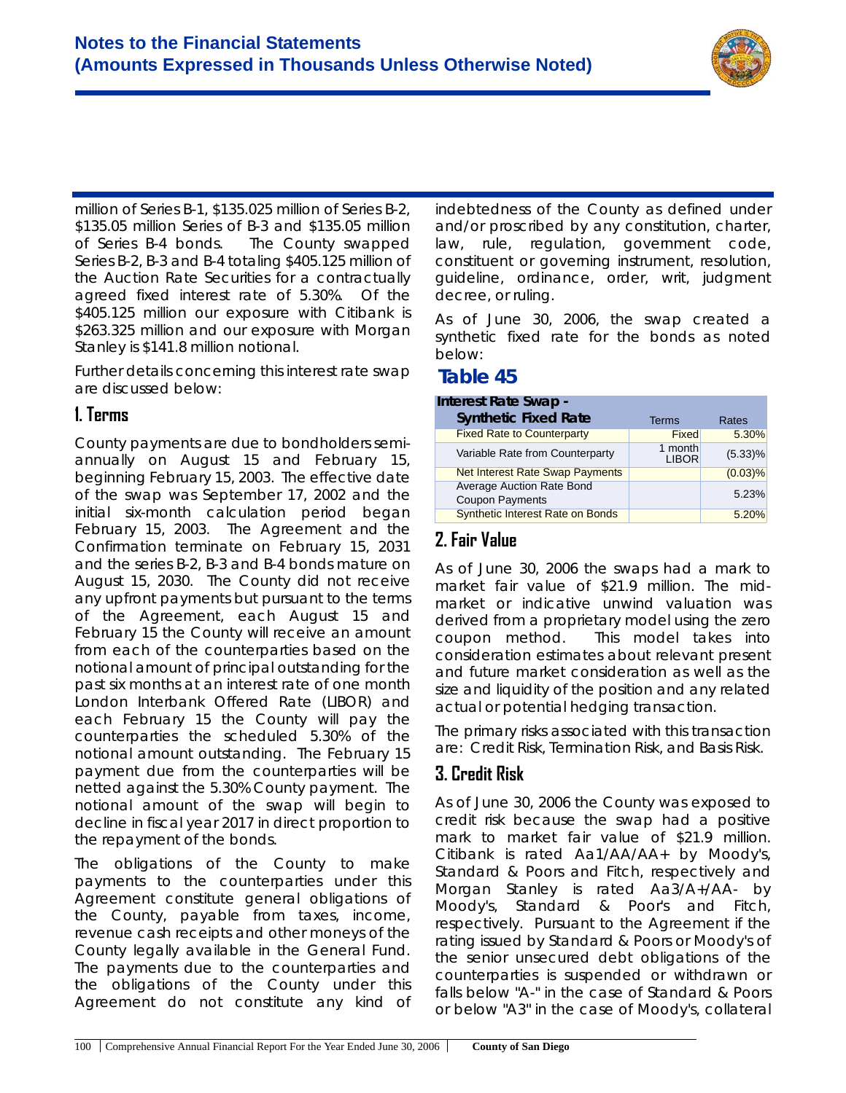

million of Series B-1, \$135.025 million of Series B-2, \$135.05 million Series of B-3 and \$135.05 million of Series B-4 bonds. The County swapped Series B-2, B-3 and B-4 totaling \$405.125 million of the Auction Rate Securities for a contractually agreed fixed interest rate of 5.30%. Of the \$405.125 million our exposure with Citibank is \$263.325 million and our exposure with Morgan Stanley is \$141.8 million notional.

Further details concerning this interest rate swap are discussed below:

#### **1. Terms**

County payments are due to bondholders semiannually on August 15 and February 15, beginning February 15, 2003. The effective date of the swap was September 17, 2002 and the initial six-month calculation period began February 15, 2003. The Agreement and the Confirmation terminate on February 15, 2031 and the series B-2, B-3 and B-4 bonds mature on August 15, 2030. The County did not receive any upfront payments but pursuant to the terms of the Agreement, each August 15 and February 15 the County will receive an amount from each of the counterparties based on the notional amount of principal outstanding for the past six months at an interest rate of one month London Interbank Offered Rate (LIBOR) and each February 15 the County will pay the counterparties the scheduled 5.30% of the notional amount outstanding. The February 15 payment due from the counterparties will be netted against the 5.30% County payment. The notional amount of the swap will begin to decline in fiscal year 2017 in direct proportion to the repayment of the bonds.

The obligations of the County to make payments to the counterparties under this Agreement constitute general obligations of the County, payable from taxes, income, revenue cash receipts and other moneys of the County legally available in the General Fund. The payments due to the counterparties and the obligations of the County under this Agreement do not constitute any kind of indebtedness of the County as defined under and/or proscribed by any constitution, charter, law, rule, regulation, government code, constituent or governing instrument, resolution, guideline, ordinance, order, writ, judgment decree, or ruling.

As of June 30, 2006, the swap created a synthetic fixed rate for the bonds as noted below:

### **Table 45**

| Interest Rate Swap -                                |                         |            |
|-----------------------------------------------------|-------------------------|------------|
| <b>Synthetic Fixed Rate</b>                         | Terms                   | Rates      |
| <b>Fixed Rate to Counterparty</b>                   | <b>Fixed</b>            | 5.30%      |
| Variable Rate from Counterparty                     | 1 month<br><b>LIBOR</b> | $(5.33)\%$ |
| <b>Net Interest Rate Swap Payments</b>              |                         | $(0.03)\%$ |
| Average Auction Rate Bond<br><b>Coupon Payments</b> |                         | 5.23%      |
| Synthetic Interest Rate on Bonds                    |                         | 5.20%      |

# **2. Fair Value**

As of June 30, 2006 the swaps had a mark to market fair value of \$21.9 million. The midmarket or indicative unwind valuation was derived from a proprietary model using the zero coupon method. This model takes into consideration estimates about relevant present and future market consideration as well as the size and liquidity of the position and any related actual or potential hedging transaction.

The primary risks associated with this transaction are: Credit Risk, Termination Risk, and Basis Risk.

### **3. Credit Risk**

As of June 30, 2006 the County was exposed to credit risk because the swap had a positive mark to market fair value of \$21.9 million. Citibank is rated Aa1/AA/AA+ by Moody's, Standard & Poors and Fitch, respectively and Morgan Stanley is rated Aa3/A+/AA- by Moody's, Standard & Poor's and Fitch, respectively. Pursuant to the Agreement if the rating issued by Standard & Poors or Moody's of the senior unsecured debt obligations of the counterparties is suspended or withdrawn or falls below "A-" in the case of Standard & Poors or below "A3" in the case of Moody's, collateral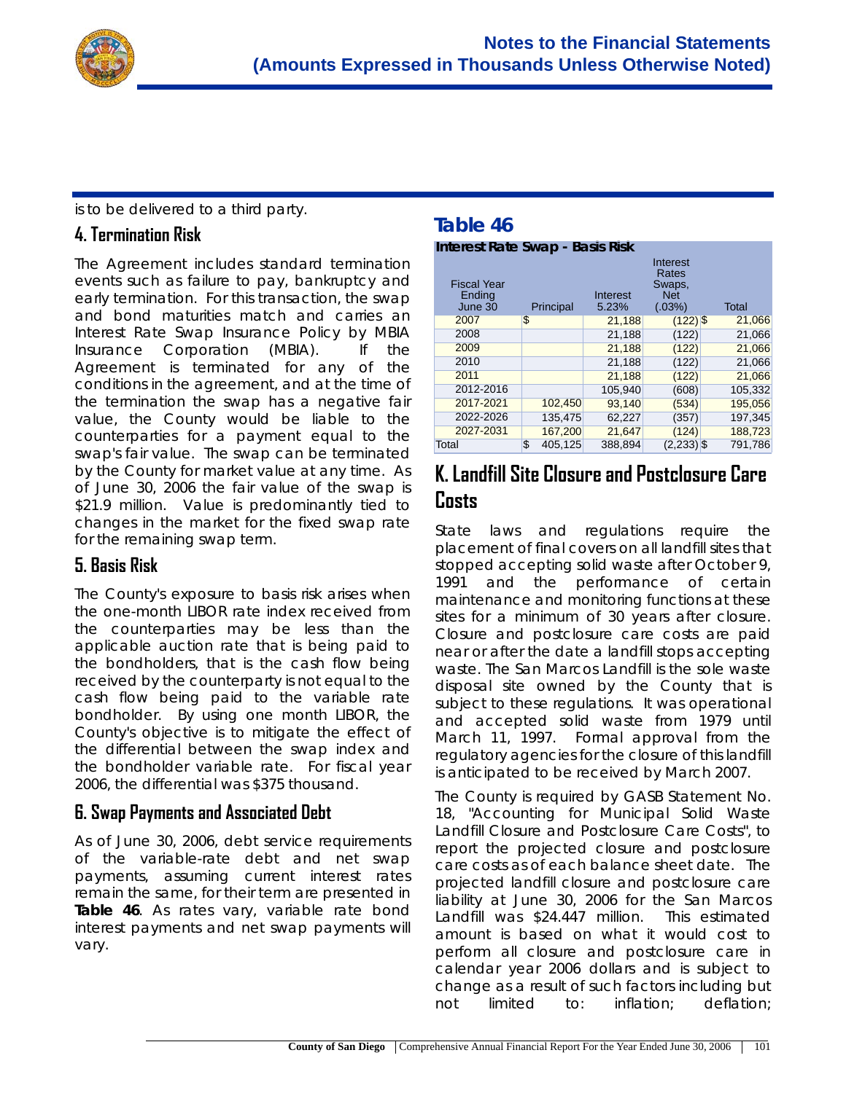

is to be delivered to a third party.

#### **4. Termination Risk**

The Agreement includes standard termination events such as failure to pay, bankruptcy and early termination. For this transaction, the swap and bond maturities match and carries an Interest Rate Swap Insurance Policy by MBIA Insurance Corporation (MBIA). If the Agreement is terminated for any of the conditions in the agreement, and at the time of the termination the swap has a negative fair value, the County would be liable to the counterparties for a payment equal to the swap's fair value. The swap can be terminated by the County for market value at any time. As of June 30, 2006 the fair value of the swap is \$21.9 million. Value is predominantly tied to changes in the market for the fixed swap rate for the remaining swap term.

### **5. Basis Risk**

The County's exposure to basis risk arises when the one-month LIBOR rate index received from the counterparties may be less than the applicable auction rate that is being paid to the bondholders, that is the cash flow being received by the counterparty is not equal to the cash flow being paid to the variable rate bondholder. By using one month LIBOR, the County's objective is to mitigate the effect of the differential between the swap index and the bondholder variable rate. For fiscal year 2006, the differential was \$375 thousand.

#### **6. Swap Payments and Associated Debt**

As of June 30, 2006, debt service requirements of the variable-rate debt and net swap payments, *assuming current interest rates remain the same*, for their term are presented in **Table 46**. As rates vary, variable rate bond interest payments and net swap payments will vary.

# **Table 46**

**Interest Rate Swap - Basis Risk**

| <b>Fiscal Year</b><br>Ending<br>June 30 | Principal     | Interest<br>5.23% | Interest<br>Rates<br>Swaps,<br><b>Net</b><br>$(.03\%)$ | <b>Total</b> |
|-----------------------------------------|---------------|-------------------|--------------------------------------------------------|--------------|
| 2007                                    | \$            | 21,188            | $(122)$ \$                                             | 21,066       |
| 2008                                    |               | 21,188            | (122)                                                  | 21,066       |
| 2009                                    |               | 21,188            | (122)                                                  | 21,066       |
| 2010                                    |               | 21,188            | (122)                                                  | 21,066       |
| 2011                                    |               | 21.188            | (122)                                                  | 21,066       |
| 2012-2016                               |               | 105.940           | (608)                                                  | 105,332      |
| 2017-2021                               | 102,450       | 93,140            | (534)                                                  | 195,056      |
| 2022-2026                               | 135.475       | 62.227            | (357)                                                  | 197.345      |
| 2027-2031                               | 167,200       | 21,647            | (124)                                                  | 188,723      |
| Total                                   | \$<br>405.125 | 388,894           | $(2,233)$ \$                                           | 791.786      |

# **K. Landfill Site Closure and Postclosure Care Costs**

State laws and regulations require the placement of final covers on all landfill sites that stopped accepting solid waste after October 9, 1991 and the performance of certain maintenance and monitoring functions at these sites for a minimum of 30 years after closure. Closure and postclosure care costs are paid near or after the date a landfill stops accepting waste. The San Marcos Landfill is the sole waste disposal site owned by the County that is subject to these regulations. It was operational and accepted solid waste from 1979 until March 11, 1997. Formal approval from the regulatory agencies for the closure of this landfill is anticipated to be received by March 2007.

The County is required by GASB Statement No. 18, "Accounting for Municipal Solid Waste Landfill Closure and Postclosure Care Costs", to report the projected closure and postclosure care costs as of each balance sheet date. The projected landfill closure and postclosure care liability at June 30, 2006 for the San Marcos Landfill was \$24.447 million. This estimated amount is based on what it would cost to perform all closure and postclosure care in calendar year 2006 dollars and is subject to change as a result of such factors including but not limited to: inflation; deflation;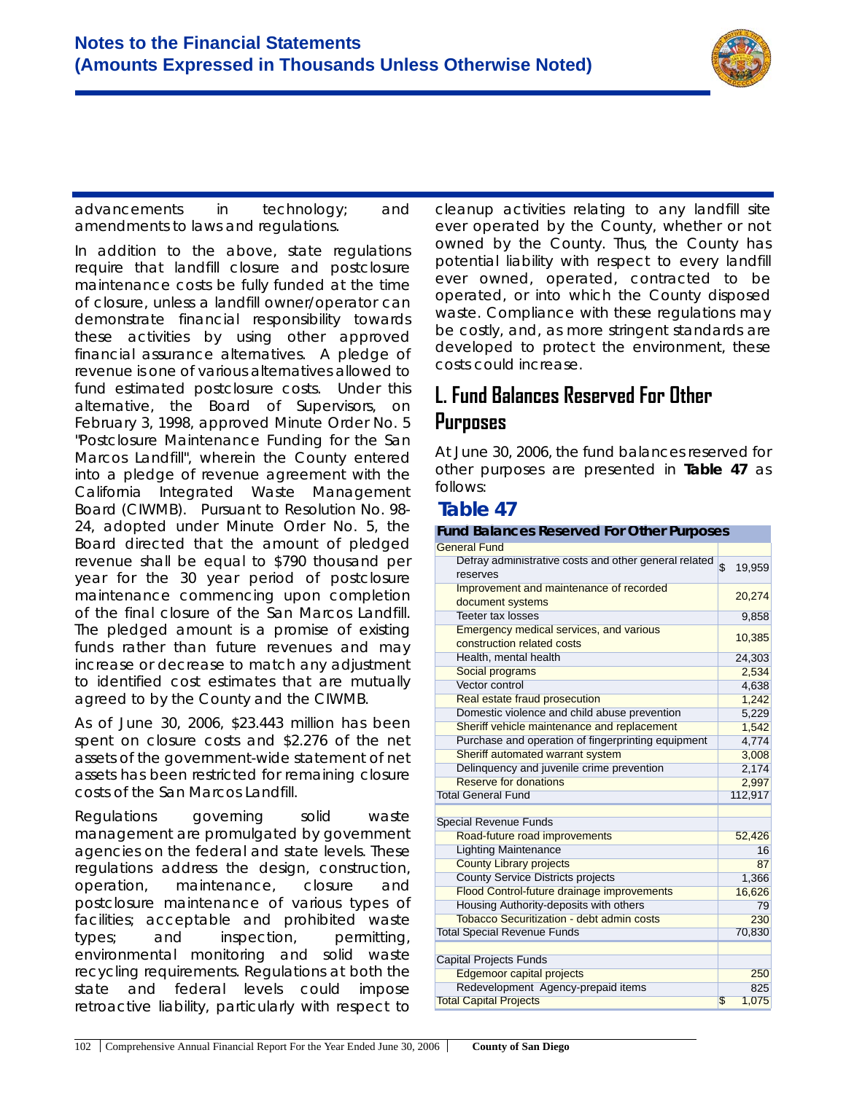

advancements in technology; and amendments to laws and regulations.

In addition to the above, state regulations require that landfill closure and postclosure maintenance costs be fully funded at the time of closure, unless a landfill owner/operator can demonstrate financial responsibility towards these activities by using other approved financial assurance alternatives. A pledge of revenue is one of various alternatives allowed to fund estimated postclosure costs. Under this alternative, the Board of Supervisors, on February 3, 1998, approved Minute Order No. 5 "Postclosure Maintenance Funding for the San Marcos Landfill", wherein the County entered into a pledge of revenue agreement with the California Integrated Waste Management Board (CIWMB). Pursuant to Resolution No. 98- 24, adopted under Minute Order No. 5, the Board directed that the amount of pledged revenue shall be equal to \$790 thousand per year for the 30 year period of postclosure maintenance commencing upon completion of the final closure of the San Marcos Landfill. The pledged amount is a promise of existing funds rather than future revenues and may increase or decrease to match any adjustment to identified cost estimates that are mutually agreed to by the County and the CIWMB.

As of June 30, 2006, \$23.443 million has been spent on closure costs and \$2.276 of the net assets of the government-wide statement of net assets has been restricted for remaining closure costs of the San Marcos Landfill.

Regulations governing solid waste management are promulgated by government agencies on the federal and state levels. These regulations address the design, construction, operation, maintenance, closure and postclosure maintenance of various types of facilities; acceptable and prohibited waste types; and inspection, permitting, environmental monitoring and solid waste recycling requirements. Regulations at both the state and federal levels could impose retroactive liability, particularly with respect to

cleanup activities relating to any landfill site ever operated by the County, whether or not owned by the County. Thus, the County has potential liability with respect to every landfill ever owned, operated, contracted to be operated, or into which the County disposed waste. Compliance with these regulations may be costly, and, as more stringent standards are developed to protect the environment, these costs could increase.

# **L. Fund Balances Reserved For Other Purposes**

At June 30, 2006, the fund balances reserved for other purposes are presented in **Table 47** as follows:

### **Table 47**

#### **Fund Balances Reserved For Other Purposes**

| <b>General Fund</b>                                                   |                          |
|-----------------------------------------------------------------------|--------------------------|
| Defray administrative costs and other general related<br>reserves     | $\mathfrak{s}$<br>19,959 |
| Improvement and maintenance of recorded<br>document systems           | 20,274                   |
| <b>Teeter tax losses</b>                                              | 9,858                    |
| Emergency medical services, and various<br>construction related costs | 10,385                   |
| Health, mental health                                                 | 24,303                   |
| Social programs                                                       | 2,534                    |
| Vector control                                                        | 4,638                    |
| Real estate fraud prosecution                                         | 1,242                    |
| Domestic violence and child abuse prevention                          | 5,229                    |
| Sheriff vehicle maintenance and replacement                           | 1,542                    |
| Purchase and operation of fingerprinting equipment                    | 4,774                    |
| Sheriff automated warrant system                                      | 3,008                    |
| Delinquency and juvenile crime prevention                             | 2,174                    |
| Reserve for donations                                                 | 2,997                    |
| <b>Total General Fund</b>                                             | 112,917                  |
| <b>Special Revenue Funds</b>                                          |                          |
| Road-future road improvements                                         | 52,426                   |
| <b>Lighting Maintenance</b>                                           | 16                       |
| <b>County Library projects</b>                                        | 87                       |
| <b>County Service Districts projects</b>                              | 1,366                    |
| Flood Control-future drainage improvements                            | 16,626                   |
| Housing Authority-deposits with others                                | 79                       |
| <b>Tobacco Securitization - debt admin costs</b>                      | 230                      |
| <b>Total Special Revenue Funds</b>                                    | 70,830                   |
| <b>Capital Projects Funds</b>                                         |                          |
| <b>Edgemoor capital projects</b>                                      | 250                      |
| Redevelopment Agency-prepaid items                                    | 825                      |
| <b>Total Capital Projects</b>                                         | \$<br>1,075              |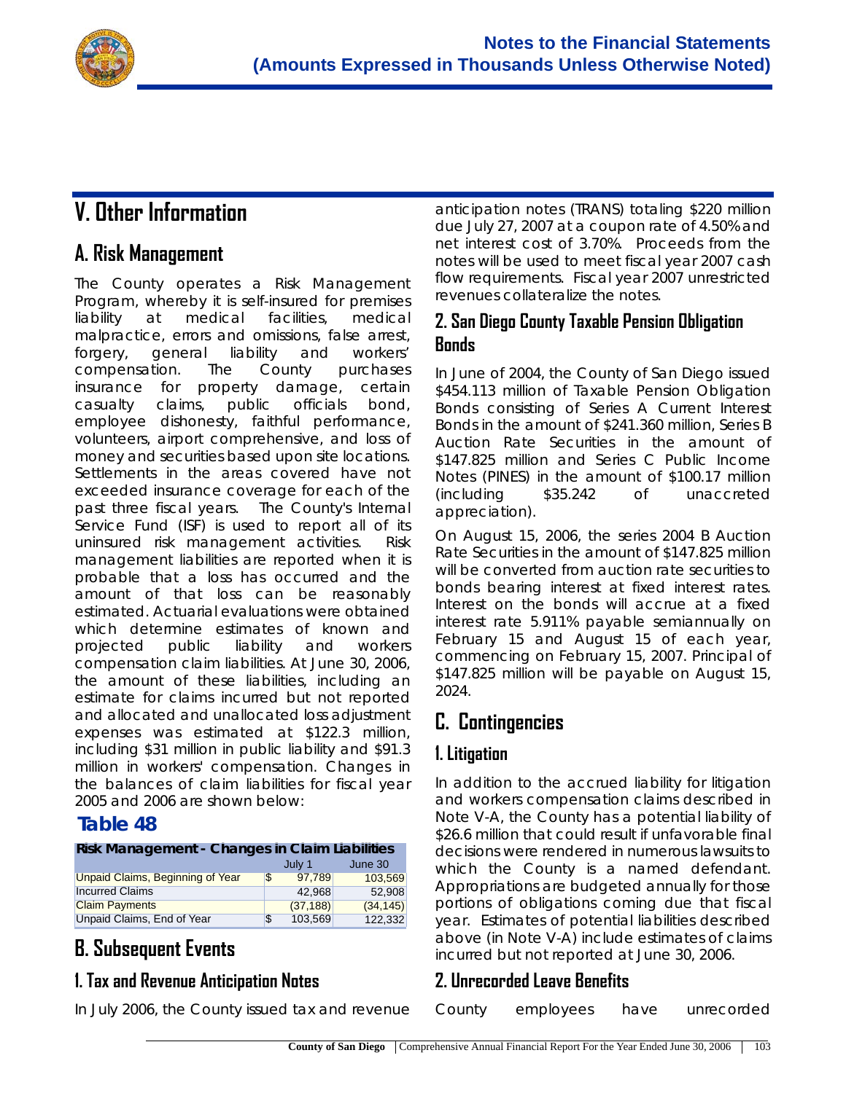

# **V. Other Information**

# **A. Risk Management**

The County operates a Risk Management Program, whereby it is self-insured for premises liability at medical facilities, medical malpractice, errors and omissions, false arrest, forgery, general liability and workers' compensation. The County purchases insurance for property damage, certain casualty claims, public officials bond, employee dishonesty, faithful performance, volunteers, airport comprehensive, and loss of money and securities based upon site locations. Settlements in the areas covered have not exceeded insurance coverage for each of the past three fiscal years. The County's Internal Service Fund (ISF) is used to report all of its uninsured risk management activities. Risk management liabilities are reported when it is probable that a loss has occurred and the amount of that loss can be reasonably estimated. Actuarial evaluations were obtained which determine estimates of known and projected public liability and workers compensation claim liabilities. At June 30, 2006, the amount of these liabilities, including an estimate for claims incurred but not reported and allocated and unallocated loss adjustment expenses was estimated at \$122.3 million, including \$31 million in public liability and \$91.3 million in workers' compensation. Changes in the balances of claim liabilities for fiscal year 2005 and 2006 are shown below:

### **Table 48**

#### **Risk Management - Changes in Claim Liabilities**

|                                  | July 1       | June 30   |
|----------------------------------|--------------|-----------|
| Unpaid Claims, Beginning of Year | \$<br>97.789 | 103.569   |
| <b>Incurred Claims</b>           | 42.968       | 52.908    |
| <b>Claim Payments</b>            | (37, 188)    | (34, 145) |
| Unpaid Claims, End of Year       | 103.569      | 122.332   |

# **B. Subsequent Events**

### **1. Tax and Revenue Anticipation Notes**

In July 2006, the County issued tax and revenue

anticipation notes (TRANS) totaling \$220 million due July 27, 2007 at a coupon rate of 4.50% and net interest cost of 3.70%. Proceeds from the notes will be used to meet fiscal year 2007 cash flow requirements. Fiscal year 2007 unrestricted revenues collateralize the notes.

### **2. San Diego County Taxable Pension Obligation Bonds**

In June of 2004, the County of San Diego issued \$454.113 million of Taxable Pension Obligation Bonds consisting of Series A Current Interest Bonds in the amount of \$241.360 million, Series B Auction Rate Securities in the amount of \$147.825 million and Series C Public Income Notes (PINES) in the amount of \$100.17 million (including \$35.242 of unaccreted appreciation).

On August 15, 2006, the series 2004 B Auction Rate Securities in the amount of \$147.825 million will be converted from auction rate securities to bonds bearing interest at fixed interest rates. Interest on the bonds will accrue at a fixed interest rate 5.911% payable semiannually on February 15 and August 15 of each year, commencing on February 15, 2007. Principal of \$147.825 million will be payable on August 15, 2024.

# **C. Contingencies**

### **1. Litigation**

In addition to the accrued liability for litigation and workers compensation claims described in Note V-A, the County has a potential liability of \$26.6 million that could result if unfavorable final decisions were rendered in numerous lawsuits to which the County is a named defendant. Appropriations are budgeted annually for those portions of obligations coming due that fiscal year. Estimates of potential liabilities described above (in Note V-A) include estimates of claims incurred but not reported at June 30, 2006.

#### **2. Unrecorded Leave Benefits**

| County | employees | have | unrecorded |
|--------|-----------|------|------------|
|--------|-----------|------|------------|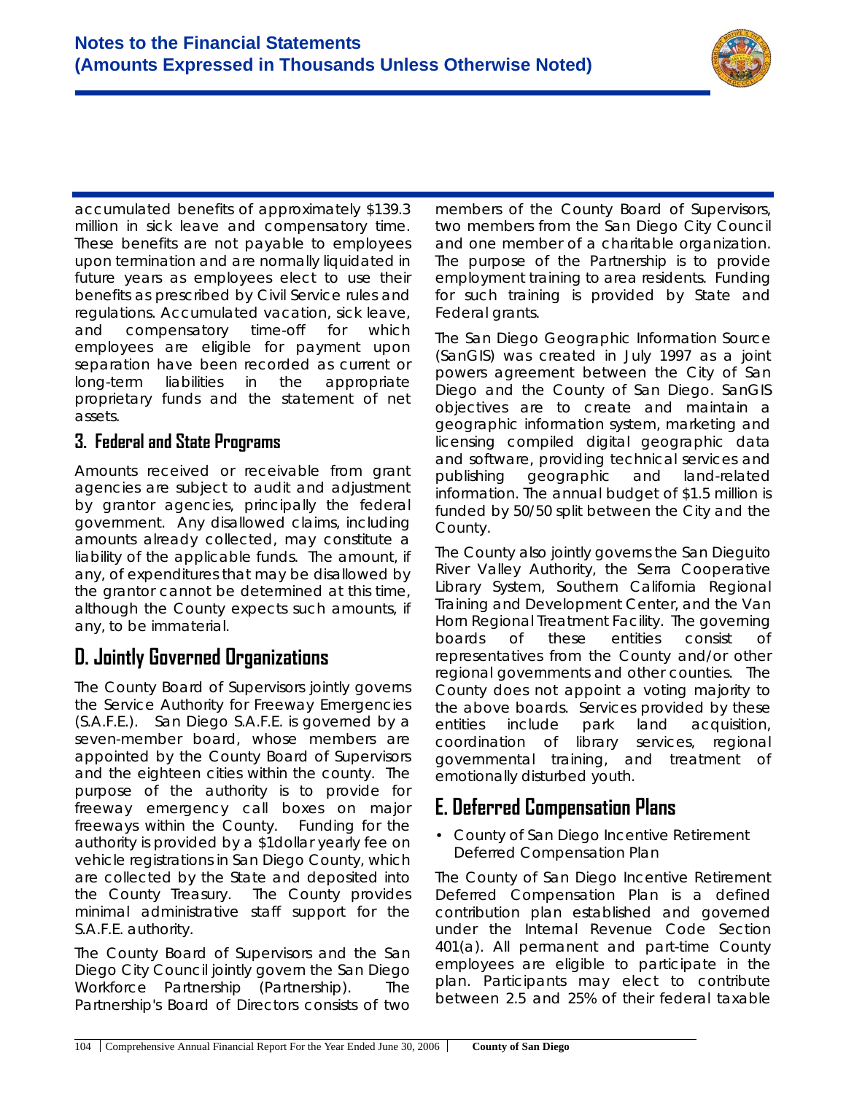

accumulated benefits of approximately \$139.3 million in sick leave and compensatory time. These benefits are not payable to employees upon termination and are normally liquidated in future years as employees elect to use their benefits as prescribed by Civil Service rules and regulations. Accumulated vacation, sick leave, and compensatory time-off for which employees are eligible for payment upon separation have been recorded as current or long-term liabilities in the appropriate proprietary funds and the statement of net assets.

#### **3. Federal and State Programs**

Amounts received or receivable from grant agencies are subject to audit and adjustment by grantor agencies, principally the federal government. Any disallowed claims, including amounts already collected, may constitute a liability of the applicable funds. The amount, if any, of expenditures that may be disallowed by the grantor cannot be determined at this time, although the County expects such amounts, if any, to be immaterial.

# **D. Jointly Governed Organizations**

The County Board of Supervisors jointly governs the Service Authority for Freeway Emergencies (S.A.F.E.). San Diego S.A.F.E. is governed by a seven-member board, whose members are appointed by the County Board of Supervisors and the eighteen cities within the county. The purpose of the authority is to provide for freeway emergency call boxes on major freeways within the County. Funding for the authority is provided by a \$1dollar yearly fee on vehicle registrations in San Diego County, which are collected by the State and deposited into the County Treasury. The County provides minimal administrative staff support for the S.A.F.E. authority.

The County Board of Supervisors and the San Diego City Council jointly govern the San Diego Workforce Partnership (Partnership). The Partnership's Board of Directors consists of two members of the County Board of Supervisors, two members from the San Diego City Council and one member of a charitable organization. The purpose of the Partnership is to provide employment training to area residents. Funding for such training is provided by State and Federal grants.

The San Diego Geographic Information Source (SanGIS) was created in July 1997 as a joint powers agreement between the City of San Diego and the County of San Diego. SanGIS objectives are to create and maintain a geographic information system, marketing and licensing compiled digital geographic data and software, providing technical services and publishing geographic and land-related information. The annual budget of \$1.5 million is funded by 50/50 split between the City and the County.

The County also jointly governs the San Dieguito River Valley Authority, the Serra Cooperative Library System, Southern California Regional Training and Development Center, and the Van Horn Regional Treatment Facility. The governing boards of these entities consist of representatives from the County and/or other regional governments and other counties. The County does not appoint a voting majority to the above boards. Services provided by these entities include park land acquisition, coordination of library services, regional governmental training, and treatment of emotionally disturbed youth.

# **E. Deferred Compensation Plans**

• County of San Diego Incentive Retirement Deferred Compensation Plan

The County of San Diego Incentive Retirement Deferred Compensation Plan is a defined contribution plan established and governed under the Internal Revenue Code Section 401(a). All permanent and part-time County employees are eligible to participate in the plan. Participants may elect to contribute between 2.5 and 25% of their federal taxable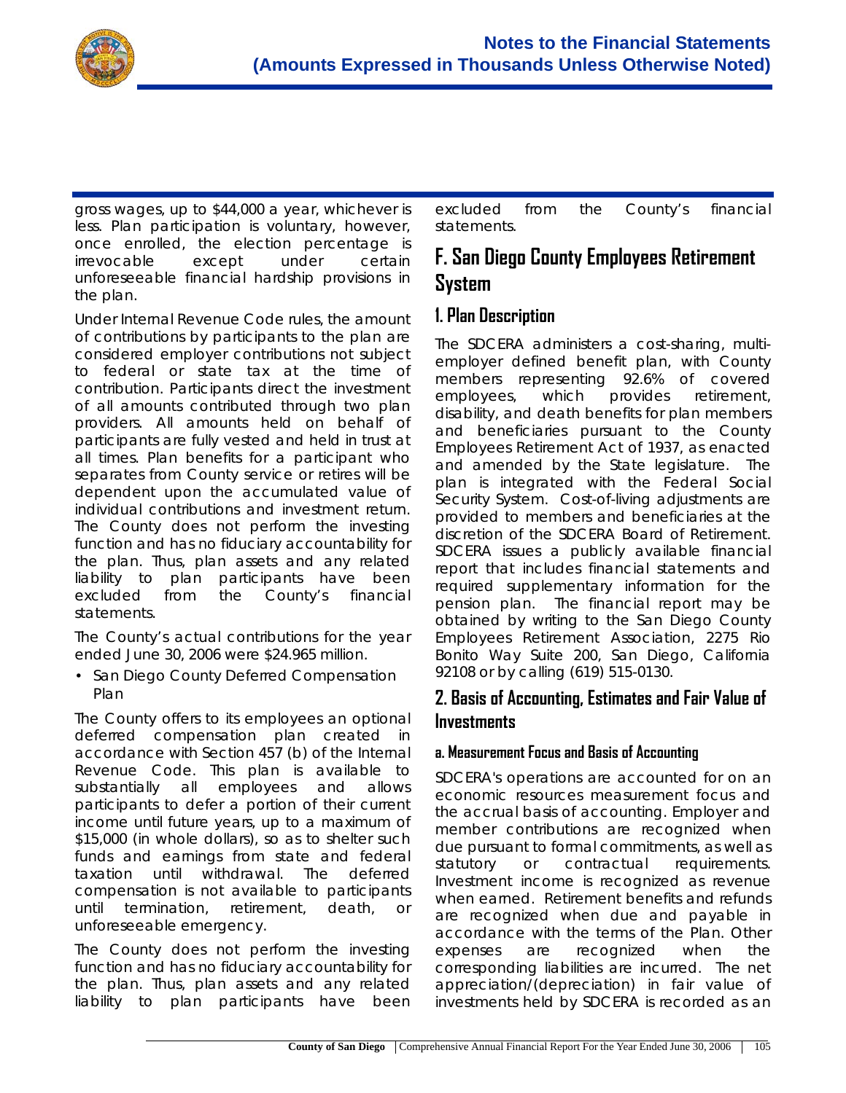

gross wages, up to \$44,000 a year, whichever is less. Plan participation is voluntary, however, once enrolled, the election percentage is irrevocable except under certain unforeseeable financial hardship provisions in the plan.

Under Internal Revenue Code rules, the amount of contributions by participants to the plan are considered employer contributions not subject to federal or state tax at the time of contribution. Participants direct the investment of all amounts contributed through two plan providers. All amounts held on behalf of participants are fully vested and held in trust at all times. Plan benefits for a participant who separates from County service or retires will be dependent upon the accumulated value of individual contributions and investment return. The County does not perform the investing function and has no fiduciary accountability for the plan. Thus, plan assets and any related liability to plan participants have been excluded from the County's financial statements.

The County's actual contributions for the year ended June 30, 2006 were \$24.965 million.

• San Diego County Deferred Compensation Plan

The County offers to its employees an optional deferred compensation plan created in accordance with Section 457 (b) of the Internal Revenue Code. This plan is available to substantially all employees and allows participants to defer a portion of their current income until future years, up to a maximum of \$15,000 (in whole dollars), so as to shelter such funds and earnings from state and federal taxation until withdrawal. The deferred compensation is not available to participants until termination, retirement, death, or unforeseeable emergency.

The County does not perform the investing function and has no fiduciary accountability for the plan. Thus, plan assets and any related liability to plan participants have been

excluded from the County's financial statements.

# **F. San Diego County Employees Retirement System**

### **1. Plan Description**

The SDCERA administers a cost-sharing, multiemployer defined benefit plan, with County members representing 92.6% of covered employees, which provides retirement, disability, and death benefits for plan members and beneficiaries pursuant to the County Employees Retirement Act of 1937, as enacted and amended by the State legislature. The plan is integrated with the Federal Social Security System. Cost-of-living adjustments are provided to members and beneficiaries at the discretion of the SDCERA Board of Retirement. SDCERA issues a publicly available financial report that includes financial statements and required supplementary information for the pension plan. The financial report may be obtained by writing to the San Diego County Employees Retirement Association, 2275 Rio Bonito Way Suite 200, San Diego, California 92108 or by calling (619) 515-0130.

### **2. Basis of Accounting, Estimates and Fair Value of Investments**

#### **a. Measurement Focus and Basis of Accounting**

SDCERA's operations are accounted for on an economic resources measurement focus and the accrual basis of accounting. Employer and member contributions are recognized when due pursuant to formal commitments, as well as statutory or contractual requirements. Investment income is recognized as revenue when earned. Retirement benefits and refunds are recognized when due and payable in accordance with the terms of the Plan. Other expenses are recognized when the corresponding liabilities are incurred. The net appreciation/(depreciation) in fair value of investments held by SDCERA is recorded as an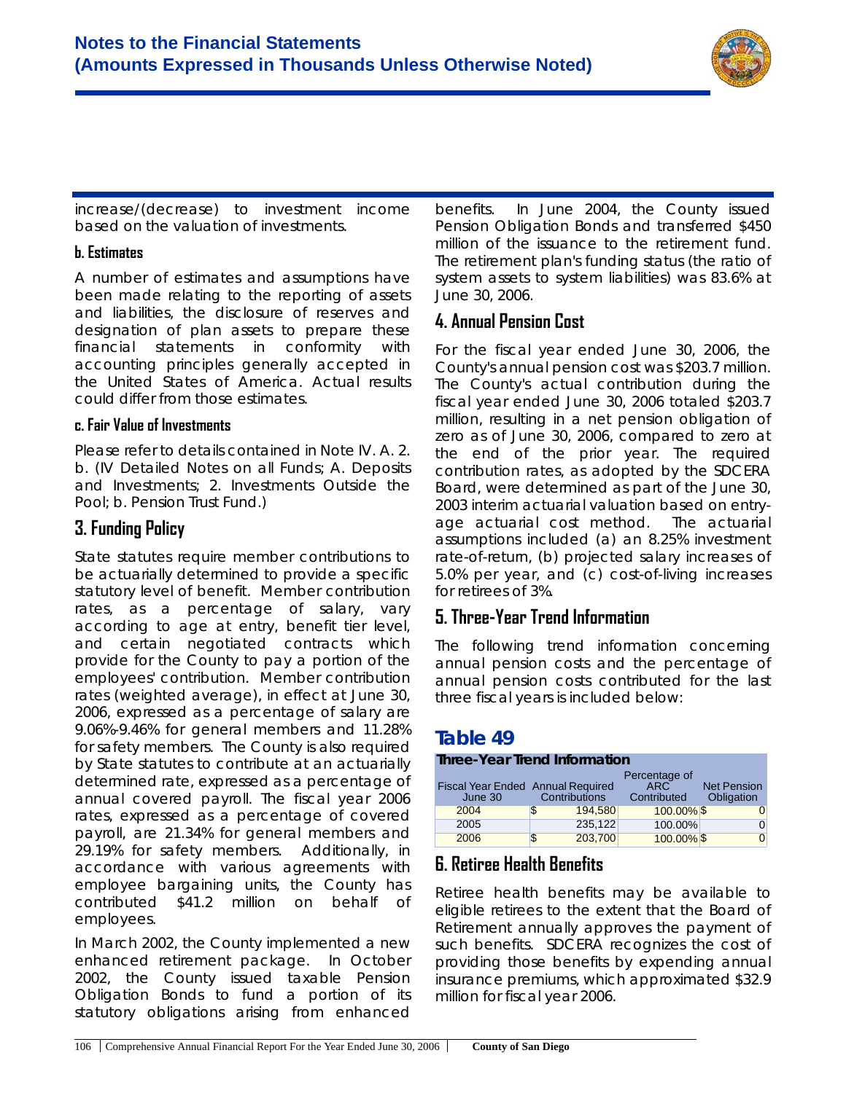

increase/(decrease) to investment income based on the valuation of investments.

#### **b. Estimates**

A number of estimates and assumptions have been made relating to the reporting of assets and liabilities, the disclosure of reserves and designation of plan assets to prepare these financial statements in conformity with accounting principles generally accepted in the United States of America. Actual results could differ from those estimates.

#### **c. Fair Value of Investments**

Please refer to details contained in Note IV. A. 2. b. (IV Detailed Notes on all Funds; A. Deposits and Investments; 2. Investments Outside the Pool; b. Pension Trust Fund.)

### **3. Funding Policy**

State statutes require member contributions to be actuarially determined to provide a specific statutory level of benefit. Member contribution rates, as a percentage of salary, vary according to age at entry, benefit tier level, and certain negotiated contracts which provide for the County to pay a portion of the employees' contribution. Member contribution rates (weighted average), in effect at June 30, 2006, expressed as a percentage of salary are 9.06%-9.46% for general members and 11.28% for safety members. The County is also required by State statutes to contribute at an actuarially determined rate, expressed as a percentage of annual covered payroll. The fiscal year 2006 rates, expressed as a percentage of covered payroll, are 21.34% for general members and 29.19% for safety members. Additionally, in accordance with various agreements with employee bargaining units, the County has contributed \$41.2 million on behalf of employees.

In March 2002, the County implemented a new enhanced retirement package. In October 2002, the County issued taxable Pension Obligation Bonds to fund a portion of its statutory obligations arising from enhanced

benefits. In June 2004, the County issued Pension Obligation Bonds and transferred \$450 million of the issuance to the retirement fund. The retirement plan's funding status (the ratio of system assets to system liabilities) was 83.6% at June 30, 2006.

#### **4. Annual Pension Cost**

For the fiscal year ended June 30, 2006, the County's annual pension cost was \$203.7 million. The County's actual contribution during the fiscal year ended June 30, 2006 totaled \$203.7 million, resulting in a net pension obligation of zero as of June 30, 2006, compared to zero at the end of the prior year. The required contribution rates, as adopted by the SDCERA Board, were determined as part of the June 30, 2003 interim actuarial valuation based on entryage actuarial cost method. The actuarial assumptions included (a) an 8.25% investment rate-of-return, (b) projected salary increases of 5.0% per year, and (c) cost-of-living increases for retirees of 3%.

#### **5. Three-Year Trend Information**

The following trend information concerning annual pension costs and the percentage of annual pension costs contributed for the last three fiscal years is included below:

### **Table 49**

#### **Three-Year Trend Information**

|                                          |               | Percentage of |                    |
|------------------------------------------|---------------|---------------|--------------------|
| <b>Fiscal Year Ended Annual Required</b> |               | <b>ARC</b>    | <b>Net Pension</b> |
| June 30                                  | Contributions | Contributed   | Obligation         |
| 2004                                     | 194.580<br>S  | 100.00% \$    |                    |
| 2005                                     | 235,122       | 100.00%       |                    |
| 2006                                     | 203,700<br>S  | 100.00% \$    |                    |

#### **6. Retiree Health Benefits**

Retiree health benefits may be available to eligible retirees to the extent that the Board of Retirement annually approves the payment of such benefits. SDCERA recognizes the cost of providing those benefits by expending annual insurance premiums, which approximated \$32.9 million for fiscal year 2006.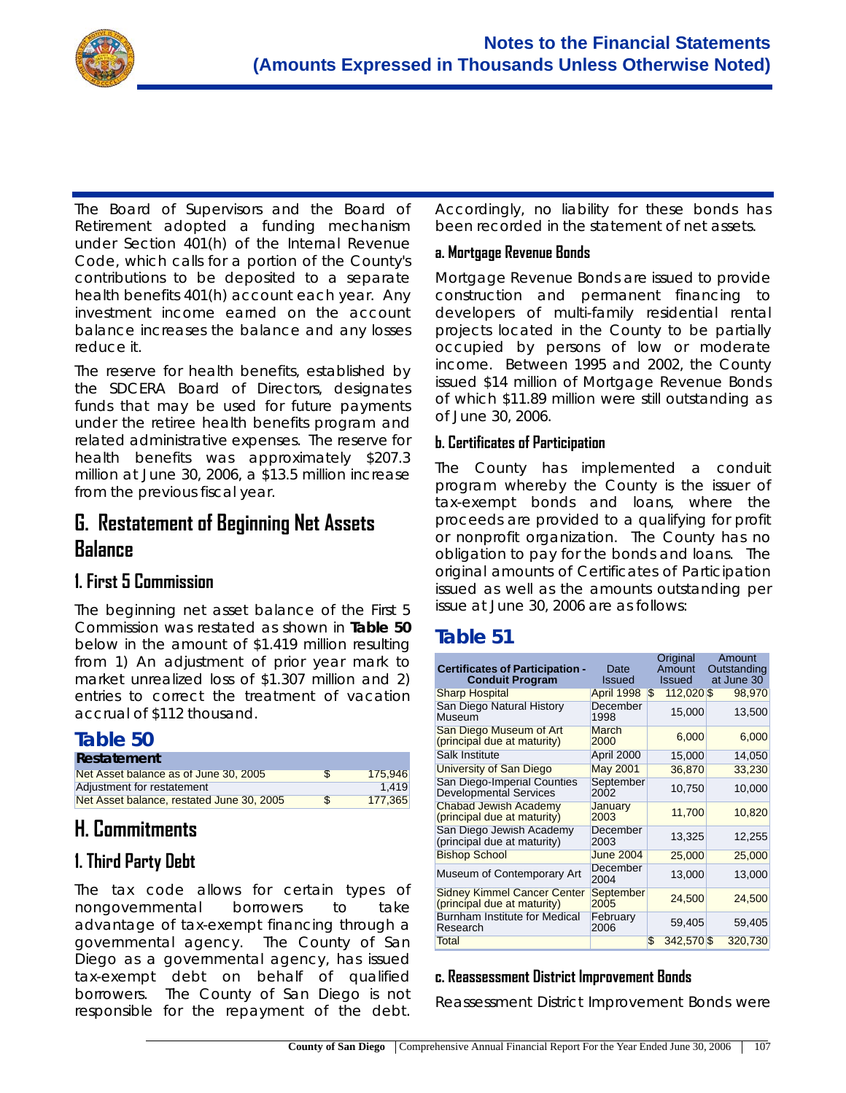

The Board of Supervisors and the Board of Retirement adopted a funding mechanism under Section 401(h) of the Internal Revenue Code, which calls for a portion of the County's contributions to be deposited to a separate health benefits 401(h) account each year. Any investment income earned on the account balance increases the balance and any losses reduce it.

The reserve for health benefits, established by the SDCERA Board of Directors, designates funds that may be used for future payments under the retiree health benefits program and related administrative expenses. The reserve for health benefits was approximately \$207.3 million at June 30, 2006, a \$13.5 million increase from the previous fiscal year.

### **G. Restatement of Beginning Net Assets Balance**

#### **1. First 5 Commission**

The beginning net asset balance of the First 5 Commission was restated as shown in **Table 50** below in the amount of \$1.419 million resulting from 1) An adjustment of prior year mark to market unrealized loss of \$1.307 million and 2) entries to correct the treatment of vacation accrual of \$112 thousand.

### **Table 50**

| Restatement                               |               |         |
|-------------------------------------------|---------------|---------|
| Net Asset balance as of June 30, 2005     | <sup>\$</sup> | 175.946 |
| Adjustment for restatement                |               | 1.419   |
| Net Asset balance, restated June 30, 2005 | <sup>\$</sup> | 177.365 |

# **H. Commitments**

# **1. Third Party Debt**

The tax code allows for certain types of nongovernmental borrowers to take advantage of tax-exempt financing through a governmental agency. The County of San Diego as a governmental agency, has issued tax-exempt debt on behalf of qualified borrowers. The County of San Diego is not responsible for the repayment of the debt.

Accordingly, no liability for these bonds has been recorded in the statement of net assets.

#### **a. Mortgage Revenue Bonds**

Mortgage Revenue Bonds are issued to provide construction and permanent financing to developers of multi-family residential rental projects located in the County to be partially occupied by persons of low or moderate income. Between 1995 and 2002, the County issued \$14 million of Mortgage Revenue Bonds of which \$11.89 million were still outstanding as of June 30, 2006.

#### **b. Certificates of Participation**

The County has implemented a conduit program whereby the County is the issuer of tax-exempt bonds and loans, where the proceeds are provided to a qualifying for profit or nonprofit organization. The County has no obligation to pay for the bonds and loans. The original amounts of Certificates of Participation issued as well as the amounts outstanding per issue at June 30, 2006 are as follows:

### **Table 51**

| <b>Certificates of Participation -</b><br><b>Conduit Program</b>  | Date<br><b>Issued</b> | Original<br>Amount<br><b>Issued</b> | Amount<br>Outstanding<br>at June 30 |
|-------------------------------------------------------------------|-----------------------|-------------------------------------|-------------------------------------|
| <b>Sharp Hospital</b>                                             | April 1998            | 112,020 \$<br>\$                    | 98,970                              |
| San Diego Natural History<br>Museum                               | December<br>1998      | 15,000                              | 13,500                              |
| San Diego Museum of Art<br>(principal due at maturity)            | <b>March</b><br>2000  | 6,000                               | 6,000                               |
| Salk Institute                                                    | April 2000            | 15,000                              | 14,050                              |
| University of San Diego                                           | <b>May 2001</b>       | 36,870                              | 33,230                              |
| San Diego-Imperial Counties<br><b>Developmental Services</b>      | September<br>2002     | 10,750                              | 10,000                              |
| <b>Chabad Jewish Academy</b><br>(principal due at maturity)       | January<br>2003       | 11,700                              | 10,820                              |
| San Diego Jewish Academy<br>(principal due at maturity)           | December<br>2003      | 13,325                              | 12,255                              |
| <b>Bishop School</b>                                              | <b>June 2004</b>      | 25,000                              | 25,000                              |
| Museum of Contemporary Art                                        | December<br>2004      | 13,000                              | 13,000                              |
| <b>Sidney Kimmel Cancer Center</b><br>(principal due at maturity) | September<br>2005     | 24,500                              | 24,500                              |
| Burnham Institute for Medical<br>Research                         | February<br>2006      | 59,405                              | 59,405                              |
| Total                                                             |                       | \$<br>342,570 \$                    | 320,730                             |

#### **c. Reassessment District Improvement Bonds**

Reassessment District Improvement Bonds were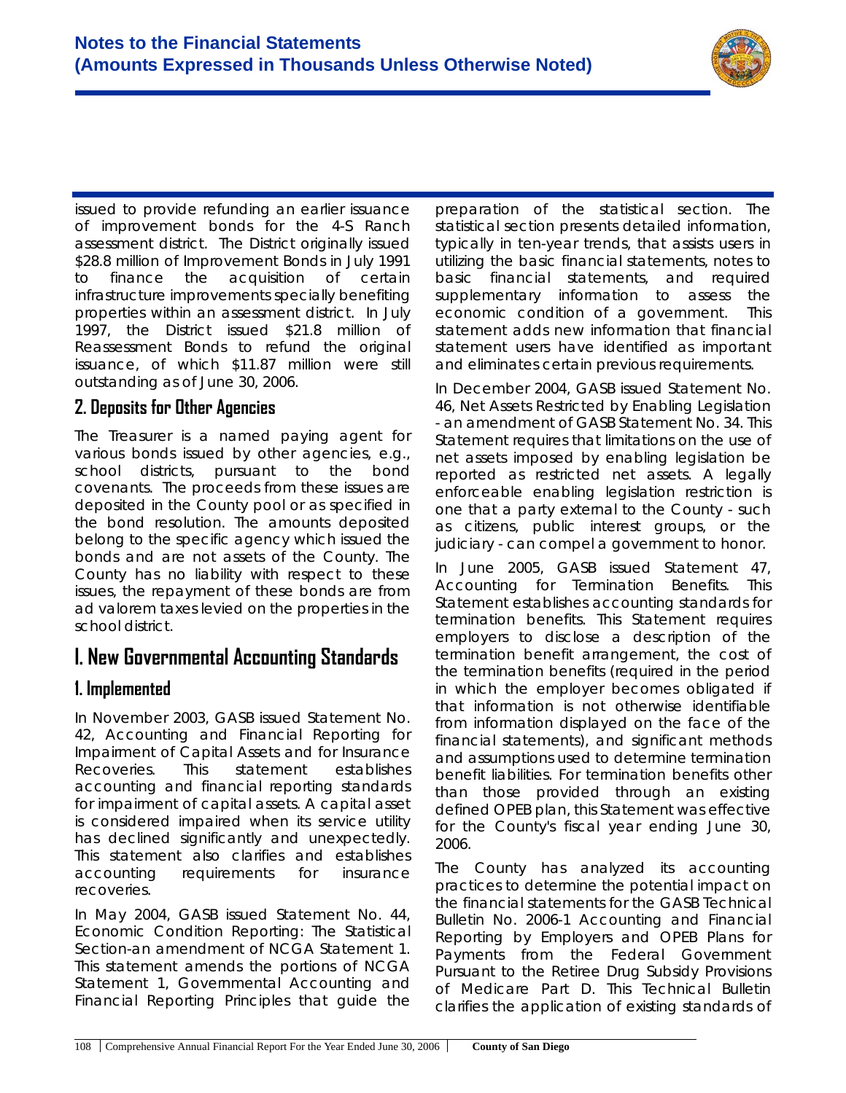

issued to provide refunding an earlier issuance of improvement bonds for the 4-S Ranch assessment district. The District originally issued \$28.8 million of Improvement Bonds in July 1991 to finance the acquisition of certain infrastructure improvements specially benefiting properties within an assessment district. In July 1997, the District issued \$21.8 million of Reassessment Bonds to refund the original issuance, of which \$11.87 million were still outstanding as of June 30, 2006.

#### **2. Deposits for Other Agencies**

The Treasurer is a named paying agent for various bonds issued by other agencies, e.g., school districts, pursuant to the bond covenants. The proceeds from these issues are deposited in the County pool or as specified in the bond resolution. The amounts deposited belong to the specific agency which issued the bonds and are not assets of the County. The County has no liability with respect to these issues, the repayment of these bonds are from ad valorem taxes levied on the properties in the school district.

### **I. New Governmental Accounting Standards**

#### **1. Implemented**

In November 2003, GASB issued Statement No. 42, *Accounting and Financial Reporting for Impairment of Capital Assets and for Insurance Recoveries.* This statement establishes accounting and financial reporting standards for impairment of capital assets. A capital asset is considered impaired when its service utility has declined significantly and unexpectedly. This statement also clarifies and establishes accounting requirements for insurance recoveries.

In May 2004, GASB issued Statement No. 44, *Economic Condition Reporting: The Statistical Section-an amendment of NCGA Statement 1.* This statement amends the portions of NCGA Statement 1, *Governmental Accounting and Financial Reporting Principles* that guide the

preparation of the statistical section. The statistical section presents detailed information, typically in ten-year trends, that assists users in utilizing the basic financial statements, notes to basic financial statements, and required supplementary information to assess the economic condition of a government. This statement adds new information that financial statement users have identified as important and eliminates certain previous requirements.

In December 2004, GASB issued Statement No. 46, *Net Assets Restricted by Enabling Legislation - an amendment of GASB Statement No. 34*. This Statement requires that limitations on the use of net assets imposed by enabling legislation be reported as restricted net assets. A legally enforceable enabling legislation restriction is one that a party external to the County - such as citizens, public interest groups, or the judiciary - can compel a government to honor.

In June 2005, GASB issued Statement 47, *Accounting for Termination Benefits*. This Statement establishes accounting standards for termination benefits. This Statement requires employers to disclose a description of the termination benefit arrangement, the cost of the termination benefits (required in the period in which the employer becomes obligated if that information is not otherwise identifiable from information displayed on the face of the financial statements), and significant methods and assumptions used to determine termination benefit liabilities. For termination benefits other than those provided through an existing defined OPEB plan, this Statement was effective for the County's fiscal year ending June 30, 2006.

The County has analyzed its accounting practices to determine the potential impact on the financial statements for the GASB Technical Bulletin No. 2006-1 *Accounting and Financial Reporting by Employers and OPEB Plans for Payments from the Federal Government Pursuant to the Retiree Drug Subsidy Provisions of Medicare Part D.* This Technical Bulletin clarifies the application of existing standards of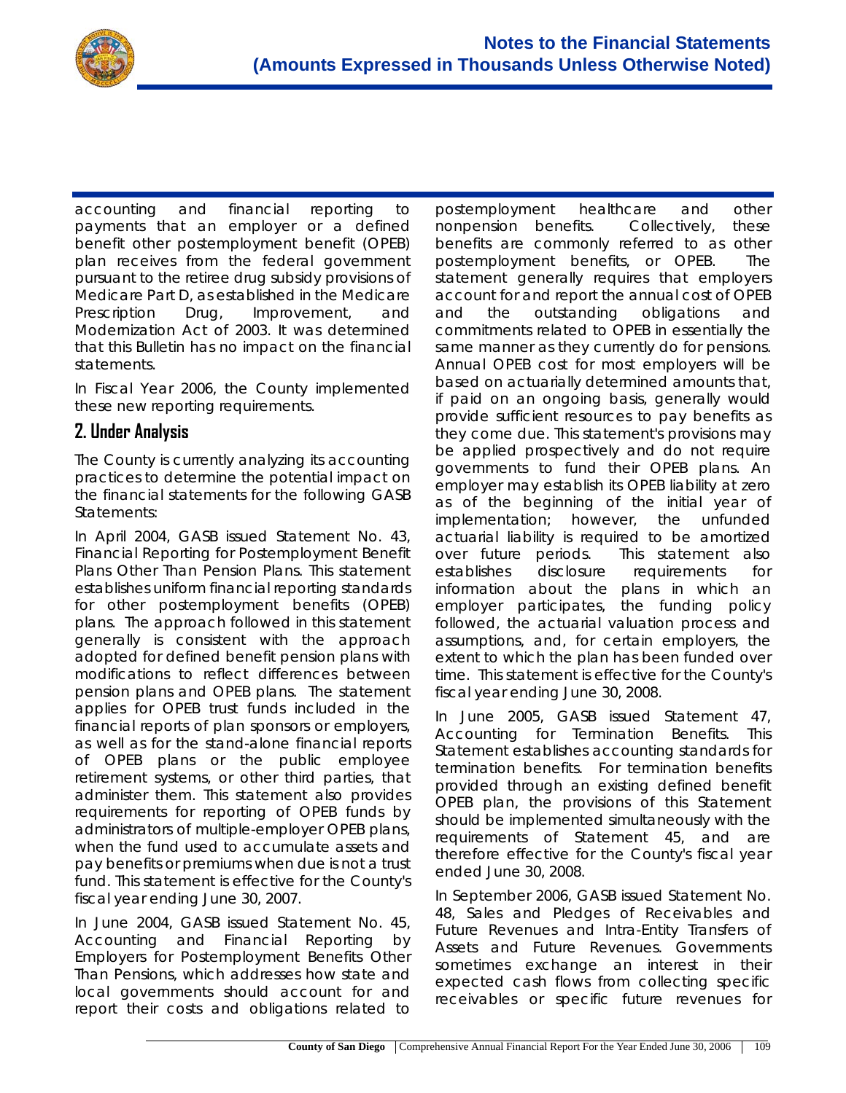

accounting and financial reporting to payments that an employer or a defined benefit other postemployment benefit (OPEB) plan receives from the federal government pursuant to the retiree drug subsidy provisions of Medicare Part D, as established in the Medicare Prescription Drug, Improvement, and Modernization Act of 2003. It was determined that this Bulletin has no impact on the financial statements.

In Fiscal Year 2006, the County implemented these new reporting requirements.

#### **2. Under Analysis**

The County is currently analyzing its accounting practices to determine the potential impact on the financial statements for the following GASB Statements:

In April 2004, GASB issued Statement No. 43, *Financial Reporting for Postemployment Benefit Plans Other Than Pension Plans.* This statement establishes uniform financial reporting standards for other postemployment benefits (OPEB) plans. The approach followed in this statement generally is consistent with the approach adopted for defined benefit pension plans with modifications to reflect differences between pension plans and OPEB plans. The statement applies for OPEB trust funds included in the financial reports of plan sponsors or employers, as well as for the stand-alone financial reports of OPEB plans or the public employee retirement systems, or other third parties, that administer them. This statement also provides requirements for reporting of OPEB funds by administrators of multiple-employer OPEB plans, when the fund used to accumulate assets and pay benefits or premiums when due is not a trust fund. This statement is effective for the County's fiscal year ending June 30, 2007.

In June 2004, GASB issued Statement No. 45, *Accounting and Financial Reporting by Employers for Postemployment Benefits Other Than Pensions*, which addresses how state and local governments should account for and report their costs and obligations related to

postemployment healthcare and other nonpension benefits. Collectively, these benefits are commonly referred to as other postemployment benefits, or OPEB. The statement generally requires that employers account for and report the annual cost of OPEB and the outstanding obligations and commitments related to OPEB in essentially the same manner as they currently do for pensions. Annual OPEB cost for most employers will be based on actuarially determined amounts that, if paid on an ongoing basis, generally would provide sufficient resources to pay benefits as they come due. This statement's provisions may be applied prospectively and do not require governments to fund their OPEB plans. An employer may establish its OPEB liability at zero as of the beginning of the initial year of implementation; however, the unfunded actuarial liability is required to be amortized over future periods. This statement also establishes disclosure requirements for information about the plans in which an employer participates, the funding policy followed, the actuarial valuation process and assumptions, and, for certain employers, the extent to which the plan has been funded over time. This statement is effective for the County's fiscal year ending June 30, 2008.

In June 2005, GASB issued Statement 47, *Accounting for Termination Benefits*. This Statement establishes accounting standards for termination benefits. For termination benefits provided through an existing defined benefit OPEB plan, the provisions of this Statement should be implemented simultaneously with the requirements of Statement 45, and are therefore effective for the County's fiscal year ended June 30, 2008.

In September 2006, GASB issued Statement No. 48, *Sales and Pledges of Receivables and Future Revenues and Intra-Entity Transfers of Assets and Future Revenues*. Governments sometimes exchange an interest in their expected cash flows from collecting specific receivables or specific future revenues for